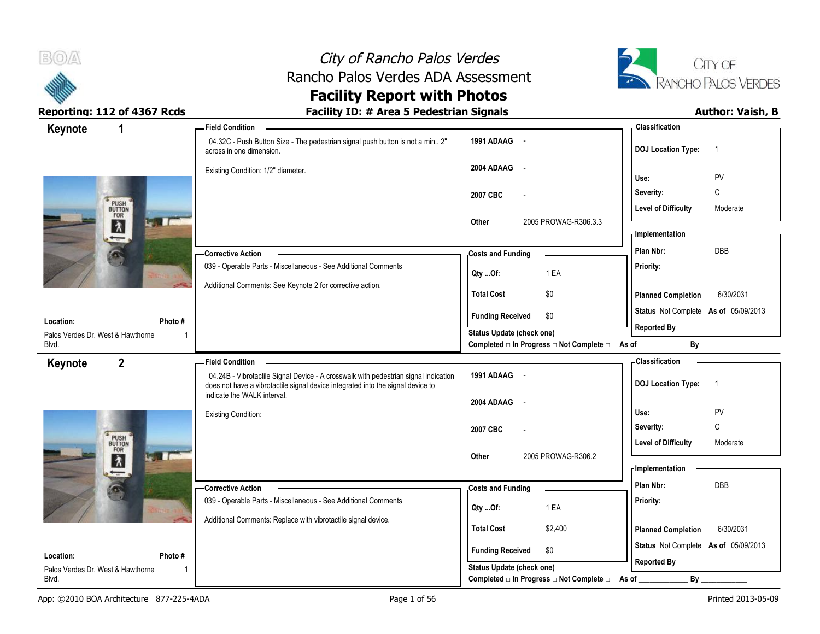

# City of Rancho Palos Verdes Rancho Palos Verdes ADA Assessment



Reporting: 112 of 4367 Rcds **Facility ID: # Area 5 Pedestrian Signals Author: Vaish, B** 

# **Facility Report with Photos**

| Keynote                                        | 1                                          | - Field Condition                                                                                                                                                      |                                                                       | - Classification                            |
|------------------------------------------------|--------------------------------------------|------------------------------------------------------------------------------------------------------------------------------------------------------------------------|-----------------------------------------------------------------------|---------------------------------------------|
|                                                |                                            | 04.32C - Push Button Size - The pedestrian signal push button is not a min 2"<br>across in one dimension.                                                              | 1991 ADAAG -                                                          | <b>DOJ Location Type:</b><br>$\overline{1}$ |
|                                                |                                            | Existing Condition: 1/2" diameter.                                                                                                                                     | 2004 ADAAG<br>$\sim$                                                  | PV<br>Use:                                  |
|                                                |                                            |                                                                                                                                                                        | 2007 CBC                                                              | C<br>Severity:                              |
|                                                | PUSH                                       |                                                                                                                                                                        |                                                                       | <b>Level of Difficulty</b><br>Moderate      |
|                                                | <b>Light Free</b><br>$\lambda$             |                                                                                                                                                                        | 2005 PROWAG-R306.3.3<br>Other                                         | - Implementation                            |
|                                                | Ø.                                         | - Corrective Action                                                                                                                                                    | <b>Costs and Funding</b>                                              | DBB<br>Plan Nbr:                            |
|                                                |                                            | 039 - Operable Parts - Miscellaneous - See Additional Comments                                                                                                         | 1 EA<br>Qty Of:                                                       | Priority:                                   |
|                                                |                                            | Additional Comments: See Keynote 2 for corrective action.                                                                                                              | <b>Total Cost</b><br>\$0                                              | 6/30/2031<br><b>Planned Completion</b>      |
|                                                |                                            |                                                                                                                                                                        | <b>Funding Received</b><br>\$0                                        | Status Not Complete As of 05/09/2013        |
| Location:<br>Palos Verdes Dr. West & Hawthorne | Photo #<br>-1                              |                                                                                                                                                                        | Status Update (check one)                                             | <b>Reported By</b>                          |
| Blvd.                                          |                                            |                                                                                                                                                                        | Completed □ In Progress □ Not Complete □ As of _                      | By                                          |
| Keynote                                        | $\overline{2}$                             | <b>Field Condition</b>                                                                                                                                                 |                                                                       | <b>Classification</b>                       |
|                                                |                                            | 04.24B - Vibrotactile Signal Device - A crosswalk with pedestrian signal indication<br>does not have a vibrotactile signal device integrated into the signal device to | 1991 ADAAG -                                                          | <b>DOJ Location Type:</b><br>$\overline{1}$ |
|                                                |                                            | indicate the WALK interval.                                                                                                                                            | 2004 ADAAG<br>$\sim$                                                  |                                             |
|                                                |                                            | Existing Condition:                                                                                                                                                    |                                                                       | PV<br>Use:                                  |
|                                                |                                            |                                                                                                                                                                        | 2007 CBC                                                              | C<br>Severity:                              |
|                                                | PUSH<br>BUTTON<br>FOR<br><b>LT IT IT'S</b> |                                                                                                                                                                        | 2005 PROWAG-R306.2<br>Other                                           | <b>Level of Difficulty</b><br>Moderate      |
|                                                | $\lambda$<br>$\overline{}$                 |                                                                                                                                                                        |                                                                       | <b>Implementation</b>                       |
|                                                |                                            | Corrective Action                                                                                                                                                      | <b>Costs and Funding</b>                                              | Plan Nbr:<br><b>DBB</b>                     |
|                                                | $\bullet$                                  |                                                                                                                                                                        |                                                                       |                                             |
|                                                |                                            | 039 - Operable Parts - Miscellaneous - See Additional Comments                                                                                                         |                                                                       | Priority:                                   |
|                                                |                                            | Additional Comments: Replace with vibrotactile signal device.                                                                                                          | 1 EA<br>Qty Of:                                                       |                                             |
|                                                |                                            |                                                                                                                                                                        | <b>Total Cost</b><br>\$2,400                                          | <b>Planned Completion</b><br>6/30/2031      |
| Location:                                      | Photo#                                     |                                                                                                                                                                        | <b>Funding Received</b><br>\$0                                        | Status Not Complete As of 05/09/2013        |
| Palos Verdes Dr. West & Hawthorne<br>Blvd.     | -1                                         |                                                                                                                                                                        | Status Update (check one)<br>Completed □ In Progress □ Not Complete □ | <b>Reported By</b><br>By                    |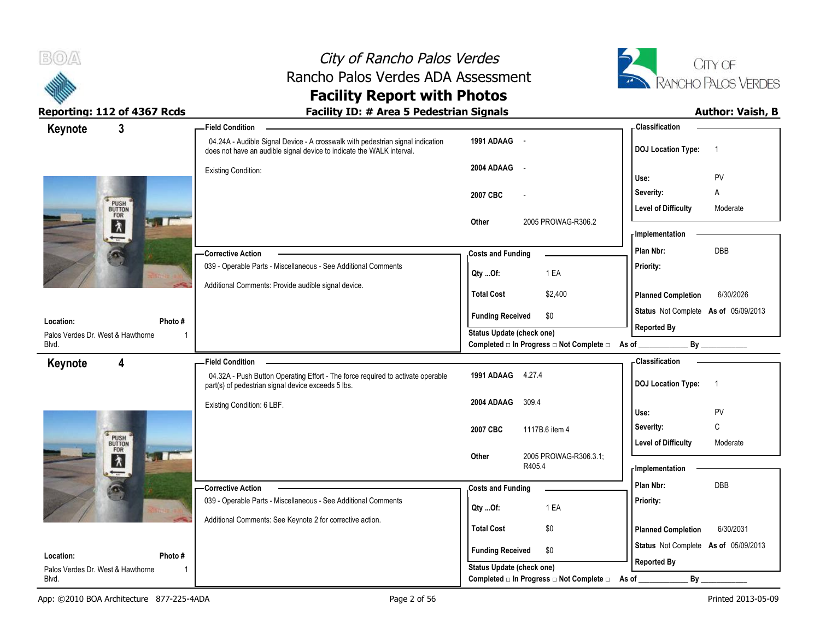



| 3                                                        | - Field Condition                                                                                                                                       |                                                             | <b>Classification</b>                       |
|----------------------------------------------------------|---------------------------------------------------------------------------------------------------------------------------------------------------------|-------------------------------------------------------------|---------------------------------------------|
| Keynote                                                  | 04.24A - Audible Signal Device - A crosswalk with pedestrian signal indication<br>does not have an audible signal device to indicate the WALK interval. | 1991 ADAAG -                                                | <b>DOJ Location Type:</b><br>$\overline{1}$ |
|                                                          | <b>Existing Condition:</b>                                                                                                                              | 2004 ADAAG -                                                |                                             |
|                                                          |                                                                                                                                                         |                                                             | PV<br>Use:                                  |
|                                                          |                                                                                                                                                         | 2007 CBC                                                    | Severity:<br>Α                              |
| PUSH<br>BUTTON<br>FOR<br>Light for                       |                                                                                                                                                         |                                                             | <b>Level of Difficulty</b><br>Moderate      |
| $\frac{1}{\lambda}$                                      |                                                                                                                                                         | Other<br>2005 PROWAG-R306.2                                 | - Implementation                            |
|                                                          | - Corrective Action                                                                                                                                     | <b>Costs and Funding</b>                                    | DBB<br>Plan Nbr:                            |
| $\bullet$                                                | 039 - Operable Parts - Miscellaneous - See Additional Comments                                                                                          |                                                             | Priority:                                   |
|                                                          |                                                                                                                                                         | 1 EA<br>QtyOf:                                              |                                             |
|                                                          | Additional Comments: Provide audible signal device.                                                                                                     | <b>Total Cost</b><br>\$2,400                                | <b>Planned Completion</b><br>6/30/2026      |
|                                                          |                                                                                                                                                         | <b>Funding Received</b><br>\$0                              | Status Not Complete As of 05/09/2013        |
| Photo#<br>Location:                                      |                                                                                                                                                         | Status Update (check one)                                   | <b>Reported By</b>                          |
| Palos Verdes Dr. West & Hawthorne<br>Blvd.               |                                                                                                                                                         | Completed □ In Progress □ Not Complete □ As of _            | By                                          |
| Keynote<br>4                                             | <b>Field Condition</b>                                                                                                                                  |                                                             | <b>Classification</b>                       |
|                                                          | 04.32A - Push Button Operating Effort - The force required to activate operable<br>part(s) of pedestrian signal device exceeds 5 lbs.                   | 1991 ADAAG 4.27.4                                           | <b>DOJ Location Type:</b><br>$\overline{1}$ |
|                                                          |                                                                                                                                                         |                                                             |                                             |
|                                                          | Existing Condition: 6 LBF.                                                                                                                              | 2004 ADAAG<br>309.4                                         |                                             |
|                                                          |                                                                                                                                                         |                                                             | Use:<br><b>PV</b>                           |
|                                                          |                                                                                                                                                         | 2007 CBC<br>1117B.6 item 4                                  | C<br>Severity:                              |
| PUSH                                                     |                                                                                                                                                         |                                                             | <b>Level of Difficulty</b><br>Moderate      |
| Light find<br>$\lambda$                                  |                                                                                                                                                         | 2005 PROWAG-R306.3.1;<br>Other<br>R405.4                    | <b>Implementation</b>                       |
| $-$                                                      |                                                                                                                                                         |                                                             | Plan Nbr:<br><b>DBB</b>                     |
| $\omega$                                                 | -Corrective Action                                                                                                                                      | <b>Costs and Funding</b>                                    |                                             |
|                                                          | 039 - Operable Parts - Miscellaneous - See Additional Comments                                                                                          | 1 EA<br>Qty Of:                                             | Priority:                                   |
|                                                          | Additional Comments: See Keynote 2 for corrective action.                                                                                               | \$0<br><b>Total Cost</b>                                    | 6/30/2031<br><b>Planned Completion</b>      |
|                                                          |                                                                                                                                                         |                                                             | Status Not Complete As of 05/09/2013        |
| Location:<br>Photo#<br>Palos Verdes Dr. West & Hawthorne |                                                                                                                                                         | <b>Funding Received</b><br>\$0<br>Status Update (check one) | <b>Reported By</b>                          |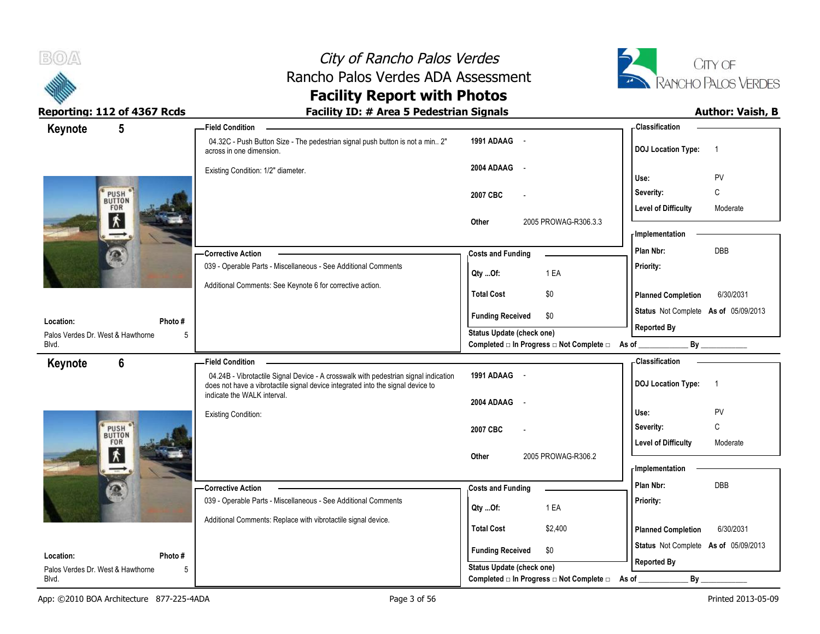



| $5\phantom{.0}$<br>Keynote                                | <b>Field Condition</b>                                                                                                                                                                                |                                                                       | - Classification                                         |
|-----------------------------------------------------------|-------------------------------------------------------------------------------------------------------------------------------------------------------------------------------------------------------|-----------------------------------------------------------------------|----------------------------------------------------------|
|                                                           | 04.32C - Push Button Size - The pedestrian signal push button is not a min 2"<br>across in one dimension.                                                                                             | 1991 ADAAG -                                                          | <b>DOJ</b> Location Type:<br>$\overline{1}$              |
|                                                           | Existing Condition: 1/2" diameter.                                                                                                                                                                    | 2004 ADAAG -                                                          | PV<br>Use:                                               |
| <b>PUSH</b><br>FOR                                        |                                                                                                                                                                                                       | 2007 CBC<br>$\overline{a}$                                            | C<br>Severity:<br><b>Level of Difficulty</b><br>Moderate |
| 术                                                         |                                                                                                                                                                                                       | 2005 PROWAG-R306.3.3<br>Other                                         | <b>Implementation</b>                                    |
|                                                           | - Corrective Action                                                                                                                                                                                   | <b>Costs and Funding</b>                                              | <b>DBB</b><br>Plan Nbr:                                  |
|                                                           | 039 - Operable Parts - Miscellaneous - See Additional Comments                                                                                                                                        | 1 EA<br>Qty Of:                                                       | Priority:                                                |
|                                                           | Additional Comments: See Keynote 6 for corrective action.                                                                                                                                             | <b>Total Cost</b><br>\$0                                              | 6/30/2031<br><b>Planned Completion</b>                   |
|                                                           |                                                                                                                                                                                                       | <b>Funding Received</b><br>\$0                                        | Status Not Complete As of 05/09/2013                     |
| Location:<br>Photo #<br>Palos Verdes Dr. West & Hawthorne | 5                                                                                                                                                                                                     | <b>Status Update (check one)</b>                                      | <b>Reported By</b>                                       |
| Blvd.                                                     |                                                                                                                                                                                                       | Completed □ In Progress □ Not Complete □ As of _                      |                                                          |
| $6\phantom{a}$<br>Keynote                                 | - Field Condition                                                                                                                                                                                     |                                                                       | - Classification                                         |
|                                                           | 04.24B - Vibrotactile Signal Device - A crosswalk with pedestrian signal indication<br>does not have a vibrotactile signal device integrated into the signal device to<br>indicate the WALK interval. | 1991 ADAAG -                                                          | <b>DOJ</b> Location Type:<br>$\overline{1}$              |
|                                                           |                                                                                                                                                                                                       | 2004 ADAAG<br>$\sim$                                                  | Use:<br>PV                                               |
|                                                           | <b>Existing Condition:</b>                                                                                                                                                                            | 2007 CBC                                                              | C<br>Severity:                                           |
| PUSH <sup>®</sup><br>FOR                                  |                                                                                                                                                                                                       |                                                                       | <b>Level of Difficulty</b><br>Moderate                   |
| k                                                         |                                                                                                                                                                                                       | 2005 PROWAG-R306.2<br>Other                                           | - Implementation                                         |
|                                                           | - Corrective Action                                                                                                                                                                                   | <b>Costs and Funding</b>                                              | Plan Nbr:<br>DBB                                         |
|                                                           | 039 - Operable Parts - Miscellaneous - See Additional Comments                                                                                                                                        | 1 EA<br>Qty Of:                                                       | Priority:                                                |
|                                                           | Additional Comments: Replace with vibrotactile signal device.                                                                                                                                         | <b>Total Cost</b><br>\$2,400                                          | 6/30/2031<br><b>Planned Completion</b>                   |
|                                                           |                                                                                                                                                                                                       |                                                                       | Status Not Complete As of 05/09/2013                     |
| Location:<br>Photo #                                      |                                                                                                                                                                                                       | \$0<br><b>Funding Received</b>                                        | <b>Reported By</b>                                       |
| Palos Verdes Dr. West & Hawthorne<br>Blvd.                | 5                                                                                                                                                                                                     | Status Update (check one)<br>Completed □ In Progress □ Not Complete □ | By<br>As of                                              |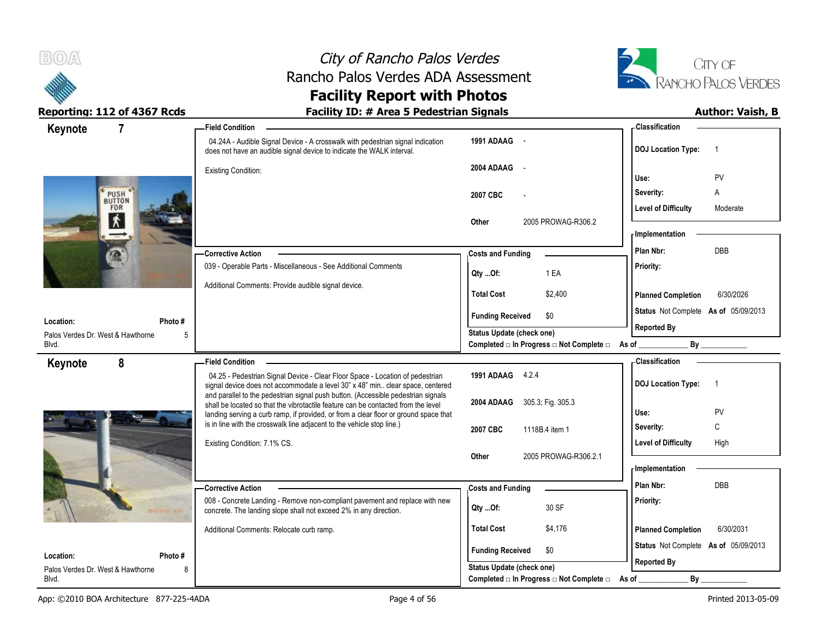



| Keynote<br>7                                    | - Field Condition                                                                                                                                                         |                                                                              | - Classification                            |
|-------------------------------------------------|---------------------------------------------------------------------------------------------------------------------------------------------------------------------------|------------------------------------------------------------------------------|---------------------------------------------|
|                                                 | 04.24A - Audible Signal Device - A crosswalk with pedestrian signal indication<br>does not have an audible signal device to indicate the WALK interval.                   | 1991 ADAAG -                                                                 | <b>DOJ Location Type:</b><br>- 1            |
|                                                 | Existing Condition:                                                                                                                                                       | 2004 ADAAG<br>$\sim$                                                         | PV<br>Use:                                  |
| PUSH                                            |                                                                                                                                                                           | 2007 CBC                                                                     | Severity:<br>Α                              |
| BUTTON<br>FOR                                   |                                                                                                                                                                           |                                                                              | Level of Difficulty<br>Moderate             |
| 术                                               |                                                                                                                                                                           | 2005 PROWAG-R306.2<br><b>Other</b>                                           | <b>Implementation</b>                       |
|                                                 | - Corrective Action                                                                                                                                                       | <b>Costs and Funding</b>                                                     | Plan Nbr:<br>DBB                            |
|                                                 | 039 - Operable Parts - Miscellaneous - See Additional Comments                                                                                                            | 1 EA<br>Qty Of:                                                              | Priority:                                   |
|                                                 | Additional Comments: Provide audible signal device.                                                                                                                       | <b>Total Cost</b><br>\$2,400                                                 | 6/30/2026<br><b>Planned Completion</b>      |
|                                                 |                                                                                                                                                                           |                                                                              | Status Not Complete As of 05/09/2013        |
| Photo #<br>Location:                            |                                                                                                                                                                           | <b>Funding Received</b><br>\$0                                               | <b>Reported By</b>                          |
| Palos Verdes Dr. West & Hawthorne<br>5<br>Blvd. |                                                                                                                                                                           | Status Update (check one)<br>Completed □ In Progress □ Not Complete □ As of  | By                                          |
| 8<br>Keynote                                    | <b>Field Condition</b>                                                                                                                                                    |                                                                              | <b>Classification</b>                       |
|                                                 | 04.25 - Pedestrian Signal Device - Clear Floor Space - Location of pedestrian<br>signal device does not accommodate a level 30" x 48" min clear space, centered           | 1991 ADAAG 4.2.4                                                             | <b>DOJ Location Type:</b><br>$\overline{1}$ |
|                                                 | and parallel to the pedestrian signal push button. (Accessible pedestrian signals                                                                                         |                                                                              |                                             |
|                                                 |                                                                                                                                                                           |                                                                              |                                             |
|                                                 | shall be located so that the vibrotactile feature can be contacted from the level<br>landing serving a curb ramp, if provided, or from a clear floor or ground space that | 2004 ADAAG 305.3, Fig. 305.3                                                 | PV<br>Use:                                  |
|                                                 | is in line with the crosswalk line adjacent to the vehicle stop line.)                                                                                                    | 2007 CBC<br>1118B.4 item 1                                                   | C<br>Severity:                              |
|                                                 | Existing Condition: 7.1% CS.                                                                                                                                              |                                                                              | High<br>Level of Difficulty                 |
|                                                 |                                                                                                                                                                           | 2005 PROWAG-R306.2.1<br>Other                                                | <b>Implementation</b>                       |
|                                                 | -Corrective Action                                                                                                                                                        |                                                                              | Plan Nbr:<br><b>DBB</b>                     |
|                                                 | 008 - Concrete Landing - Remove non-compliant pavement and replace with new                                                                                               | <b>Costs and Funding</b>                                                     | Priority:                                   |
| $72 - 0.01$                                     | concrete. The landing slope shall not exceed 2% in any direction.                                                                                                         | 30 SF<br>Qty Of:                                                             |                                             |
|                                                 | Additional Comments: Relocate curb ramp.                                                                                                                                  | <b>Total Cost</b><br>\$4,176                                                 | 6/30/2031<br><b>Planned Completion</b>      |
| Location:<br>Photo #                            |                                                                                                                                                                           | <b>Funding Received</b><br>\$0                                               | Status Not Complete As of 05/09/2013        |
| Palos Verdes Dr. West & Hawthorne<br>8<br>Blvd. |                                                                                                                                                                           | <b>Status Update (check one)</b><br>Completed □ In Progress □ Not Complete □ | <b>Reported By</b><br>By<br>As of           |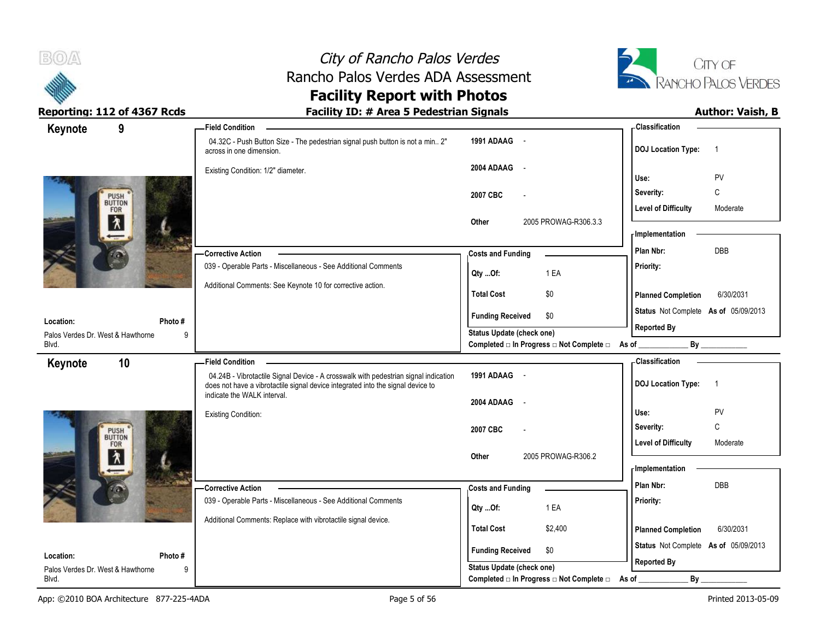



| 9<br>Keynote                       | <b>Field Condition</b>                                                                                                                                                 |                                                                              | - Classification                            |
|------------------------------------|------------------------------------------------------------------------------------------------------------------------------------------------------------------------|------------------------------------------------------------------------------|---------------------------------------------|
|                                    | 04.32C - Push Button Size - The pedestrian signal push button is not a min 2"<br>across in one dimension.                                                              | 1991 ADAAG -                                                                 | <b>DOJ Location Type:</b><br>$\overline{1}$ |
|                                    | Existing Condition: 1/2" diameter.                                                                                                                                     | 2004 ADAAG<br>$\sim$                                                         | PV<br>Use:                                  |
|                                    |                                                                                                                                                                        | 2007 CBC                                                                     | C<br>Severity:                              |
| PUSH <sup>'</sup><br>BUTTON<br>FOR |                                                                                                                                                                        |                                                                              | <b>Level of Difficulty</b><br>Moderate      |
| 齐                                  |                                                                                                                                                                        | 2005 PROWAG-R306.3.3<br>Other                                                | <b>Implementation</b>                       |
|                                    | - Corrective Action                                                                                                                                                    | <b>Costs and Funding</b>                                                     | Plan Nbr:<br>DBB                            |
|                                    | 039 - Operable Parts - Miscellaneous - See Additional Comments                                                                                                         |                                                                              | Priority:                                   |
|                                    | Additional Comments: See Keynote 10 for corrective action.                                                                                                             | 1 EA<br>Qty Of:                                                              |                                             |
|                                    |                                                                                                                                                                        | <b>Total Cost</b><br>\$0                                                     | <b>Planned Completion</b><br>6/30/2031      |
| Location:                          | Photo#                                                                                                                                                                 | <b>Funding Received</b><br>\$0                                               | Status Not Complete As of 05/09/2013        |
| Palos Verdes Dr. West & Hawthorne  | 9                                                                                                                                                                      | <b>Status Update (check one)</b>                                             | <b>Reported By</b>                          |
| Blvd.                              |                                                                                                                                                                        | Completed □ In Progress □ Not Complete □ As of __                            | By                                          |
| 10<br>Keynote                      | <b>Field Condition</b>                                                                                                                                                 |                                                                              | <b>Classification</b>                       |
|                                    | 04.24B - Vibrotactile Signal Device - A crosswalk with pedestrian signal indication<br>does not have a vibrotactile signal device integrated into the signal device to | 1991 ADAAG -                                                                 | <b>DOJ Location Type:</b><br>$\overline{1}$ |
|                                    | indicate the WALK interval.                                                                                                                                            | 2004 ADAAG<br>$\sim$                                                         |                                             |
|                                    | Existing Condition:                                                                                                                                                    |                                                                              | Use:<br>PV                                  |
| PUSH <sup>'</sup><br>BUTTON        |                                                                                                                                                                        | 2007 CBC                                                                     | $\mathsf{C}$<br>Severity:                   |
| FOR                                |                                                                                                                                                                        |                                                                              | Level of Difficulty<br>Moderate             |
| እ                                  |                                                                                                                                                                        | 2005 PROWAG-R306.2<br>Other                                                  | <b>Implementation</b>                       |
|                                    |                                                                                                                                                                        |                                                                              |                                             |
|                                    |                                                                                                                                                                        |                                                                              | Plan Nbr:<br><b>DBB</b>                     |
|                                    | -Corrective Action<br>039 - Operable Parts - Miscellaneous - See Additional Comments                                                                                   | <b>Costs and Funding</b>                                                     | Priority:                                   |
|                                    |                                                                                                                                                                        | 1 EA<br>Qty Of:                                                              |                                             |
|                                    | Additional Comments: Replace with vibrotactile signal device.                                                                                                          | <b>Total Cost</b><br>\$2,400                                                 | <b>Planned Completion</b><br>6/30/2031      |
| Location:                          | Photo#                                                                                                                                                                 | <b>Funding Received</b><br>\$0                                               | Status Not Complete As of 05/09/2013        |
| Palos Verdes Dr. West & Hawthorne  | 9                                                                                                                                                                      | <b>Status Update (check one)</b><br>Completed □ In Progress □ Not Complete □ | <b>Reported By</b><br>By                    |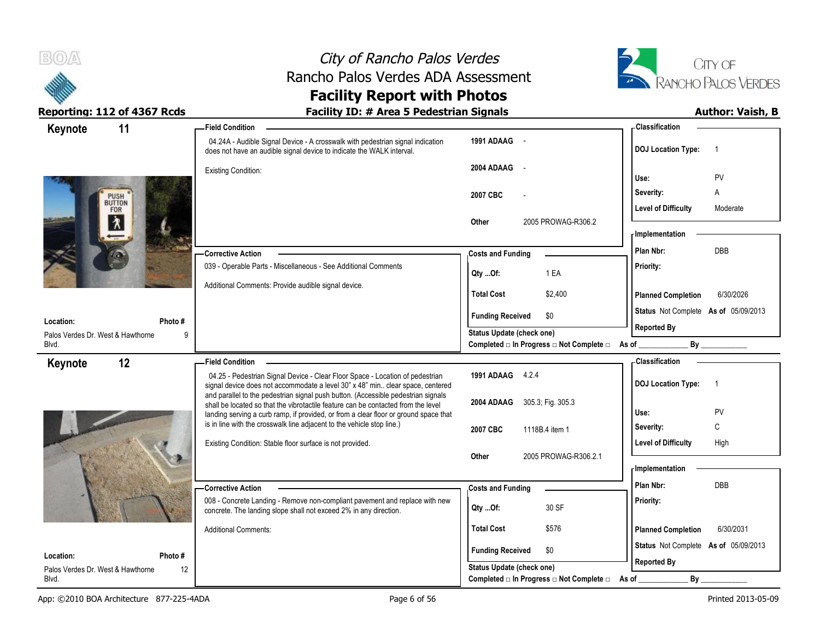



| 11<br>Keynote                      |             | <b>Field Condition</b>                                                                                                                                                 |                                                  | - Classification                            |
|------------------------------------|-------------|------------------------------------------------------------------------------------------------------------------------------------------------------------------------|--------------------------------------------------|---------------------------------------------|
|                                    |             | 04.24A - Audible Signal Device - A crosswalk with pedestrian signal indication<br>does not have an audible signal device to indicate the WALK interval.                | 1991 ADAAG -                                     | <b>DOJ Location Type:</b><br>$\overline{1}$ |
|                                    |             | <b>Existing Condition:</b>                                                                                                                                             | 2004 ADAAG -                                     | PV<br>Use:                                  |
|                                    |             |                                                                                                                                                                        | 2007 CBC                                         | Severity:<br>A                              |
| PUSH <sup>'</sup><br>BUTTON<br>FOR |             |                                                                                                                                                                        |                                                  | <b>Level of Difficulty</b><br>Moderate      |
| λ                                  |             |                                                                                                                                                                        | 2005 PROWAG-R306.2<br>Other                      | - Implementation                            |
|                                    |             |                                                                                                                                                                        |                                                  | DBB<br>Plan Nbr:                            |
|                                    |             | <b>Corrective Action</b><br>039 - Operable Parts - Miscellaneous - See Additional Comments                                                                             | <b>Costs and Funding</b>                         | Priority:                                   |
|                                    |             |                                                                                                                                                                        | 1 EA<br>Qty Of:                                  |                                             |
|                                    |             | Additional Comments: Provide audible signal device.                                                                                                                    | <b>Total Cost</b><br>\$2,400                     | 6/30/2026<br><b>Planned Completion</b>      |
| Location:                          |             |                                                                                                                                                                        | <b>Funding Received</b><br>\$0                   | Status Not Complete As of 05/09/2013        |
| Palos Verdes Dr. West & Hawthorne  | Photo#<br>9 |                                                                                                                                                                        | Status Update (check one)                        | <b>Reported By</b>                          |
| Blvd.                              |             |                                                                                                                                                                        | Completed □ In Progress □ Not Complete □ As of _ | By                                          |
| 12<br>Keynote                      |             | <b>Field Condition</b>                                                                                                                                                 |                                                  | - Classification                            |
|                                    |             | 04.25 - Pedestrian Signal Device - Clear Floor Space - Location of pedestrian<br>signal device does not accommodate a level 30" x 48" min clear space, centered        | 1991 ADAAG 4.2.4                                 | <b>DOJ Location Type:</b><br>$\overline{1}$ |
|                                    |             | and parallel to the pedestrian signal push button. (Accessible pedestrian signals<br>shall be located so that the vibrotactile feature can be contacted from the level | 2004 ADAAG 305.3; Fig. 305.3                     |                                             |
|                                    |             | landing serving a curb ramp, if provided, or from a clear floor or ground space that                                                                                   |                                                  | PV<br>Use:                                  |
|                                    |             | is in line with the crosswalk line adjacent to the vehicle stop line.)                                                                                                 | 2007 CBC<br>1118B.4 item 1                       | C<br>Severity:                              |
|                                    |             | Existing Condition: Stable floor surface is not provided.                                                                                                              |                                                  | <b>Level of Difficulty</b><br>High          |
|                                    |             |                                                                                                                                                                        | 2005 PROWAG-R306.2.1<br>Other                    |                                             |
|                                    |             |                                                                                                                                                                        |                                                  | <b>Implementation</b>                       |
|                                    |             | <b>Corrective Action</b>                                                                                                                                               | <b>Costs and Funding</b>                         | Plan Nbr:<br><b>DBB</b>                     |
|                                    |             | 008 - Concrete Landing - Remove non-compliant pavement and replace with new<br>concrete. The landing slope shall not exceed 2% in any direction.                       | 30 SF<br>Qty Of:                                 | Priority:                                   |
|                                    |             | <b>Additional Comments:</b>                                                                                                                                            | <b>Total Cost</b><br>\$576                       | <b>Planned Completion</b><br>6/30/2031      |
| Location:                          | Photo #     |                                                                                                                                                                        | <b>Funding Received</b><br>\$0                   | Status Not Complete As of 05/09/2013        |
| Palos Verdes Dr. West & Hawthorne  | 12          |                                                                                                                                                                        | <b>Status Update (check one)</b>                 | <b>Reported By</b>                          |
| Blvd.                              |             |                                                                                                                                                                        | Completed □ In Progress □ Not Complete □         | By<br>As of                                 |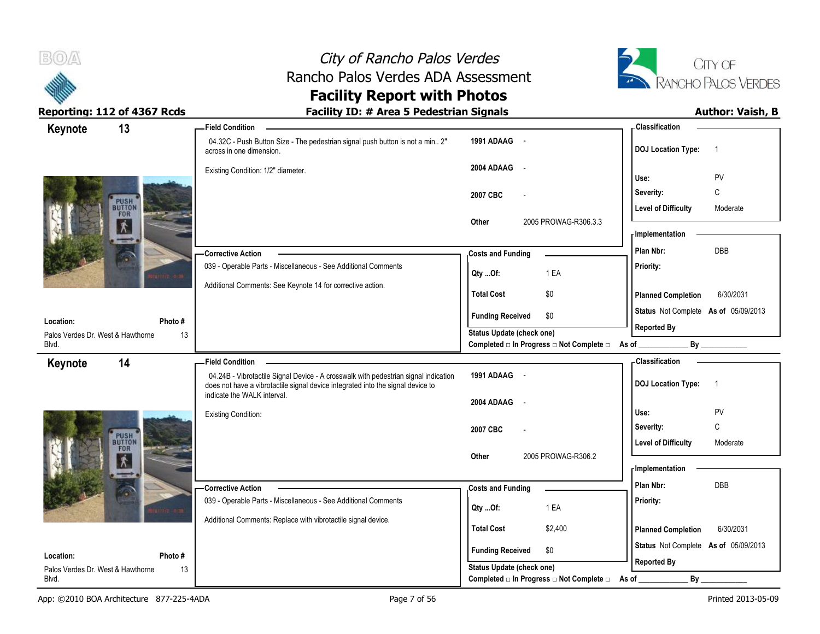



| Keynote                                    | 13                    | <b>Field Condition</b>                                                                                                                                                 |                                                                              | - Classification                            |
|--------------------------------------------|-----------------------|------------------------------------------------------------------------------------------------------------------------------------------------------------------------|------------------------------------------------------------------------------|---------------------------------------------|
|                                            |                       | 04.32C - Push Button Size - The pedestrian signal push button is not a min 2"<br>across in one dimension.                                                              | 1991 ADAAG -                                                                 | <b>DOJ Location Type:</b><br>$\overline{1}$ |
|                                            |                       | Existing Condition: 1/2" diameter.                                                                                                                                     | 2004 ADAAG<br>$\sim$ $\sim$                                                  | PV<br>Use:                                  |
|                                            |                       |                                                                                                                                                                        | 2007 CBC                                                                     | C<br>Severity:                              |
|                                            | PUSH<br>BUTTON<br>FOR |                                                                                                                                                                        |                                                                              | <b>Level of Difficulty</b><br>Moderate      |
|                                            |                       |                                                                                                                                                                        | 2005 PROWAG-R306.3.3<br>Other                                                | - Implementation                            |
|                                            |                       | <b>Corrective Action</b>                                                                                                                                               |                                                                              | DBB<br>Plan Nbr:                            |
|                                            |                       | 039 - Operable Parts - Miscellaneous - See Additional Comments                                                                                                         | <b>Costs and Funding</b>                                                     | Priority:                                   |
|                                            |                       | Additional Comments: See Keynote 14 for corrective action.                                                                                                             | 1 EA<br>Qty Of:                                                              |                                             |
|                                            |                       |                                                                                                                                                                        | <b>Total Cost</b><br>\$0                                                     | <b>Planned Completion</b><br>6/30/2031      |
| Location:                                  | Photo #               |                                                                                                                                                                        | <b>Funding Received</b><br>\$0                                               | Status Not Complete As of 05/09/2013        |
| Palos Verdes Dr. West & Hawthorne          | 13                    |                                                                                                                                                                        | <b>Status Update (check one)</b>                                             | <b>Reported By</b>                          |
| Blvd.                                      |                       |                                                                                                                                                                        | Completed □ In Progress □ Not Complete □ As of _                             | By                                          |
| Keynote                                    | 14                    | <b>Field Condition</b>                                                                                                                                                 |                                                                              | - Classification                            |
|                                            |                       | 04.24B - Vibrotactile Signal Device - A crosswalk with pedestrian signal indication<br>does not have a vibrotactile signal device integrated into the signal device to | 1991 ADAAG -                                                                 | <b>DOJ Location Type:</b><br>$\overline{1}$ |
|                                            |                       | indicate the WALK interval.                                                                                                                                            | 2004 ADAAG<br>$\sim$ $\sim$                                                  |                                             |
|                                            |                       | <b>Existing Condition:</b>                                                                                                                                             |                                                                              | Use:<br><b>PV</b>                           |
|                                            | <b>PUSH</b>           |                                                                                                                                                                        | 2007 CBC                                                                     | $\mathbb C$<br>Severity:                    |
|                                            | <b>FOR</b>            |                                                                                                                                                                        |                                                                              | <b>Level of Difficulty</b><br>Moderate      |
|                                            |                       |                                                                                                                                                                        | 2005 PROWAG-R306.2<br>Other                                                  | - Implementation                            |
|                                            |                       | <b>Corrective Action</b>                                                                                                                                               | <b>Costs and Funding</b>                                                     | Plan Nbr:<br>DBB                            |
|                                            |                       | 039 - Operable Parts - Miscellaneous - See Additional Comments                                                                                                         | 1 EA                                                                         | Priority:                                   |
|                                            |                       | Additional Comments: Replace with vibrotactile signal device.                                                                                                          | Qty Of:                                                                      |                                             |
|                                            |                       |                                                                                                                                                                        |                                                                              |                                             |
|                                            |                       |                                                                                                                                                                        | <b>Total Cost</b><br>\$2,400                                                 | <b>Planned Completion</b><br>6/30/2031      |
| Location:                                  | Photo #               |                                                                                                                                                                        | <b>Funding Received</b><br>\$0                                               | Status Not Complete As of 05/09/2013        |
| Palos Verdes Dr. West & Hawthorne<br>Blvd. | 13                    |                                                                                                                                                                        | <b>Status Update (check one)</b><br>Completed □ In Progress □ Not Complete □ | <b>Reported By</b><br>By<br>As of           |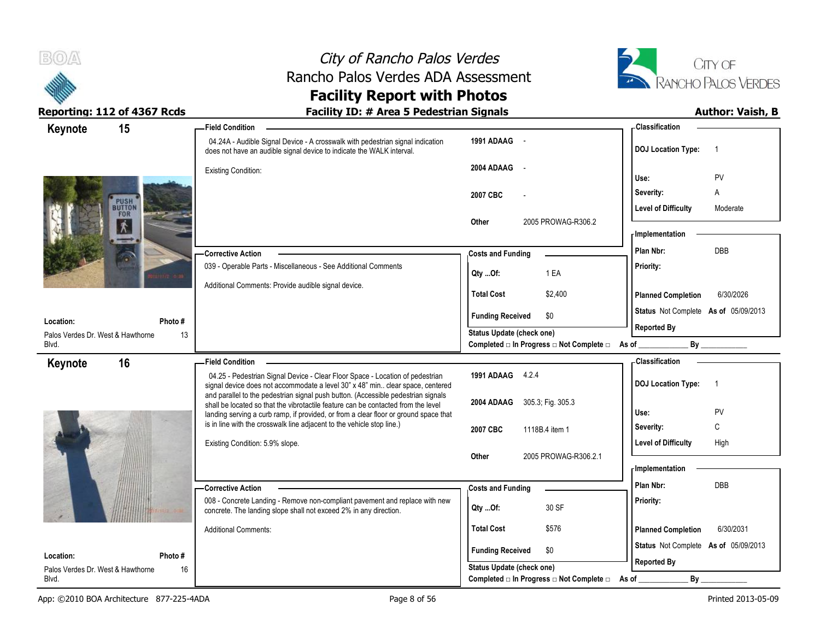



| 15<br>Keynote                           | - Field Condition                                                                                                                                                         |                                                  | <b>Classification</b>                       |
|-----------------------------------------|---------------------------------------------------------------------------------------------------------------------------------------------------------------------------|--------------------------------------------------|---------------------------------------------|
|                                         | 04.24A - Audible Signal Device - A crosswalk with pedestrian signal indication<br>does not have an audible signal device to indicate the WALK interval.                   | 1991 ADAAG -                                     | <b>DOJ Location Type:</b><br>$\overline{1}$ |
|                                         | <b>Existing Condition:</b>                                                                                                                                                | 2004 ADAAG<br>$\sim$                             | PV<br>Use:                                  |
|                                         |                                                                                                                                                                           | 2007 CBC                                         | Severity:<br>Α                              |
| <b>PUSH</b><br>BUTTON                   |                                                                                                                                                                           |                                                  | <b>Level of Difficulty</b><br>Moderate      |
| FOR                                     |                                                                                                                                                                           | 2005 PROWAG-R306.2<br>Other                      | - Implementation                            |
|                                         |                                                                                                                                                                           |                                                  | DBB<br>Plan Nbr:                            |
|                                         | <b>Corrective Action</b><br>039 - Operable Parts - Miscellaneous - See Additional Comments                                                                                | <b>Costs and Funding</b>                         | Priority:                                   |
|                                         |                                                                                                                                                                           | 1 EA<br>Qty Of:                                  |                                             |
|                                         | Additional Comments: Provide audible signal device.                                                                                                                       | <b>Total Cost</b><br>\$2,400                     | <b>Planned Completion</b><br>6/30/2026      |
| Photo#<br>Location:                     |                                                                                                                                                                           | <b>Funding Received</b><br>\$0                   | Status Not Complete As of 05/09/2013        |
| Palos Verdes Dr. West & Hawthorne<br>13 |                                                                                                                                                                           | Status Update (check one)                        | <b>Reported By</b>                          |
| Blvd.                                   |                                                                                                                                                                           | Completed □ In Progress □ Not Complete □ As of _ |                                             |
| 16<br>Keynote                           | <b>Field Condition</b>                                                                                                                                                    |                                                  | - Classification                            |
|                                         |                                                                                                                                                                           |                                                  |                                             |
|                                         | 04.25 - Pedestrian Signal Device - Clear Floor Space - Location of pedestrian                                                                                             | 1991 ADAAG 4.2.4                                 | $\overline{1}$                              |
|                                         | signal device does not accommodate a level 30" x 48" min clear space, centered<br>and parallel to the pedestrian signal push button. (Accessible pedestrian signals       |                                                  | <b>DOJ Location Type:</b>                   |
|                                         | shall be located so that the vibrotactile feature can be contacted from the level<br>landing serving a curb ramp, if provided, or from a clear floor or ground space that | 2004 ADAAG 305.3; Fig. 305.3                     | PV<br>Use:                                  |
|                                         | is in line with the crosswalk line adjacent to the vehicle stop line.)                                                                                                    | 2007 CBC<br>1118B.4 item 1                       | C<br>Severity:                              |
|                                         | Existing Condition: 5.9% slope.                                                                                                                                           |                                                  | <b>Level of Difficulty</b><br>High          |
|                                         |                                                                                                                                                                           | 2005 PROWAG-R306.2.1<br>Other                    |                                             |
|                                         |                                                                                                                                                                           |                                                  | <b>Implementation</b>                       |
|                                         | - Corrective Action                                                                                                                                                       | <b>Costs and Funding</b>                         | Plan Nbr:<br><b>DBB</b>                     |
|                                         | 008 - Concrete Landing - Remove non-compliant pavement and replace with new<br>concrete. The landing slope shall not exceed 2% in any direction.                          | 30 SF<br>Qty Of:                                 | Priority:                                   |
|                                         | <b>Additional Comments:</b>                                                                                                                                               | <b>Total Cost</b><br>\$576                       | <b>Planned Completion</b><br>6/30/2031      |
| Location:<br>Photo #                    |                                                                                                                                                                           | <b>Funding Received</b><br>\$0                   | Status Not Complete As of 05/09/2013        |
| Palos Verdes Dr. West & Hawthorne<br>16 |                                                                                                                                                                           | <b>Status Update (check one)</b>                 | <b>Reported By</b>                          |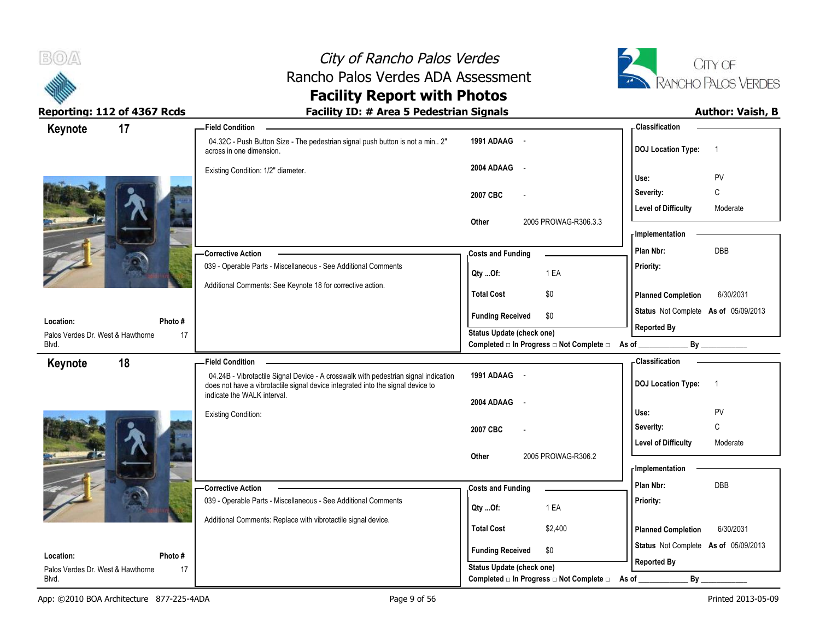



| Keynote                                        | 17           | <b>Field Condition</b>                                                                                                                                                                                |                                                                    | <b>Classification</b>                       |
|------------------------------------------------|--------------|-------------------------------------------------------------------------------------------------------------------------------------------------------------------------------------------------------|--------------------------------------------------------------------|---------------------------------------------|
|                                                |              | 04.32C - Push Button Size - The pedestrian signal push button is not a min 2"<br>across in one dimension.                                                                                             | 1991 ADAAG -                                                       | <b>DOJ Location Type:</b><br>$\overline{1}$ |
|                                                |              | Existing Condition: 1/2" diameter.                                                                                                                                                                    | 2004 ADAAG -                                                       | PV<br>Use:                                  |
|                                                |              |                                                                                                                                                                                                       | 2007 CBC                                                           | C<br>Severity:                              |
|                                                |              |                                                                                                                                                                                                       |                                                                    | <b>Level of Difficulty</b><br>Moderate      |
|                                                |              |                                                                                                                                                                                                       | 2005 PROWAG-R306.3.3<br>Other                                      | - Implementation                            |
|                                                |              | Corrective Action                                                                                                                                                                                     | <b>Costs and Funding</b>                                           | DBB<br>Plan Nbr:                            |
|                                                |              | 039 - Operable Parts - Miscellaneous - See Additional Comments                                                                                                                                        | 1 EA<br>Qty Of:                                                    | Priority:                                   |
|                                                |              | Additional Comments: See Keynote 18 for corrective action.                                                                                                                                            | <b>Total Cost</b><br>\$0                                           | <b>Planned Completion</b><br>6/30/2031      |
| Location:                                      | Photo#       |                                                                                                                                                                                                       | <b>Funding Received</b><br>\$0                                     | Status Not Complete As of 05/09/2013        |
| Palos Verdes Dr. West & Hawthorne              | 17           |                                                                                                                                                                                                       | <b>Status Update (check one)</b>                                   | <b>Reported By</b>                          |
| Blvd.                                          |              |                                                                                                                                                                                                       | Completed □ In Progress □ Not Complete □ As of _                   |                                             |
| Keynote                                        | 18           | <b>Field Condition</b>                                                                                                                                                                                |                                                                    | - Classification                            |
|                                                |              | 04.24B - Vibrotactile Signal Device - A crosswalk with pedestrian signal indication<br>does not have a vibrotactile signal device integrated into the signal device to<br>indicate the WALK interval. | 1991 ADAAG -                                                       | <b>DOJ Location Type:</b><br>$\overline{1}$ |
|                                                |              |                                                                                                                                                                                                       | 2004 ADAAG<br>$\sim$                                               |                                             |
|                                                |              | <b>Existing Condition:</b>                                                                                                                                                                            |                                                                    | PV<br>Use:                                  |
|                                                |              |                                                                                                                                                                                                       | 2007 CBC                                                           | C<br>Severity:                              |
|                                                |              |                                                                                                                                                                                                       |                                                                    |                                             |
|                                                |              |                                                                                                                                                                                                       |                                                                    | <b>Level of Difficulty</b><br>Moderate      |
|                                                |              |                                                                                                                                                                                                       | 2005 PROWAG-R306.2<br>Other                                        | - Implementation                            |
|                                                |              |                                                                                                                                                                                                       |                                                                    | Plan Nbr:<br><b>DBB</b>                     |
|                                                |              | - Corrective Action                                                                                                                                                                                   | <b>Costs and Funding</b>                                           |                                             |
|                                                |              | 039 - Operable Parts - Miscellaneous - See Additional Comments                                                                                                                                        | 1 EA<br>Qty Of:                                                    | Priority:                                   |
|                                                |              | Additional Comments: Replace with vibrotactile signal device.                                                                                                                                         | <b>Total Cost</b><br>\$2,400                                       | 6/30/2031<br><b>Planned Completion</b>      |
|                                                |              |                                                                                                                                                                                                       |                                                                    | Status Not Complete As of 05/09/2013        |
| Location:<br>Palos Verdes Dr. West & Hawthorne | Photo#<br>17 |                                                                                                                                                                                                       | <b>Funding Received</b><br>\$0<br><b>Status Update (check one)</b> | <b>Reported By</b>                          |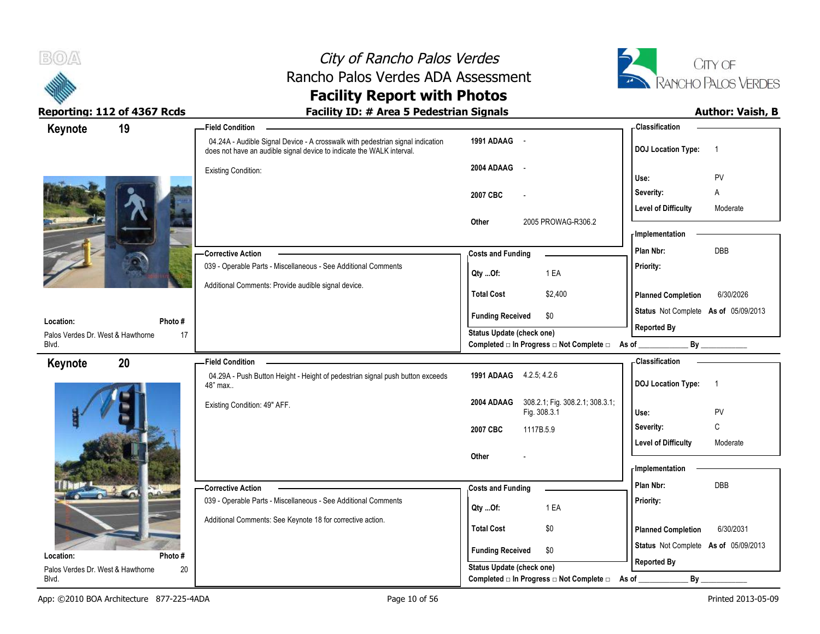



| 19<br>Keynote                                                  | <b>Field Condition</b>                                                                                                                                  |                                                                               | - Classification                                           |
|----------------------------------------------------------------|---------------------------------------------------------------------------------------------------------------------------------------------------------|-------------------------------------------------------------------------------|------------------------------------------------------------|
|                                                                | 04.24A - Audible Signal Device - A crosswalk with pedestrian signal indication<br>does not have an audible signal device to indicate the WALK interval. | 1991 ADAAG -                                                                  | <b>DOJ Location Type:</b><br>$\overline{1}$                |
|                                                                | <b>Existing Condition:</b>                                                                                                                              | 2004 ADAAG<br>$\sim$                                                          | PV<br>Use:                                                 |
|                                                                |                                                                                                                                                         | 2007 CBC<br>$\overline{\phantom{a}}$                                          | Severity:<br>Α                                             |
|                                                                |                                                                                                                                                         | 2005 PROWAG-R306.2<br>Other                                                   | <b>Level of Difficulty</b><br>Moderate<br>- Implementation |
|                                                                | - Corrective Action                                                                                                                                     | <b>Costs and Funding</b>                                                      | DBB<br>Plan Nbr:                                           |
|                                                                | 039 - Operable Parts - Miscellaneous - See Additional Comments                                                                                          | 1 EA<br>Qty Of:                                                               | Priority:                                                  |
|                                                                | Additional Comments: Provide audible signal device.                                                                                                     | <b>Total Cost</b><br>\$2,400                                                  | <b>Planned Completion</b><br>6/30/2026                     |
| Location:<br>Photo #                                           |                                                                                                                                                         | \$0<br><b>Funding Received</b>                                                | Status Not Complete As of 05/09/2013                       |
| Palos Verdes Dr. West & Hawthorne<br>17<br>Blvd.               |                                                                                                                                                         | Status Update (check one)<br>Completed □ In Progress □ Not Complete □ As of _ | <b>Reported By</b><br>By                                   |
|                                                                |                                                                                                                                                         |                                                                               | - Classification                                           |
| 20                                                             | <b>Field Condition</b>                                                                                                                                  |                                                                               |                                                            |
| Keynote                                                        | 04.29A - Push Button Height - Height of pedestrian signal push button exceeds<br>48" max                                                                | 1991 ADAAG 4.2.5, 4.2.6                                                       | <b>DOJ</b> Location Type:<br>$\overline{1}$                |
|                                                                | Existing Condition: 49" AFF.                                                                                                                            | 308.2.1; Fig. 308.2.1; 308.3.1;<br>2004 ADAAG<br>Fig. 308.3.1                 | PV<br>Use:                                                 |
|                                                                |                                                                                                                                                         | 2007 CBC<br>1117B.5.9                                                         | $\mathbb C$<br>Severity:                                   |
|                                                                |                                                                                                                                                         |                                                                               | <b>Level of Difficulty</b><br>Moderate                     |
|                                                                |                                                                                                                                                         | Other                                                                         | - Implementation                                           |
|                                                                | -Corrective Action                                                                                                                                      | <b>Costs and Funding</b>                                                      | Plan Nbr:<br><b>DBB</b>                                    |
|                                                                | 039 - Operable Parts - Miscellaneous - See Additional Comments                                                                                          | 1 EA<br>Qty Of:                                                               | Priority:                                                  |
|                                                                | Additional Comments: See Keynote 18 for corrective action.                                                                                              | <b>Total Cost</b><br>\$0                                                      | <b>Planned Completion</b><br>6/30/2031                     |
|                                                                |                                                                                                                                                         | <b>Funding Received</b><br>\$0                                                | Status Not Complete As of 05/09/2013                       |
| Photo#<br>Location:<br>Palos Verdes Dr. West & Hawthorne<br>20 |                                                                                                                                                         | Status Update (check one)                                                     | <b>Reported By</b>                                         |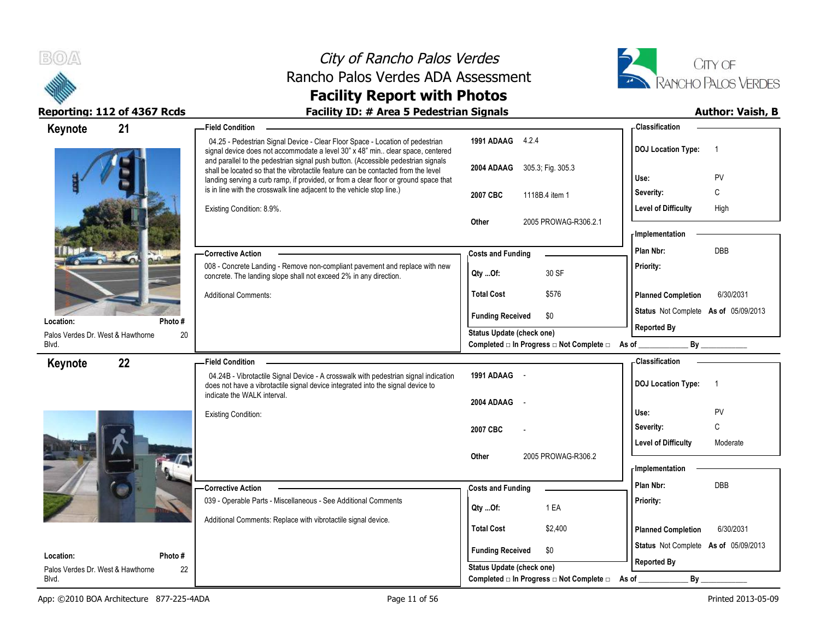



| Keynote                                        | 21            | - Field Condition                                                                                                                                                                                                                                              |                                                         | - Classification                            |
|------------------------------------------------|---------------|----------------------------------------------------------------------------------------------------------------------------------------------------------------------------------------------------------------------------------------------------------------|---------------------------------------------------------|---------------------------------------------|
|                                                |               | 04.25 - Pedestrian Signal Device - Clear Floor Space - Location of pedestrian<br>signal device does not accommodate a level 30" x 48" min clear space, centered                                                                                                | 1991 ADAAG 4.2.4                                        | <b>DOJ Location Type:</b><br>-1             |
|                                                |               | and parallel to the pedestrian signal push button. (Accessible pedestrian signals<br>shall be located so that the vibrotactile feature can be contacted from the level<br>landing serving a curb ramp, if provided, or from a clear floor or ground space that | 2004 ADAAG 305.3; Fig. 305.3                            | Use:<br>PV                                  |
|                                                |               | is in line with the crosswalk line adjacent to the vehicle stop line.)                                                                                                                                                                                         | 2007 CBC<br>1118B.4 item 1                              | C<br>Severity:                              |
|                                                |               | Existing Condition: 8.9%.                                                                                                                                                                                                                                      |                                                         | <b>Level of Difficulty</b><br>High          |
|                                                |               |                                                                                                                                                                                                                                                                | 2005 PROWAG-R306.2.1<br>Other                           |                                             |
|                                                |               |                                                                                                                                                                                                                                                                |                                                         | <b>Implementation</b>                       |
|                                                |               | <b>Corrective Action</b>                                                                                                                                                                                                                                       | <b>Costs and Funding</b>                                | Plan Nbr:<br>DBB                            |
|                                                |               | 008 - Concrete Landing - Remove non-compliant pavement and replace with new<br>concrete. The landing slope shall not exceed 2% in any direction.                                                                                                               | 30 SF<br>Qty Of:                                        | Priority:                                   |
|                                                |               | <b>Additional Comments:</b>                                                                                                                                                                                                                                    | <b>Total Cost</b><br>\$576                              | <b>Planned Completion</b><br>6/30/2031      |
|                                                |               |                                                                                                                                                                                                                                                                | <b>Funding Received</b><br>\$0                          | Status Not Complete As of 05/09/2013        |
| Location:<br>Palos Verdes Dr. West & Hawthorne | Photo#<br>20  |                                                                                                                                                                                                                                                                | Status Update (check one)                               | <b>Reported By</b>                          |
| Blvd.                                          |               |                                                                                                                                                                                                                                                                | Completed □ In Progress □ Not Complete □ As of ________ | By                                          |
| Keynote                                        | 22            | <b>Field Condition</b>                                                                                                                                                                                                                                         |                                                         | - Classification                            |
|                                                |               | 04.24B - Vibrotactile Signal Device - A crosswalk with pedestrian signal indication<br>does not have a vibrotactile signal device integrated into the signal device to                                                                                         | 1991 ADAAG -                                            | <b>DOJ Location Type:</b><br>$\overline{1}$ |
|                                                |               | indicate the WALK interval.                                                                                                                                                                                                                                    | 2004 ADAAG<br>$\sim$                                    |                                             |
|                                                |               | <b>Existing Condition:</b>                                                                                                                                                                                                                                     |                                                         | Use:<br>PV                                  |
|                                                |               |                                                                                                                                                                                                                                                                | 2007 CBC                                                | $\mathsf{C}$<br>Severity:                   |
|                                                |               |                                                                                                                                                                                                                                                                |                                                         | Level of Difficulty<br>Moderate             |
|                                                |               |                                                                                                                                                                                                                                                                | 2005 PROWAG-R306.2<br>Other                             | <b>Implementation</b>                       |
|                                                |               |                                                                                                                                                                                                                                                                |                                                         | Plan Nbr:<br><b>DBB</b>                     |
|                                                |               | - Corrective Action<br>039 - Operable Parts - Miscellaneous - See Additional Comments                                                                                                                                                                          | <b>Costs and Funding</b>                                | Priority:                                   |
|                                                |               |                                                                                                                                                                                                                                                                | 1 EA<br>Qty Of:                                         |                                             |
|                                                |               |                                                                                                                                                                                                                                                                |                                                         |                                             |
|                                                |               | Additional Comments: Replace with vibrotactile signal device.                                                                                                                                                                                                  | <b>Total Cost</b><br>\$2,400                            | 6/30/2031<br><b>Planned Completion</b>      |
|                                                |               |                                                                                                                                                                                                                                                                | <b>Funding Received</b><br>\$0                          | Status Not Complete As of 05/09/2013        |
| Location:<br>Palos Verdes Dr. West & Hawthorne | Photo #<br>22 |                                                                                                                                                                                                                                                                | Status Update (check one)                               | <b>Reported By</b>                          |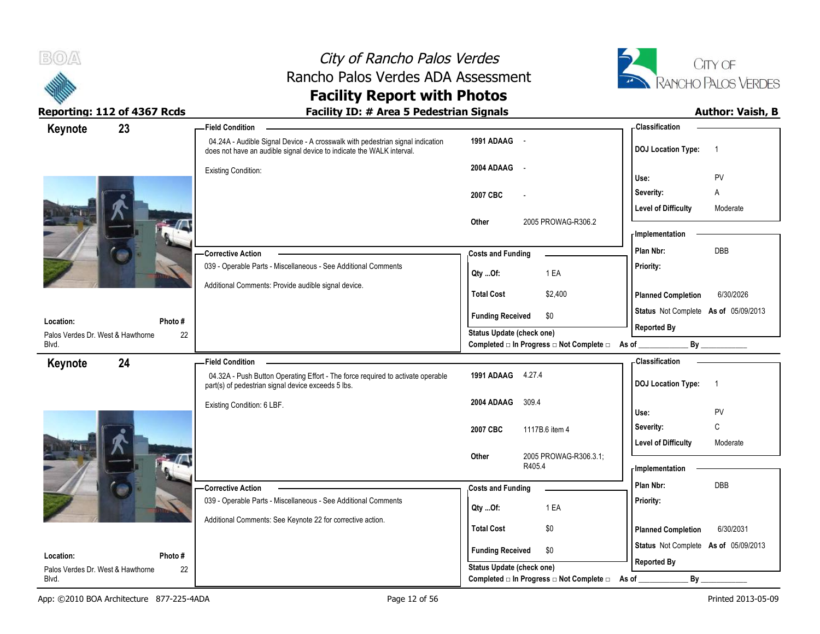



| 23<br>Keynote                                  |              | <b>Field Condition</b>                                                                                                                                  |                                                                       | <b>Classification</b>                       |
|------------------------------------------------|--------------|---------------------------------------------------------------------------------------------------------------------------------------------------------|-----------------------------------------------------------------------|---------------------------------------------|
|                                                |              | 04.24A - Audible Signal Device - A crosswalk with pedestrian signal indication<br>does not have an audible signal device to indicate the WALK interval. | 1991 ADAAG -                                                          | <b>DOJ</b> Location Type:<br>$\overline{1}$ |
|                                                |              | <b>Existing Condition:</b>                                                                                                                              | 2004 ADAAG<br>$\sim$                                                  |                                             |
|                                                |              |                                                                                                                                                         |                                                                       | PV<br>Use:                                  |
|                                                |              |                                                                                                                                                         | 2007 CBC                                                              | Severity:<br>Α                              |
|                                                |              |                                                                                                                                                         | Other<br>2005 PROWAG-R306.2                                           | <b>Level of Difficulty</b><br>Moderate      |
|                                                |              |                                                                                                                                                         |                                                                       | - Implementation                            |
|                                                |              | <b>Corrective Action</b>                                                                                                                                | <b>Costs and Funding</b>                                              | DBB<br>Plan Nbr:                            |
|                                                |              | 039 - Operable Parts - Miscellaneous - See Additional Comments                                                                                          | 1 EA                                                                  | Priority:                                   |
|                                                |              | Additional Comments: Provide audible signal device.                                                                                                     | Qty Of:                                                               |                                             |
|                                                |              |                                                                                                                                                         | <b>Total Cost</b><br>\$2,400                                          | <b>Planned Completion</b><br>6/30/2026      |
| Location:                                      | Photo#       |                                                                                                                                                         | <b>Funding Received</b><br>\$0                                        | Status Not Complete As of 05/09/2013        |
| Palos Verdes Dr. West & Hawthorne              | 22           |                                                                                                                                                         | Status Update (check one)                                             | <b>Reported By</b>                          |
| Blvd.                                          |              |                                                                                                                                                         | Completed □ In Progress □ Not Complete □ As of _                      | By                                          |
| 24<br>Keynote                                  |              | <b>Field Condition</b>                                                                                                                                  |                                                                       | - Classification                            |
|                                                |              | 04.32A - Push Button Operating Effort - The force required to activate operable<br>part(s) of pedestrian signal device exceeds 5 lbs.                   | 1991 ADAAG 4.27.4                                                     | <b>DOJ</b> Location Type:<br>$\overline{1}$ |
|                                                |              | Existing Condition: 6 LBF.                                                                                                                              | 2004 ADAAG<br>309.4                                                   |                                             |
|                                                |              |                                                                                                                                                         |                                                                       |                                             |
|                                                |              |                                                                                                                                                         |                                                                       | Use:<br>PV                                  |
|                                                |              |                                                                                                                                                         | 2007 CBC<br>1117B.6 item 4                                            | C<br>Severity:                              |
|                                                |              |                                                                                                                                                         | Other                                                                 | <b>Level of Difficulty</b><br>Moderate      |
|                                                |              |                                                                                                                                                         | 2005 PROWAG-R306.3.1;<br>R405.4                                       | - Implementation                            |
|                                                |              | -Corrective Action                                                                                                                                      | <b>Costs and Funding</b>                                              | Plan Nbr:<br><b>DBB</b>                     |
|                                                |              | 039 - Operable Parts - Miscellaneous - See Additional Comments                                                                                          |                                                                       | Priority:                                   |
|                                                |              | Additional Comments: See Keynote 22 for corrective action.                                                                                              | 1 EA<br>$Qty$ Of:                                                     |                                             |
|                                                |              |                                                                                                                                                         | <b>Total Cost</b><br>\$0                                              | 6/30/2031<br><b>Planned Completion</b>      |
|                                                |              |                                                                                                                                                         | <b>Funding Received</b><br>\$0                                        | Status Not Complete As of 05/09/2013        |
| Location:<br>Palos Verdes Dr. West & Hawthorne | Photo#<br>22 |                                                                                                                                                         | Status Update (check one)<br>Completed □ In Progress □ Not Complete □ | <b>Reported By</b>                          |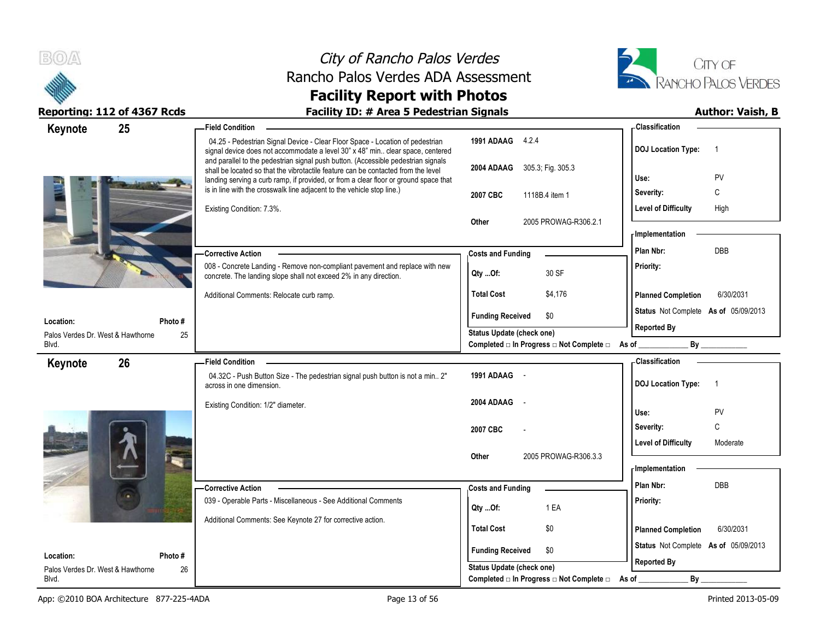



| 25<br>Keynote                                  |              | <b>Field Condition</b>                                                                                                                                                                                                                                         |                                                  | <b>Classification</b>                       |
|------------------------------------------------|--------------|----------------------------------------------------------------------------------------------------------------------------------------------------------------------------------------------------------------------------------------------------------------|--------------------------------------------------|---------------------------------------------|
|                                                |              | 04.25 - Pedestrian Signal Device - Clear Floor Space - Location of pedestrian<br>signal device does not accommodate a level 30" x 48" min clear space, centered                                                                                                | 1991 ADAAG 4.2.4                                 | <b>DOJ Location Type:</b><br>$\overline{1}$ |
|                                                |              | and parallel to the pedestrian signal push button. (Accessible pedestrian signals<br>shall be located so that the vibrotactile feature can be contacted from the level<br>landing serving a curb ramp, if provided, or from a clear floor or ground space that | 2004 ADAAG 305.3, Fig. 305.3                     | Use:<br>PV                                  |
|                                                |              | is in line with the crosswalk line adjacent to the vehicle stop line.)                                                                                                                                                                                         | 2007 CBC<br>1118B.4 item 1                       | C<br>Severity:                              |
|                                                |              | Existing Condition: 7.3%.                                                                                                                                                                                                                                      |                                                  | <b>Level of Difficulty</b><br>High          |
|                                                |              |                                                                                                                                                                                                                                                                | Other<br>2005 PROWAG-R306.2.1                    | - Implementation                            |
|                                                |              | <b>Corrective Action</b>                                                                                                                                                                                                                                       | <b>Costs and Funding</b>                         | DBB<br>Plan Nbr:                            |
|                                                |              | 008 - Concrete Landing - Remove non-compliant pavement and replace with new<br>concrete. The landing slope shall not exceed 2% in any direction.                                                                                                               | 30 SF<br>Qty Of:                                 | Priority:                                   |
|                                                |              | Additional Comments: Relocate curb ramp.                                                                                                                                                                                                                       | <b>Total Cost</b><br>\$4,176                     | <b>Planned Completion</b><br>6/30/2031      |
| Location:                                      |              |                                                                                                                                                                                                                                                                | <b>Funding Received</b><br>\$0                   | Status Not Complete As of 05/09/2013        |
| Palos Verdes Dr. West & Hawthorne              | Photo#<br>25 |                                                                                                                                                                                                                                                                | Status Update (check one)                        | <b>Reported By</b>                          |
| Blvd.                                          |              |                                                                                                                                                                                                                                                                | Completed □ In Progress □ Not Complete □ As of _ | By                                          |
| 26<br>Keynote                                  |              | <b>Field Condition</b>                                                                                                                                                                                                                                         |                                                  | - Classification                            |
|                                                |              | 04.32C - Push Button Size - The pedestrian signal push button is not a min 2"<br>across in one dimension.                                                                                                                                                      | 1991 ADAAG -                                     | <b>DOJ</b> Location Type:<br>$\overline{1}$ |
|                                                |              | Existing Condition: 1/2" diameter.                                                                                                                                                                                                                             | 2004 ADAAG<br>$\sim$                             | PV<br>Use:                                  |
|                                                |              |                                                                                                                                                                                                                                                                | 2007 CBC                                         | C<br>Severity:                              |
|                                                |              |                                                                                                                                                                                                                                                                |                                                  | <b>Level of Difficulty</b><br>Moderate      |
|                                                |              |                                                                                                                                                                                                                                                                | 2005 PROWAG-R306.3.3<br>Other                    | - Implementation                            |
|                                                |              | - Corrective Action                                                                                                                                                                                                                                            | <b>Costs and Funding</b>                         | Plan Nbr:<br>DBB                            |
|                                                |              | 039 - Operable Parts - Miscellaneous - See Additional Comments                                                                                                                                                                                                 | 1 EA<br>$Qty$ Of:                                | Priority:                                   |
|                                                |              | Additional Comments: See Keynote 27 for corrective action.                                                                                                                                                                                                     | <b>Total Cost</b><br>\$0                         | <b>Planned Completion</b><br>6/30/2031      |
|                                                |              |                                                                                                                                                                                                                                                                | <b>Funding Received</b><br>\$0                   | Status Not Complete As of 05/09/2013        |
| Location:<br>Palos Verdes Dr. West & Hawthorne | Photo#<br>26 |                                                                                                                                                                                                                                                                | <b>Status Update (check one)</b>                 | <b>Reported By</b>                          |
|                                                |              |                                                                                                                                                                                                                                                                |                                                  |                                             |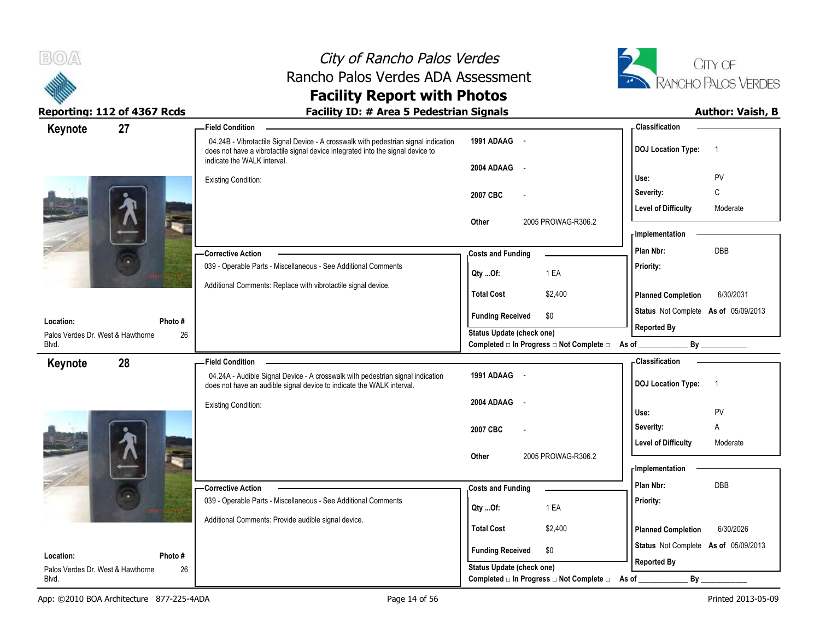

# City of Rancho Palos Verdes Rancho Palos Verdes ADA Assessment



### **Facility Report with Photos** Reporting: 112 of 4367 Rcds **Facility ID: # Area 5 Pedestrian Signals Facility ID: # Area 5 Pedestrian Signals**

| 27<br>Keynote                              |        | <b>Field Condition</b>                                                                                                                                                                                |                                                                                                            | <b>Classification</b>                       |
|--------------------------------------------|--------|-------------------------------------------------------------------------------------------------------------------------------------------------------------------------------------------------------|------------------------------------------------------------------------------------------------------------|---------------------------------------------|
|                                            |        | 04.24B - Vibrotactile Signal Device - A crosswalk with pedestrian signal indication<br>does not have a vibrotactile signal device integrated into the signal device to<br>indicate the WALK interval. | 1991 ADAAG -                                                                                               | <b>DOJ</b> Location Type:<br>$\overline{1}$ |
|                                            |        |                                                                                                                                                                                                       | 2004 ADAAG -                                                                                               |                                             |
|                                            |        | <b>Existing Condition:</b>                                                                                                                                                                            |                                                                                                            | Use:<br>PV                                  |
|                                            |        |                                                                                                                                                                                                       | 2007 CBC                                                                                                   | C<br>Severity:                              |
|                                            |        |                                                                                                                                                                                                       |                                                                                                            | <b>Level of Difficulty</b><br>Moderate      |
|                                            |        |                                                                                                                                                                                                       | Other<br>2005 PROWAG-R306.2                                                                                | - Implementation                            |
|                                            |        |                                                                                                                                                                                                       |                                                                                                            | DBB<br>Plan Nbr:                            |
|                                            |        | <b>Corrective Action</b><br>039 - Operable Parts - Miscellaneous - See Additional Comments                                                                                                            | <b>Costs and Funding</b>                                                                                   | Priority:                                   |
|                                            |        |                                                                                                                                                                                                       | 1 EA<br>Qty Of:                                                                                            |                                             |
|                                            |        | Additional Comments: Replace with vibrotactile signal device.                                                                                                                                         | <b>Total Cost</b><br>\$2,400                                                                               | <b>Planned Completion</b><br>6/30/2031      |
|                                            |        |                                                                                                                                                                                                       | <b>Funding Received</b><br>\$0                                                                             | Status Not Complete As of 05/09/2013        |
| Location:                                  | Photo# |                                                                                                                                                                                                       | Status Update (check one)                                                                                  | <b>Reported By</b>                          |
| Palos Verdes Dr. West & Hawthorne<br>Blvd. | 26     |                                                                                                                                                                                                       | Completed □ In Progress □ Not Complete □ As of _                                                           | By                                          |
| 28<br>Keynote                              |        | <b>Field Condition</b>                                                                                                                                                                                |                                                                                                            | - Classification                            |
|                                            |        | 04.24A - Audible Signal Device - A crosswalk with pedestrian signal indication<br>does not have an audible signal device to indicate the WALK interval.                                               | 1991 ADAAG -                                                                                               | <b>DOJ Location Type:</b><br>$\overline{1}$ |
|                                            |        | <b>Existing Condition:</b>                                                                                                                                                                            | 2004 ADAAG<br>$\sim$                                                                                       |                                             |
|                                            |        |                                                                                                                                                                                                       |                                                                                                            | Use:<br>PV                                  |
|                                            |        |                                                                                                                                                                                                       | 2007 CBC                                                                                                   | Severity:<br>Α                              |
|                                            |        |                                                                                                                                                                                                       |                                                                                                            | <b>Level of Difficulty</b><br>Moderate      |
|                                            |        |                                                                                                                                                                                                       | 2005 PROWAG-R306.2<br>Other                                                                                | - Implementation                            |
|                                            |        |                                                                                                                                                                                                       |                                                                                                            | Plan Nbr:<br><b>DBB</b>                     |
|                                            |        | - Corrective Action<br>039 - Operable Parts - Miscellaneous - See Additional Comments                                                                                                                 | <b>Costs and Funding</b>                                                                                   | Priority:                                   |
|                                            |        |                                                                                                                                                                                                       | 1 EA<br>Qty Of:                                                                                            |                                             |
|                                            |        | Additional Comments: Provide audible signal device.                                                                                                                                                   | <b>Total Cost</b><br>\$2,400                                                                               | 6/30/2026<br><b>Planned Completion</b>      |
|                                            |        |                                                                                                                                                                                                       |                                                                                                            | Status Not Complete As of 05/09/2013        |
| Location:                                  | Photo# |                                                                                                                                                                                                       | <b>Funding Received</b><br>\$0                                                                             |                                             |
|                                            |        |                                                                                                                                                                                                       |                                                                                                            |                                             |
| Palos Verdes Dr. West & Hawthorne<br>Blvd. | 26     |                                                                                                                                                                                                       | <b>Status Update (check one)</b><br>Completed $\square$ In Progress $\square$ Not Complete $\square$ As of | <b>Reported By</b><br>By                    |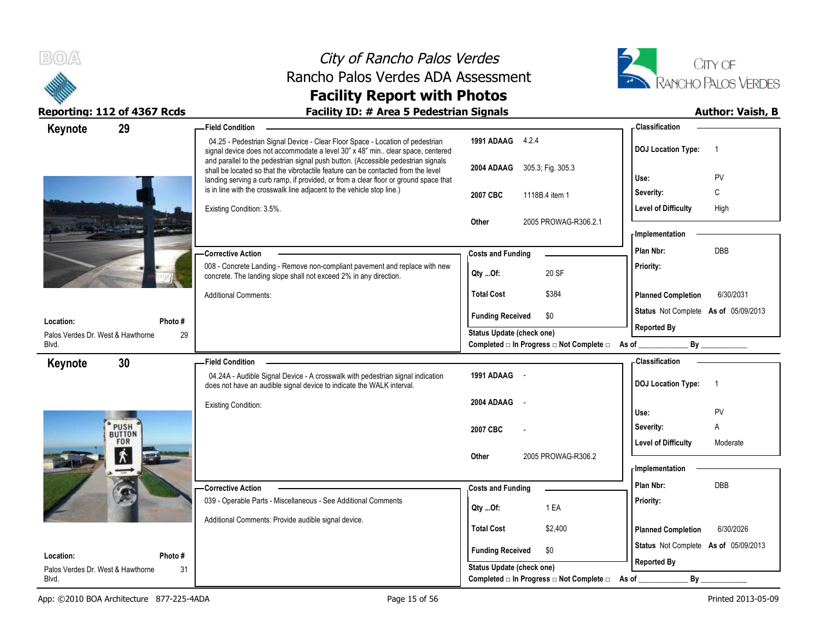



| 29<br>Keynote                                  |              | - Field Condition                                                                                                                                                                                                                                              |                                                | - Classification                            |
|------------------------------------------------|--------------|----------------------------------------------------------------------------------------------------------------------------------------------------------------------------------------------------------------------------------------------------------------|------------------------------------------------|---------------------------------------------|
|                                                |              | 04.25 - Pedestrian Signal Device - Clear Floor Space - Location of pedestrian<br>signal device does not accommodate a level 30" x 48" min clear space, centered                                                                                                | 1991 ADAAG 4.2.4                               | <b>DOJ Location Type:</b><br>-1             |
|                                                |              | and parallel to the pedestrian signal push button. (Accessible pedestrian signals<br>shall be located so that the vibrotactile feature can be contacted from the level<br>landing serving a curb ramp, if provided, or from a clear floor or ground space that | 2004 ADAAG 305.3; Fig. 305.3                   | PV<br>Use:                                  |
|                                                |              | is in line with the crosswalk line adjacent to the vehicle stop line.)                                                                                                                                                                                         | 2007 CBC<br>1118B.4 item 1                     | C<br>Severity:                              |
|                                                |              | Existing Condition: 3.5%.                                                                                                                                                                                                                                      |                                                | <b>Level of Difficulty</b><br>High          |
|                                                |              |                                                                                                                                                                                                                                                                | 2005 PROWAG-R306.2.1<br>Other                  |                                             |
|                                                |              |                                                                                                                                                                                                                                                                |                                                | <b>Implementation</b>                       |
|                                                |              | - Corrective Action                                                                                                                                                                                                                                            | <b>Costs and Funding</b>                       | Plan Nbr:<br>DBB                            |
|                                                |              | 008 - Concrete Landing - Remove non-compliant pavement and replace with new<br>concrete. The landing slope shall not exceed 2% in any direction.                                                                                                               | 20 SF<br>$Qty$ Of:                             | Priority:                                   |
|                                                |              | <b>Additional Comments:</b>                                                                                                                                                                                                                                    | <b>Total Cost</b><br>\$384                     | <b>Planned Completion</b><br>6/30/2031      |
|                                                |              |                                                                                                                                                                                                                                                                | <b>Funding Received</b><br>\$0                 | Status Not Complete As of 05/09/2013        |
| Location:<br>Palos Verdes Dr. West & Hawthorne | Photo#<br>29 |                                                                                                                                                                                                                                                                | Status Update (check one)                      | <b>Reported By</b>                          |
| Blvd.                                          |              |                                                                                                                                                                                                                                                                | Completed □ In Progress □ Not Complete □ As of | By                                          |
| 30<br>Keynote                                  |              | <b>Field Condition</b>                                                                                                                                                                                                                                         |                                                | - Classification                            |
|                                                |              | 04.24A - Audible Signal Device - A crosswalk with pedestrian signal indication<br>does not have an audible signal device to indicate the WALK interval.                                                                                                        | 1991 ADAAG -                                   | <b>DOJ Location Type:</b><br>$\overline{1}$ |
|                                                |              | <b>Existing Condition:</b>                                                                                                                                                                                                                                     | 2004 ADAAG<br>$\sim$ $\sim$                    | PV<br>Use:                                  |
| PUSH                                           |              |                                                                                                                                                                                                                                                                |                                                | Α<br>Severity:                              |
| <b>BUTTON</b><br><b>FOR</b>                    |              |                                                                                                                                                                                                                                                                | 2007 CBC                                       | Level of Difficulty<br>Moderate             |
| 术                                              |              |                                                                                                                                                                                                                                                                | 2005 PROWAG-R306.2<br>Other                    |                                             |
|                                                |              |                                                                                                                                                                                                                                                                |                                                | <b>Implementation</b>                       |
|                                                |              | Corrective Action                                                                                                                                                                                                                                              | <b>Costs and Funding</b>                       | Plan Nbr:<br><b>DBB</b>                     |
|                                                |              | 039 - Operable Parts - Miscellaneous - See Additional Comments                                                                                                                                                                                                 | 1 EA<br>Qty Of:                                | Priority:                                   |
|                                                |              | Additional Comments: Provide audible signal device.                                                                                                                                                                                                            | <b>Total Cost</b>                              |                                             |
|                                                |              |                                                                                                                                                                                                                                                                | \$2,400                                        | 6/30/2026<br><b>Planned Completion</b>      |
| Location:                                      | Photo#       |                                                                                                                                                                                                                                                                | <b>Funding Received</b><br>\$0                 | Status Not Complete As of 05/09/2013        |
| Palos Verdes Dr. West & Hawthorne              | 31           |                                                                                                                                                                                                                                                                | Status Update (check one)                      | <b>Reported By</b>                          |
| Blvd.                                          |              |                                                                                                                                                                                                                                                                | Completed □ In Progress □ Not Complete □       | By<br>As of                                 |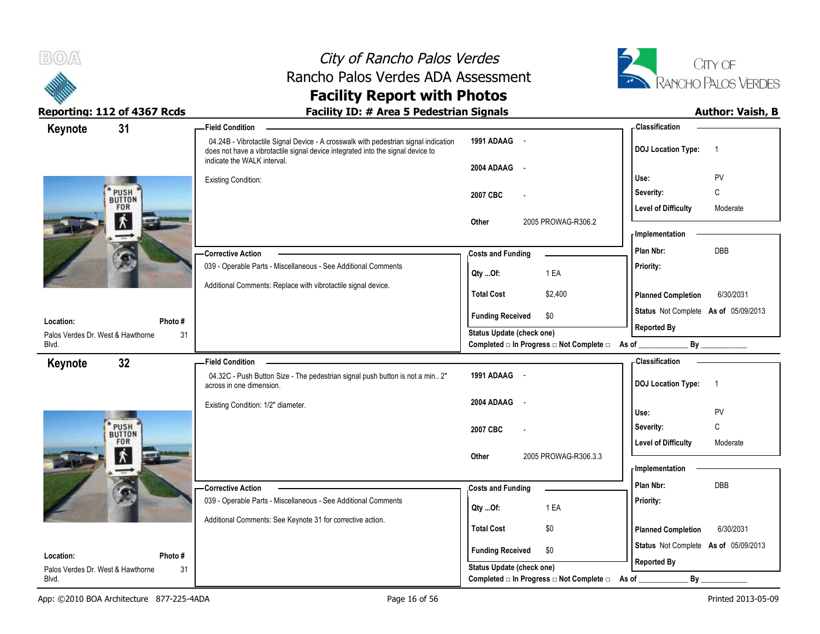



| Keynote                                    | 31                          | <b>Field Condition</b>                                                                                                                                                                                |                                                  | - Classification                            |
|--------------------------------------------|-----------------------------|-------------------------------------------------------------------------------------------------------------------------------------------------------------------------------------------------------|--------------------------------------------------|---------------------------------------------|
|                                            |                             | 04.24B - Vibrotactile Signal Device - A crosswalk with pedestrian signal indication<br>does not have a vibrotactile signal device integrated into the signal device to<br>indicate the WALK interval. | 1991 ADAAG -                                     | <b>DOJ Location Type:</b><br>$\overline{1}$ |
|                                            |                             |                                                                                                                                                                                                       | 2004 ADAAG -                                     |                                             |
|                                            |                             | <b>Existing Condition:</b>                                                                                                                                                                            |                                                  | PV<br>Use:                                  |
|                                            | PUSH<br>BUTTON<br>FOR       |                                                                                                                                                                                                       | 2007 CBC                                         | C<br>Severity:                              |
|                                            | $\overline{\mathbf{r}}$     |                                                                                                                                                                                                       |                                                  | <b>Level of Difficulty</b><br>Moderate      |
|                                            |                             |                                                                                                                                                                                                       | 2005 PROWAG-R306.2<br>Other                      | <b>Implementation</b>                       |
|                                            |                             |                                                                                                                                                                                                       |                                                  | <b>DBB</b><br>Plan Nbr:                     |
|                                            |                             | <b>Corrective Action</b><br>039 - Operable Parts - Miscellaneous - See Additional Comments                                                                                                            | <b>Costs and Funding</b>                         | Priority:                                   |
|                                            |                             |                                                                                                                                                                                                       | 1 EA<br>Qty Of:                                  |                                             |
|                                            |                             | Additional Comments: Replace with vibrotactile signal device.                                                                                                                                         | <b>Total Cost</b><br>\$2,400                     | <b>Planned Completion</b><br>6/30/2031      |
|                                            |                             |                                                                                                                                                                                                       | \$0<br><b>Funding Received</b>                   | Status Not Complete As of 05/09/2013        |
| Location:                                  | Photo#                      |                                                                                                                                                                                                       | Status Update (check one)                        | <b>Reported By</b>                          |
| Palos Verdes Dr. West & Hawthorne<br>Blvd. | 31                          |                                                                                                                                                                                                       | Completed □ In Progress □ Not Complete □ As of _ |                                             |
| Keynote                                    | 32 <sub>2</sub>             | <b>Field Condition</b>                                                                                                                                                                                |                                                  | - Classification                            |
|                                            |                             | 04.32C - Push Button Size - The pedestrian signal push button is not a min 2"<br>across in one dimension.                                                                                             | 1991 ADAAG -                                     | <b>DOJ Location Type:</b><br>$\overline{1}$ |
|                                            |                             | Existing Condition: 1/2" diameter.                                                                                                                                                                    | 2004 ADAAG<br>$\sim$ $-$                         |                                             |
|                                            |                             |                                                                                                                                                                                                       |                                                  | Use:<br>PV                                  |
|                                            | PUSH <sup>3</sup><br>BUTTON |                                                                                                                                                                                                       | 2007 CBC                                         | C<br>Severity:                              |
|                                            | FOR                         |                                                                                                                                                                                                       |                                                  | <b>Level of Difficulty</b><br>Moderate      |
|                                            | $\pmb{\hat{\pi}}$           |                                                                                                                                                                                                       | 2005 PROWAG-R306.3.3<br>Other                    | - Implementation                            |
|                                            |                             |                                                                                                                                                                                                       |                                                  | DBB<br>Plan Nbr:                            |
|                                            |                             | <b>Corrective Action</b>                                                                                                                                                                              | <b>Costs and Funding</b>                         |                                             |
|                                            |                             | 039 - Operable Parts - Miscellaneous - See Additional Comments                                                                                                                                        | 1 EA<br>Qty Of:                                  | Priority:                                   |
|                                            |                             | Additional Comments: See Keynote 31 for corrective action.                                                                                                                                            | <b>Total Cost</b><br>\$0                         | 6/30/2031                                   |
|                                            |                             |                                                                                                                                                                                                       |                                                  | <b>Planned Completion</b>                   |
| Location:                                  | Photo #                     |                                                                                                                                                                                                       | <b>Funding Received</b><br>\$0                   | Status Not Complete As of 05/09/2013        |
| Palos Verdes Dr. West & Hawthorne          | 31                          |                                                                                                                                                                                                       | <b>Status Update (check one)</b>                 | <b>Reported By</b>                          |
| Blvd.                                      |                             |                                                                                                                                                                                                       | Completed □ In Progress □ Not Complete □         | By<br>As of                                 |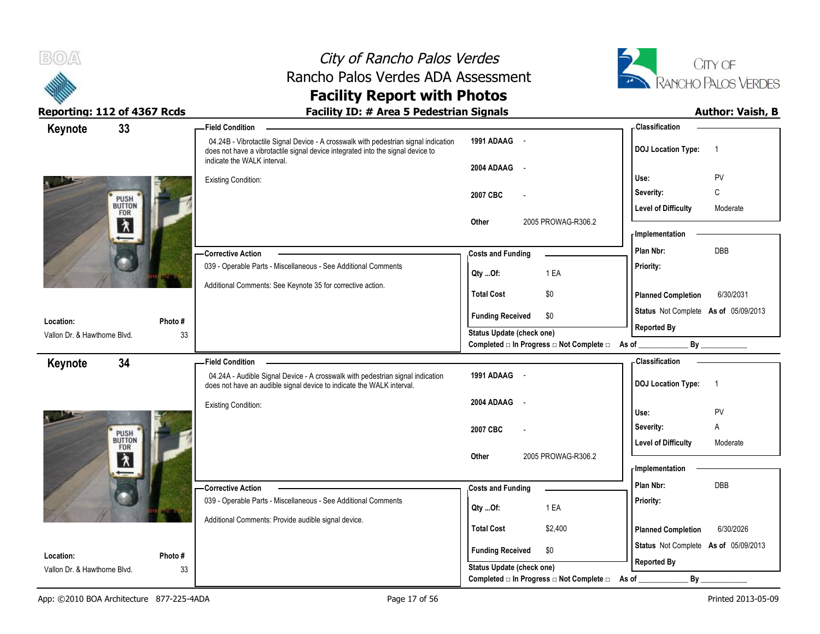



| Keynote                      | 33             | -Field Condition                                                                                                                                                       |                                                  | - Classification                            |
|------------------------------|----------------|------------------------------------------------------------------------------------------------------------------------------------------------------------------------|--------------------------------------------------|---------------------------------------------|
|                              |                | 04.24B - Vibrotactile Signal Device - A crosswalk with pedestrian signal indication<br>does not have a vibrotactile signal device integrated into the signal device to | 1991 ADAAG -                                     | <b>DOJ Location Type:</b><br>$\overline{1}$ |
|                              |                | indicate the WALK interval.                                                                                                                                            | 2004 ADAAG<br>$\sim$ $-$                         |                                             |
|                              |                | <b>Existing Condition:</b>                                                                                                                                             |                                                  | PV<br>Use:                                  |
|                              | PUSH<br>BUTTON |                                                                                                                                                                        | 2007 CBC                                         | $\mathsf{C}$<br>Severity:                   |
|                              | FOR            |                                                                                                                                                                        |                                                  | <b>Level of Difficulty</b><br>Moderate      |
|                              | 入              |                                                                                                                                                                        | 2005 PROWAG-R306.2<br>Other                      |                                             |
|                              |                |                                                                                                                                                                        |                                                  | <b>Implementation</b>                       |
|                              |                | -Corrective Action                                                                                                                                                     | <b>Costs and Funding</b>                         | DBB<br>Plan Nbr:                            |
|                              |                | 039 - Operable Parts - Miscellaneous - See Additional Comments                                                                                                         | 1 EA<br>Qty Of:                                  | Priority:                                   |
|                              |                | Additional Comments: See Keynote 35 for corrective action.                                                                                                             |                                                  |                                             |
|                              |                |                                                                                                                                                                        | <b>Total Cost</b><br>\$0                         | 6/30/2031<br><b>Planned Completion</b>      |
| Location:                    | Photo #        |                                                                                                                                                                        | <b>Funding Received</b><br>\$0                   | Status Not Complete As of 05/09/2013        |
| Vallon Dr. & Hawthorne Blvd. | 33             |                                                                                                                                                                        | <b>Status Update (check one)</b>                 | <b>Reported By</b>                          |
|                              |                |                                                                                                                                                                        | Completed □ In Progress □ Not Complete □ As of _ | By                                          |
| Keynote                      | 34             | - Field Condition                                                                                                                                                      |                                                  | - Classification                            |
|                              |                | 04.24A - Audible Signal Device - A crosswalk with pedestrian signal indication<br>does not have an audible signal device to indicate the WALK interval.                | 1991 ADAAG -                                     | <b>DOJ Location Type:</b><br>$\overline{1}$ |
|                              |                | <b>Existing Condition:</b>                                                                                                                                             | 2004 ADAAG<br>$\sim$                             |                                             |
|                              |                |                                                                                                                                                                        |                                                  | PV<br>Use:                                  |
|                              | PUSH<br>BUTTON |                                                                                                                                                                        | 2007 CBC                                         | Severity:<br>A                              |
|                              | FOR            |                                                                                                                                                                        |                                                  | <b>Level of Difficulty</b><br>Moderate      |
|                              | $\lambda$      |                                                                                                                                                                        | 2005 PROWAG-R306.2<br>Other                      | - Implementation                            |
|                              |                |                                                                                                                                                                        |                                                  | DBB<br>Plan Nbr:                            |
|                              |                | -Corrective Action                                                                                                                                                     | <b>Costs and Funding</b>                         |                                             |
|                              |                | 039 - Operable Parts - Miscellaneous - See Additional Comments                                                                                                         | 1 EA<br>Qty Of:                                  | Priority:                                   |
|                              |                | Additional Comments: Provide audible signal device.                                                                                                                    | <b>Total Cost</b><br>\$2,400                     | <b>Planned Completion</b><br>6/30/2026      |
|                              |                |                                                                                                                                                                        |                                                  |                                             |
| Location:                    | Photo #        |                                                                                                                                                                        | <b>Funding Received</b><br>\$0                   | Status Not Complete As of 05/09/2013        |
| Vallon Dr. & Hawthorne Blvd. | 33             |                                                                                                                                                                        | Status Update (check one)                        | <b>Reported By</b>                          |
|                              |                |                                                                                                                                                                        | Completed □ In Progress □ Not Complete □         | By<br>As of                                 |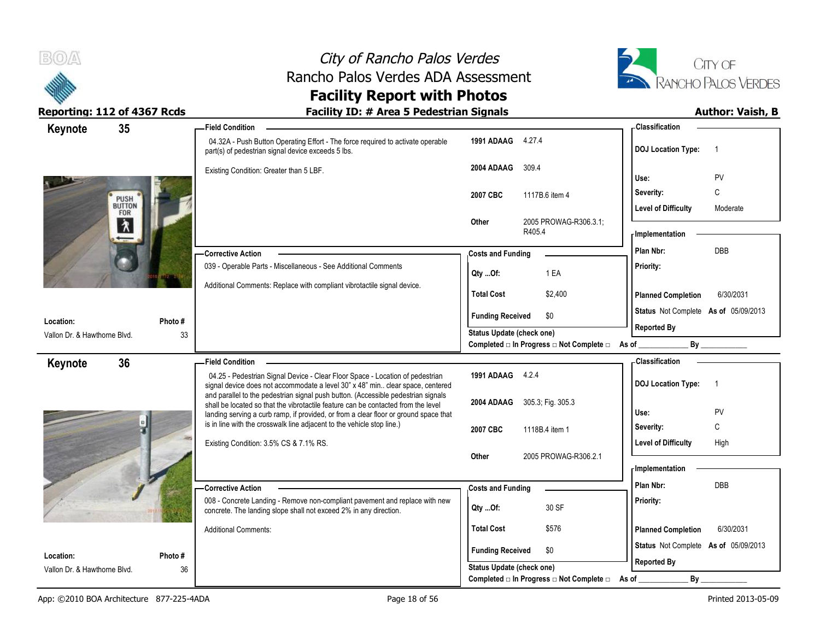



| 35<br>Keynote                             |              | <b>Field Condition</b>                                                                                                                                                                                                                               |                                  |                                                          | - Classification                     |                |
|-------------------------------------------|--------------|------------------------------------------------------------------------------------------------------------------------------------------------------------------------------------------------------------------------------------------------------|----------------------------------|----------------------------------------------------------|--------------------------------------|----------------|
|                                           |              | 04.32A - Push Button Operating Effort - The force required to activate operable<br>part(s) of pedestrian signal device exceeds 5 lbs.                                                                                                                | 1991 ADAAG 4.27.4                |                                                          | <b>DOJ Location Type:</b>            | -1             |
|                                           |              | Existing Condition: Greater than 5 LBF.                                                                                                                                                                                                              | 2004 ADAAG                       | 309.4                                                    | Use:                                 | PV             |
|                                           |              |                                                                                                                                                                                                                                                      | 2007 CBC                         | 1117B.6 item 4                                           | Severity:                            | C              |
| PUSH<br>BUTTON<br>FOR                     |              |                                                                                                                                                                                                                                                      |                                  |                                                          | <b>Level of Difficulty</b>           | Moderate       |
| 久                                         |              |                                                                                                                                                                                                                                                      | Other                            | 2005 PROWAG-R306.3.1;<br>R405.4                          | - Implementation                     |                |
|                                           |              | -Corrective Action                                                                                                                                                                                                                                   | <b>Costs and Funding</b>         |                                                          | Plan Nbr:                            | DBB            |
|                                           |              | 039 - Operable Parts - Miscellaneous - See Additional Comments                                                                                                                                                                                       | Qty Of:                          | 1 EA                                                     | Priority:                            |                |
|                                           |              | Additional Comments: Replace with compliant vibrotactile signal device.                                                                                                                                                                              | <b>Total Cost</b>                | \$2,400                                                  | <b>Planned Completion</b>            | 6/30/2031      |
|                                           |              |                                                                                                                                                                                                                                                      | <b>Funding Received</b>          | \$0                                                      | Status Not Complete As of 05/09/2013 |                |
| Location:<br>Vallon Dr. & Hawthorne Blvd. | Photo#<br>33 |                                                                                                                                                                                                                                                      | Status Update (check one)        |                                                          | <b>Reported By</b>                   |                |
|                                           |              |                                                                                                                                                                                                                                                      |                                  | Completed □ In Progress □ Not Complete □ As of _________ |                                      | By             |
| 36<br>Keynote                             |              | <b>Field Condition</b>                                                                                                                                                                                                                               |                                  |                                                          | <b>Classification</b>                |                |
|                                           |              | 04.25 - Pedestrian Signal Device - Clear Floor Space - Location of pedestrian<br>signal device does not accommodate a level 30" x 48" min clear space, centered<br>and parallel to the pedestrian signal push button. (Accessible pedestrian signals | 1991 ADAAG 4.2.4                 |                                                          | <b>DOJ Location Type:</b>            | $\overline{1}$ |
|                                           |              |                                                                                                                                                                                                                                                      |                                  |                                                          |                                      |                |
|                                           |              | shall be located so that the vibrotactile feature can be contacted from the level                                                                                                                                                                    | 2004 ADAAG 305.3, Fig. 305.3     |                                                          |                                      |                |
|                                           |              | landing serving a curb ramp, if provided, or from a clear floor or ground space that                                                                                                                                                                 |                                  |                                                          | Use:                                 | PV             |
|                                           |              | is in line with the crosswalk line adjacent to the vehicle stop line.)                                                                                                                                                                               | 2007 CBC                         | 1118B.4 item 1                                           | Severity:                            | $\mathsf{C}$   |
|                                           |              | Existing Condition: 3.5% CS & 7.1% RS.                                                                                                                                                                                                               | Other                            | 2005 PROWAG-R306.2.1                                     | <b>Level of Difficulty</b>           | High           |
|                                           |              |                                                                                                                                                                                                                                                      |                                  |                                                          | <b>Implementation</b>                |                |
|                                           |              | - Corrective Action                                                                                                                                                                                                                                  | <b>Costs and Funding</b>         |                                                          | Plan Nbr:                            | <b>DBB</b>     |
|                                           |              | 008 - Concrete Landing - Remove non-compliant pavement and replace with new<br>concrete. The landing slope shall not exceed 2% in any direction.                                                                                                     | $Qty$ Of:                        | 30 SF                                                    | Priority:                            |                |
|                                           |              | <b>Additional Comments:</b>                                                                                                                                                                                                                          | <b>Total Cost</b>                | \$576                                                    | <b>Planned Completion</b>            | 6/30/2031      |
| Location:                                 | Photo#       |                                                                                                                                                                                                                                                      | <b>Funding Received</b>          | \$0                                                      | Status Not Complete As of 05/09/2013 |                |
| Vallon Dr. & Hawthorne Blvd.              | 36           |                                                                                                                                                                                                                                                      | <b>Status Update (check one)</b> | Completed □ In Progress □ Not Complete □ As of           | <b>Reported By</b><br>By             |                |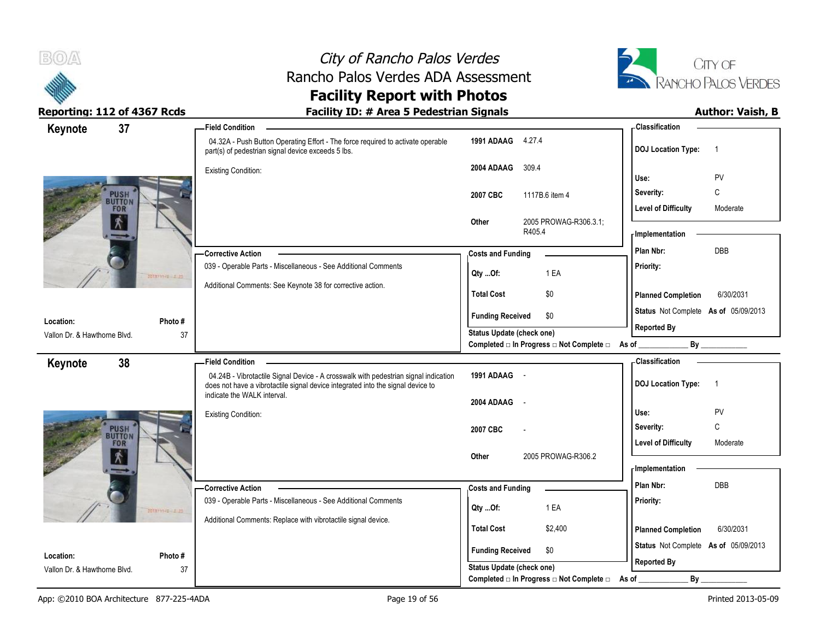

# City of Rancho Palos Verdes Rancho Palos Verdes ADA Assessment



### **Facility Report with Photos** Reporting: 112 of 4367 Rcds **Facility ID: # Area 5 Pedestrian Signals Facility ID: # Area 5 Pedestrian Signals**

| 37<br>Keynote                |                  | - Field Condition                                                                                                                                                      |                                  |        |                                                  | - Classification                     |                |
|------------------------------|------------------|------------------------------------------------------------------------------------------------------------------------------------------------------------------------|----------------------------------|--------|--------------------------------------------------|--------------------------------------|----------------|
|                              |                  | 04.32A - Push Button Operating Effort - The force required to activate operable<br>part(s) of pedestrian signal device exceeds 5 lbs.                                  | 1991 ADAAG 4.27.4                |        |                                                  | <b>DOJ Location Type:</b>            | $\overline{1}$ |
|                              |                  | <b>Existing Condition:</b>                                                                                                                                             | 2004 ADAAG                       | 309.4  |                                                  | Use:                                 | PV             |
|                              |                  |                                                                                                                                                                        | 2007 CBC                         |        | 1117B.6 item 4                                   | Severity:                            | $\mathsf C$    |
| <b>PUSH</b><br>FOR           |                  |                                                                                                                                                                        |                                  |        |                                                  | <b>Level of Difficulty</b>           | Moderate       |
| 术                            |                  |                                                                                                                                                                        | Other                            | R405.4 | 2005 PROWAG-R306.3.1;                            | - Implementation                     |                |
|                              |                  | -Corrective Action                                                                                                                                                     | <b>Costs and Funding</b>         |        |                                                  | Plan Nbr:                            | <b>DBB</b>     |
|                              | 2010/11-6 2.20   | 039 - Operable Parts - Miscellaneous - See Additional Comments                                                                                                         | Qty Of:                          |        | 1 EA                                             | Priority:                            |                |
|                              |                  | Additional Comments: See Keynote 38 for corrective action.                                                                                                             | <b>Total Cost</b>                |        | \$0                                              | <b>Planned Completion</b>            | 6/30/2031      |
| Location:                    | Photo#           |                                                                                                                                                                        | <b>Funding Received</b>          |        | \$0                                              | Status Not Complete As of 05/09/2013 |                |
| Vallon Dr. & Hawthorne Blvd. | 37               |                                                                                                                                                                        | <b>Status Update (check one)</b> |        |                                                  | <b>Reported By</b>                   |                |
|                              |                  |                                                                                                                                                                        |                                  |        | Completed □ In Progress □ Not Complete □ As of _ |                                      | By             |
| 38<br>Keynote                |                  | <b>Field Condition</b>                                                                                                                                                 |                                  |        |                                                  | <b>Classification</b>                |                |
|                              |                  | 04.24B - Vibrotactile Signal Device - A crosswalk with pedestrian signal indication<br>does not have a vibrotactile signal device integrated into the signal device to | 1991 ADAAG -                     |        |                                                  | <b>DOJ Location Type:</b>            | $\overline{1}$ |
|                              |                  | indicate the WALK interval.                                                                                                                                            | 2004 ADAAG                       | $\sim$ |                                                  |                                      |                |
|                              |                  | <b>Existing Condition:</b>                                                                                                                                             |                                  |        |                                                  | Use:                                 | PV             |
| <b>PUSH</b>                  |                  |                                                                                                                                                                        | 2007 CBC                         |        |                                                  | Severity:                            | C              |
| FOR<br>$\mathbf{\hat{X}}$    |                  |                                                                                                                                                                        | Other                            |        | 2005 PROWAG-R306.2                               | <b>Level of Difficulty</b>           | Moderate       |
|                              |                  |                                                                                                                                                                        |                                  |        |                                                  | - Implementation                     |                |
|                              |                  | -Corrective Action                                                                                                                                                     | <b>Costs and Funding</b>         |        |                                                  | Plan Nbr:                            | DBB            |
|                              |                  | 039 - Operable Parts - Miscellaneous - See Additional Comments                                                                                                         |                                  |        | 1 EA                                             | Priority:                            |                |
|                              | MANY THE E.E. AD | Additional Comments: Replace with vibrotactile signal device.                                                                                                          | Qty Of:                          |        |                                                  |                                      |                |
|                              |                  |                                                                                                                                                                        | <b>Total Cost</b>                |        | \$2,400                                          | <b>Planned Completion</b>            | 6/30/2031      |
| Location:                    | Photo#           |                                                                                                                                                                        | <b>Funding Received</b>          |        | \$0                                              | Status Not Complete As of 05/09/2013 |                |
| Vallon Dr. & Hawthorne Blvd. | 37               |                                                                                                                                                                        | <b>Status Update (check one)</b> |        |                                                  | <b>Reported By</b>                   |                |
|                              |                  |                                                                                                                                                                        |                                  |        | Completed □ In Progress □ Not Complete □         | By<br>As of                          |                |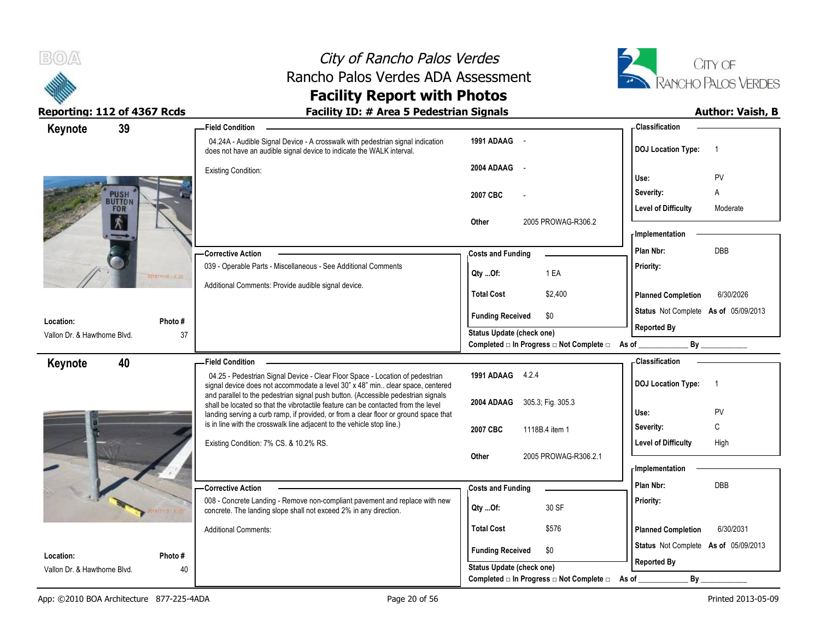



| 39<br>Keynote                |                | <b>Field Condition</b>                                                                                                                                                 |                                                               | - Classification                            |
|------------------------------|----------------|------------------------------------------------------------------------------------------------------------------------------------------------------------------------|---------------------------------------------------------------|---------------------------------------------|
|                              |                | 04.24A - Audible Signal Device - A crosswalk with pedestrian signal indication<br>does not have an audible signal device to indicate the WALK interval.                | 1991 ADAAG -                                                  | <b>DOJ</b> Location Type:<br>-1             |
|                              |                | <b>Existing Condition:</b>                                                                                                                                             | 2004 ADAAG -                                                  | PV<br>Use:                                  |
| <b>PUSH</b><br>BUTTON        |                |                                                                                                                                                                        | 2007 CBC                                                      | Severity:<br>A                              |
| FOR                          |                |                                                                                                                                                                        |                                                               | <b>Level of Difficulty</b><br>Moderate      |
| $\mathbf{\hat{r}}$           |                |                                                                                                                                                                        | 2005 PROWAG-R306.2<br>Other                                   | - Implementation                            |
|                              |                | -Corrective Action                                                                                                                                                     | <b>Costs and Funding</b>                                      | DBB<br>Plan Nbr:                            |
|                              | 2010/11/2 2.20 | 039 - Operable Parts - Miscellaneous - See Additional Comments                                                                                                         | 1 EA<br>Qty Of:                                               | Priority:                                   |
|                              |                | Additional Comments: Provide audible signal device.                                                                                                                    | <b>Total Cost</b><br>\$2,400                                  | <b>Planned Completion</b><br>6/30/2026      |
| Location:                    | Photo #        |                                                                                                                                                                        | <b>Funding Received</b><br>\$0                                | Status Not Complete As of 05/09/2013        |
| Vallon Dr. & Hawthorne Blvd. | 37             |                                                                                                                                                                        | Status Update (check one)                                     | <b>Reported By</b>                          |
|                              |                |                                                                                                                                                                        | Completed □ In Progress □ Not Complete □ As of _              | By                                          |
| 40<br>Keynote                |                | <b>Field Condition</b><br>04.25 - Pedestrian Signal Device - Clear Floor Space - Location of pedestrian                                                                | 1991 ADAAG 4.2.4                                              | - Classification                            |
|                              |                | signal device does not accommodate a level 30" x 48" min. clear space, centered                                                                                        |                                                               | <b>DOJ</b> Location Type:<br>$\overline{1}$ |
|                              |                | and parallel to the pedestrian signal push button. (Accessible pedestrian signals<br>shall be located so that the vibrotactile feature can be contacted from the level | 2004 ADAAG 305.3, Fig. 305.3                                  |                                             |
|                              |                | landing serving a curb ramp, if provided, or from a clear floor or ground space that<br>is in line with the crosswalk line adjacent to the vehicle stop line.)         |                                                               | Use:<br>PV<br>С<br>Severity:                |
|                              |                | Existing Condition: 7% CS. & 10.2% RS.                                                                                                                                 | 2007 CBC<br>1118B.4 item 1                                    | <b>Level of Difficulty</b><br>High          |
|                              |                |                                                                                                                                                                        | 2005 PROWAG-R306.2.1<br>Other                                 |                                             |
|                              |                |                                                                                                                                                                        |                                                               | <b>Implementation</b>                       |
|                              |                | <b>Corrective Action</b>                                                                                                                                               | <b>Costs and Funding</b>                                      | Plan Nbr:<br><b>DBB</b>                     |
|                              |                | 008 - Concrete Landing - Remove non-compliant pavement and replace with new<br>concrete. The landing slope shall not exceed 2% in any direction.                       | 30 SF<br>Qty Of:                                              | Priority:                                   |
|                              |                | <b>Additional Comments:</b>                                                                                                                                            | <b>Total Cost</b><br>\$576                                    | <b>Planned Completion</b><br>6/30/2031      |
| Location:                    | Photo #        |                                                                                                                                                                        | <b>Funding Received</b><br>\$0                                | Status Not Complete As of 05/09/2013        |
| Vallon Dr. & Hawthorne Blvd. | 40             |                                                                                                                                                                        | Status Update (check one)                                     | <b>Reported By</b>                          |
|                              |                |                                                                                                                                                                        | Completed $\Box$ In Progress $\Box$ Not Complete $\Box$ As of | By                                          |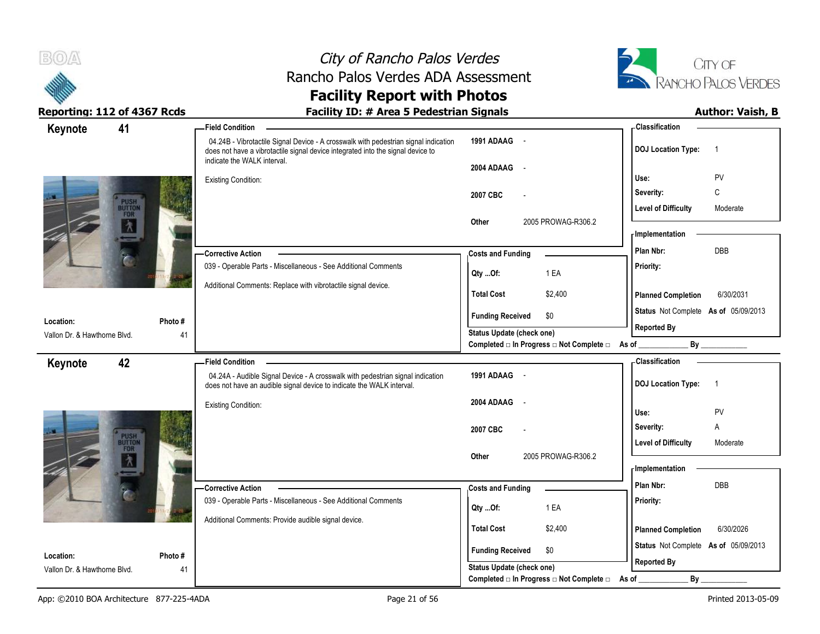



| Keynote                      | 41                    | - Field Condition                                                                                                                                                                                     |                                                  | - Classification                            |
|------------------------------|-----------------------|-------------------------------------------------------------------------------------------------------------------------------------------------------------------------------------------------------|--------------------------------------------------|---------------------------------------------|
|                              |                       | 04.24B - Vibrotactile Signal Device - A crosswalk with pedestrian signal indication<br>does not have a vibrotactile signal device integrated into the signal device to<br>indicate the WALK interval. | 1991 ADAAG -                                     | <b>DOJ Location Type:</b><br>$\overline{1}$ |
|                              |                       |                                                                                                                                                                                                       | 2004 ADAAG<br>$\sim$ $-$                         |                                             |
|                              |                       | <b>Existing Condition:</b>                                                                                                                                                                            |                                                  | PV<br>Use:                                  |
|                              |                       |                                                                                                                                                                                                       | 2007 CBC                                         | $\mathsf{C}$<br>Severity:                   |
|                              | PUSH<br>BUTTON<br>FOR |                                                                                                                                                                                                       |                                                  | <b>Level of Difficulty</b><br>Moderate      |
|                              | $\lambda$             |                                                                                                                                                                                                       | 2005 PROWAG-R306.2<br>Other                      | <b>Implementation</b>                       |
|                              |                       |                                                                                                                                                                                                       |                                                  |                                             |
|                              |                       | -Corrective Action                                                                                                                                                                                    | <b>Costs and Funding</b>                         | DBB<br>Plan Nbr:                            |
|                              |                       | 039 - Operable Parts - Miscellaneous - See Additional Comments                                                                                                                                        | 1 EA<br>Qty Of:                                  | Priority:                                   |
|                              |                       | Additional Comments: Replace with vibrotactile signal device.                                                                                                                                         | <b>Total Cost</b><br>\$2,400                     | 6/30/2031<br><b>Planned Completion</b>      |
|                              |                       |                                                                                                                                                                                                       |                                                  |                                             |
| Location:                    | Photo #               |                                                                                                                                                                                                       | <b>Funding Received</b><br>\$0                   | Status Not Complete As of 05/09/2013        |
| Vallon Dr. & Hawthorne Blvd. |                       | 41                                                                                                                                                                                                    | <b>Status Update (check one)</b>                 | <b>Reported By</b>                          |
|                              |                       |                                                                                                                                                                                                       | Completed □ In Progress □ Not Complete □ As of _ | By                                          |
| Keynote                      | 42                    | - Field Condition                                                                                                                                                                                     |                                                  | - Classification                            |
|                              |                       | 04.24A - Audible Signal Device - A crosswalk with pedestrian signal indication<br>does not have an audible signal device to indicate the WALK interval.                                               | 1991 ADAAG -                                     | <b>DOJ Location Type:</b><br>$\overline{1}$ |
|                              |                       | <b>Existing Condition:</b>                                                                                                                                                                            | 2004 ADAAG<br>$\sim$                             |                                             |
|                              |                       |                                                                                                                                                                                                       |                                                  | PV<br>Use:                                  |
|                              | PUSH<br>BUTTON        |                                                                                                                                                                                                       | 2007 CBC                                         | Severity:<br>A                              |
|                              | FOR                   |                                                                                                                                                                                                       |                                                  | <b>Level of Difficulty</b><br>Moderate      |
|                              | $\lambda$             |                                                                                                                                                                                                       | 2005 PROWAG-R306.2<br>Other                      | - Implementation                            |
|                              |                       |                                                                                                                                                                                                       |                                                  | DBB<br>Plan Nbr:                            |
|                              |                       | -Corrective Action<br>039 - Operable Parts - Miscellaneous - See Additional Comments                                                                                                                  | <b>Costs and Funding</b>                         |                                             |
|                              |                       |                                                                                                                                                                                                       | 1 EA<br>Qty Of:                                  | Priority:                                   |
|                              |                       | Additional Comments: Provide audible signal device.                                                                                                                                                   | <b>Total Cost</b><br>\$2,400                     | <b>Planned Completion</b><br>6/30/2026      |
|                              |                       |                                                                                                                                                                                                       |                                                  | Status Not Complete As of 05/09/2013        |
| Location:                    | Photo#                |                                                                                                                                                                                                       | <b>Funding Received</b><br>\$0                   |                                             |
| Vallon Dr. & Hawthorne Blvd. |                       | 41                                                                                                                                                                                                    | Status Update (check one)                        | <b>Reported By</b>                          |
|                              |                       |                                                                                                                                                                                                       | Completed □ In Progress □ Not Complete □         | By<br>As of                                 |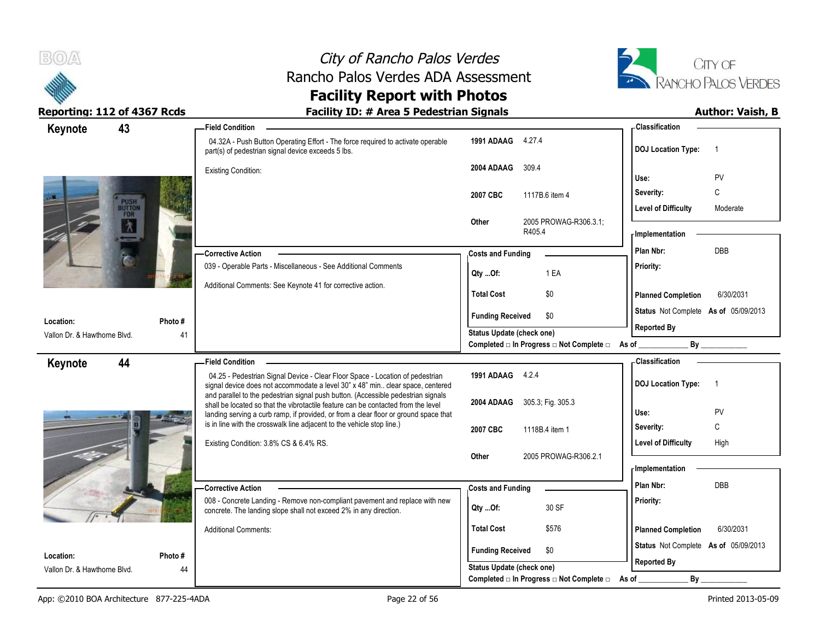



| 43<br>Keynote                             |                       | - Field Condition                                                                                                                                                      |                                                                       |                       | - Classification                     |                |
|-------------------------------------------|-----------------------|------------------------------------------------------------------------------------------------------------------------------------------------------------------------|-----------------------------------------------------------------------|-----------------------|--------------------------------------|----------------|
|                                           |                       | 04.32A - Push Button Operating Effort - The force required to activate operable<br>part(s) of pedestrian signal device exceeds 5 lbs.                                  | 1991 ADAAG 4.27.4                                                     |                       | <b>DOJ Location Type:</b>            | $\overline{1}$ |
|                                           |                       | <b>Existing Condition:</b>                                                                                                                                             | 309.4<br>2004 ADAAG                                                   |                       | Use:                                 | PV             |
|                                           |                       |                                                                                                                                                                        | 2007 CBC<br>1117B.6 item 4                                            |                       | Severity:                            | С              |
|                                           | PUSH<br>BUTTON<br>FOR |                                                                                                                                                                        |                                                                       |                       | <b>Level of Difficulty</b>           | Moderate       |
|                                           | $\lambda$             |                                                                                                                                                                        | Other<br>R405.4                                                       | 2005 PROWAG-R306.3.1; | - Implementation                     |                |
|                                           |                       | -Corrective Action                                                                                                                                                     | <b>Costs and Funding</b>                                              |                       | Plan Nbr:                            | DBB            |
|                                           |                       | 039 - Operable Parts - Miscellaneous - See Additional Comments                                                                                                         | 1 EA<br>Qty Of:                                                       |                       | Priority:                            |                |
|                                           |                       | Additional Comments: See Keynote 41 for corrective action.                                                                                                             | <b>Total Cost</b><br>\$0                                              |                       | <b>Planned Completion</b>            | 6/30/2031      |
|                                           |                       |                                                                                                                                                                        | <b>Funding Received</b><br>\$0                                        |                       | Status Not Complete As of 05/09/2013 |                |
| Location:<br>Vallon Dr. & Hawthorne Blvd. | Photo#<br>41          |                                                                                                                                                                        | <b>Status Update (check one)</b>                                      |                       | <b>Reported By</b>                   |                |
|                                           |                       |                                                                                                                                                                        | Completed □ In Progress □ Not Complete □ As of __                     |                       |                                      | By             |
| 44<br>Keynote                             |                       | <b>Field Condition</b>                                                                                                                                                 |                                                                       |                       | <b>Classification</b>                |                |
|                                           |                       | 04.25 - Pedestrian Signal Device - Clear Floor Space - Location of pedestrian<br>signal device does not accommodate a level 30" x 48" min clear space, centered        | 1991 ADAAG 4.2.4                                                      |                       | <b>DOJ Location Type:</b>            | $\overline{1}$ |
|                                           |                       | and parallel to the pedestrian signal push button. (Accessible pedestrian signals<br>shall be located so that the vibrotactile feature can be contacted from the level | 2004 ADAAG<br>305.3; Fig. 305.3                                       |                       |                                      |                |
|                                           |                       | landing serving a curb ramp, if provided, or from a clear floor or ground space that<br>is in line with the crosswalk line adjacent to the vehicle stop line.)         |                                                                       |                       | Use:<br>Severity:                    | <b>PV</b><br>C |
|                                           |                       |                                                                                                                                                                        | 2007 CBC<br>1118B.4 item 1                                            |                       | <b>Level of Difficulty</b>           | High           |
|                                           |                       | Existing Condition: 3.8% CS & 6.4% RS.                                                                                                                                 |                                                                       | 2005 PROWAG-R306.2.1  |                                      |                |
|                                           |                       |                                                                                                                                                                        | <b>Other</b>                                                          |                       |                                      |                |
|                                           |                       |                                                                                                                                                                        |                                                                       |                       | <b>Implementation</b>                |                |
|                                           |                       | <b>Corrective Action</b>                                                                                                                                               | <b>Costs and Funding</b>                                              |                       | Plan Nbr:                            | <b>DBB</b>     |
|                                           |                       | 008 - Concrete Landing - Remove non-compliant pavement and replace with new<br>concrete. The landing slope shall not exceed 2% in any direction.                       | 30 SF<br>Qty Of:                                                      |                       | Priority:                            |                |
|                                           |                       | <b>Additional Comments:</b>                                                                                                                                            | <b>Total Cost</b><br>\$576                                            |                       | <b>Planned Completion</b>            | 6/30/2031      |
| Location:                                 | Photo #               |                                                                                                                                                                        | <b>Funding Received</b><br>\$0                                        |                       | Status Not Complete As of 05/09/2013 |                |
| Vallon Dr. & Hawthorne Blvd.              | 44                    |                                                                                                                                                                        | Status Update (check one)<br>Completed □ In Progress □ Not Complete □ | As of                 | <b>Reported By</b><br>By             |                |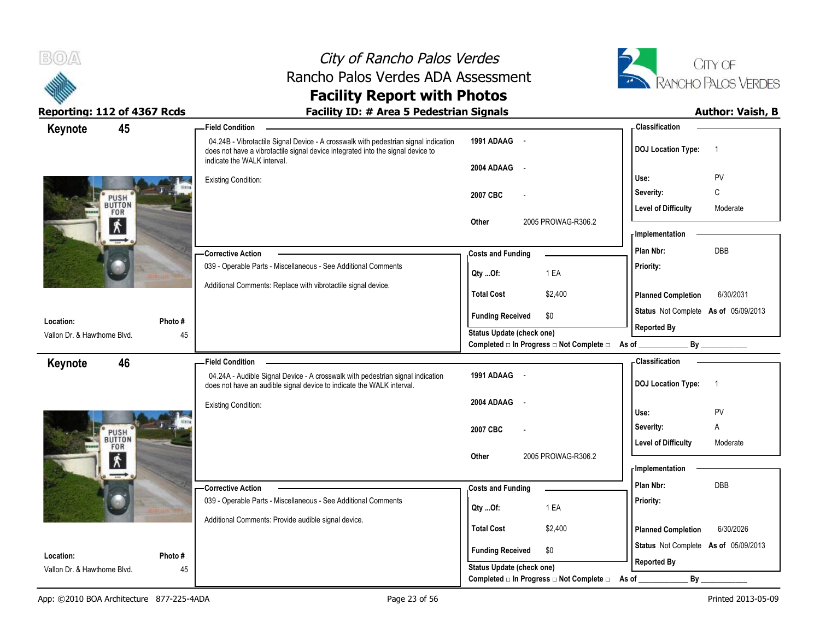



| 45<br>Keynote                |               | -Field Condition                                                                                                                                                                                      |                                                                          | - Classification                            |
|------------------------------|---------------|-------------------------------------------------------------------------------------------------------------------------------------------------------------------------------------------------------|--------------------------------------------------------------------------|---------------------------------------------|
|                              |               | 04.24B - Vibrotactile Signal Device - A crosswalk with pedestrian signal indication<br>does not have a vibrotactile signal device integrated into the signal device to<br>indicate the WALK interval. | 1991 ADAAG -                                                             | <b>DOJ Location Type:</b><br>$\overline{1}$ |
|                              |               |                                                                                                                                                                                                       | 2004 ADAAG<br>$\sim$                                                     |                                             |
|                              |               | <b>Existing Condition:</b>                                                                                                                                                                            |                                                                          | PV<br>Use:                                  |
| PUSH                         |               |                                                                                                                                                                                                       | 2007 CBC                                                                 | C<br>Severity:                              |
| <b>BUTTON</b><br>FOR         |               |                                                                                                                                                                                                       |                                                                          | <b>Level of Difficulty</b><br>Moderate      |
| $\mathbf{K}$                 |               |                                                                                                                                                                                                       | Other<br>2005 PROWAG-R306.2                                              | - Implementation                            |
|                              |               |                                                                                                                                                                                                       |                                                                          | DBB<br>Plan Nbr:                            |
|                              |               | -Corrective Action<br>039 - Operable Parts - Miscellaneous - See Additional Comments                                                                                                                  | <b>Costs and Funding</b>                                                 |                                             |
|                              |               |                                                                                                                                                                                                       | 1 EA<br>Qty Of:                                                          | Priority:                                   |
|                              |               | Additional Comments: Replace with vibrotactile signal device.                                                                                                                                         | \$2,400<br><b>Total Cost</b>                                             | 6/30/2031<br><b>Planned Completion</b>      |
| Location:                    |               |                                                                                                                                                                                                       | <b>Funding Received</b><br>\$0                                           | Status Not Complete As of 05/09/2013        |
| Vallon Dr. & Hawthorne Blvd. | Photo #<br>45 |                                                                                                                                                                                                       | Status Update (check one)                                                | <b>Reported By</b>                          |
|                              |               |                                                                                                                                                                                                       | Completed $\square$ In Progress $\square$ Not Complete $\square$ As of _ |                                             |
| 46<br>Keynote                |               | <b>Field Condition</b>                                                                                                                                                                                |                                                                          | - Classification                            |
|                              |               | 04.24A - Audible Signal Device - A crosswalk with pedestrian signal indication<br>does not have an audible signal device to indicate the WALK interval.                                               | 1991 ADAAG -                                                             | <b>DOJ Location Type:</b><br>$\overline{1}$ |
|                              |               | <b>Existing Condition:</b>                                                                                                                                                                            | 2004 ADAAG -                                                             |                                             |
|                              |               |                                                                                                                                                                                                       |                                                                          | PV<br>Use:                                  |
|                              |               |                                                                                                                                                                                                       | 2007 CBC                                                                 | Severity:<br>Α                              |
| PUSH<br>BUTTON<br>FOR        |               |                                                                                                                                                                                                       |                                                                          | <b>Level of Difficulty</b><br>Moderate      |
| $\mathbf{K}$                 |               |                                                                                                                                                                                                       | Other<br>2005 PROWAG-R306.2                                              | - Implementation                            |
|                              |               |                                                                                                                                                                                                       |                                                                          | DBB<br>Plan Nbr:                            |
|                              |               | -Corrective Action<br>039 - Operable Parts - Miscellaneous - See Additional Comments                                                                                                                  | <b>Costs and Funding</b>                                                 | Priority:                                   |
|                              |               |                                                                                                                                                                                                       | 1 EA<br>QtyOf:                                                           |                                             |
|                              |               | Additional Comments: Provide audible signal device.                                                                                                                                                   | <b>Total Cost</b><br>\$2,400                                             | <b>Planned Completion</b><br>6/30/2026      |
|                              |               |                                                                                                                                                                                                       |                                                                          | Status Not Complete As of 05/09/2013        |
| Location:                    | Photo #       |                                                                                                                                                                                                       | <b>Funding Received</b><br>\$0                                           |                                             |
| Vallon Dr. & Hawthorne Blvd. | 45            |                                                                                                                                                                                                       | Status Update (check one)                                                | <b>Reported By</b>                          |
|                              |               |                                                                                                                                                                                                       | Completed □ In Progress □ Not Complete □                                 | As of<br>By                                 |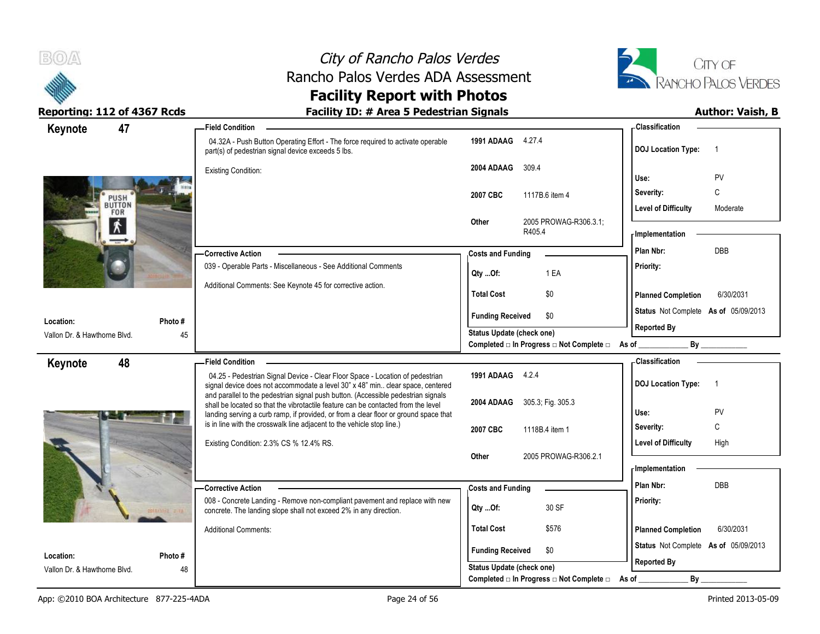



| 47<br>Keynote                |        | <b>Field Condition</b>                                                                                                                                                 |                                  |        |                                                               | - Classification                     |                |
|------------------------------|--------|------------------------------------------------------------------------------------------------------------------------------------------------------------------------|----------------------------------|--------|---------------------------------------------------------------|--------------------------------------|----------------|
|                              |        | 04.32A - Push Button Operating Effort - The force required to activate operable<br>part(s) of pedestrian signal device exceeds 5 lbs.                                  | 1991 ADAAG 4.27.4                |        |                                                               | <b>DOJ</b> Location Type:            | $\overline{1}$ |
|                              |        | <b>Existing Condition:</b>                                                                                                                                             | 2004 ADAAG                       | 309.4  |                                                               | Use:                                 | PV             |
|                              |        |                                                                                                                                                                        | 2007 CBC                         |        | 1117B.6 item 4                                                | Severity:                            | C              |
| PUSH<br><b>BUTTON</b>        |        |                                                                                                                                                                        |                                  |        |                                                               | <b>Level of Difficulty</b>           | Moderate       |
| FOR<br>$\mathbf{\dot{X}}$    |        |                                                                                                                                                                        | Other                            | R405.4 | 2005 PROWAG-R306.3.1;                                         | - Implementation                     |                |
|                              |        | <b>Corrective Action</b>                                                                                                                                               | <b>Costs and Funding</b>         |        |                                                               | Plan Nbr:                            | <b>DBB</b>     |
|                              |        | 039 - Operable Parts - Miscellaneous - See Additional Comments                                                                                                         | $Qty$ Of:                        |        | 1 EA                                                          | Priority:                            |                |
|                              |        | Additional Comments: See Keynote 45 for corrective action.                                                                                                             | <b>Total Cost</b>                |        | \$0                                                           | <b>Planned Completion</b>            | 6/30/2031      |
| Location:                    | Photo# |                                                                                                                                                                        | <b>Funding Received</b>          |        | \$0                                                           | Status Not Complete As of 05/09/2013 |                |
| Vallon Dr. & Hawthorne Blvd. | 45     |                                                                                                                                                                        | Status Update (check one)        |        |                                                               | <b>Reported By</b>                   |                |
|                              |        |                                                                                                                                                                        |                                  |        | Completed □ In Progress □ Not Complete □ As of _              |                                      | By             |
| 48<br>Keynote                |        | <b>Field Condition</b>                                                                                                                                                 |                                  |        |                                                               | - Classification                     |                |
|                              |        | 04.25 - Pedestrian Signal Device - Clear Floor Space - Location of pedestrian<br>signal device does not accommodate a level 30" x 48" min clear space, centered        | 1991 ADAAG 4.2.4                 |        |                                                               | <b>DOJ Location Type:</b>            | $\overline{1}$ |
|                              |        | and parallel to the pedestrian signal push button. (Accessible pedestrian signals<br>shall be located so that the vibrotactile feature can be contacted from the level | 2004 ADAAG 305.3, Fig. 305.3     |        |                                                               |                                      |                |
|                              |        | landing serving a curb ramp, if provided, or from a clear floor or ground space that<br>is in line with the crosswalk line adjacent to the vehicle stop line.)         |                                  |        |                                                               | Use:                                 | PV             |
|                              |        |                                                                                                                                                                        | 2007 CBC                         |        | 1118B.4 item 1                                                | Severity:                            | C              |
|                              |        | Existing Condition: 2.3% CS % 12.4% RS.                                                                                                                                | Other                            |        | 2005 PROWAG-R306.2.1                                          | <b>Level of Difficulty</b>           | High           |
|                              |        |                                                                                                                                                                        |                                  |        |                                                               | - Implementation                     |                |
|                              |        | - Corrective Action                                                                                                                                                    | <b>Costs and Funding</b>         |        |                                                               | Plan Nbr:                            | DBB            |
|                              |        | 008 - Concrete Landing - Remove non-compliant pavement and replace with new<br>concrete. The landing slope shall not exceed 2% in any direction.                       | Qty Of:                          |        | 30 SF                                                         | Priority:                            |                |
|                              |        | <b>Additional Comments:</b>                                                                                                                                            | <b>Total Cost</b>                |        | \$576                                                         | <b>Planned Completion</b>            | 6/30/2031      |
| Location:                    | Photo# |                                                                                                                                                                        | <b>Funding Received</b>          |        | \$0                                                           | Status Not Complete As of 05/09/2013 |                |
|                              |        |                                                                                                                                                                        |                                  |        |                                                               | <b>Reported By</b>                   |                |
| Vallon Dr. & Hawthorne Blvd. | 48     |                                                                                                                                                                        | <b>Status Update (check one)</b> |        | Completed $\Box$ In Progress $\Box$ Not Complete $\Box$ As of | By                                   |                |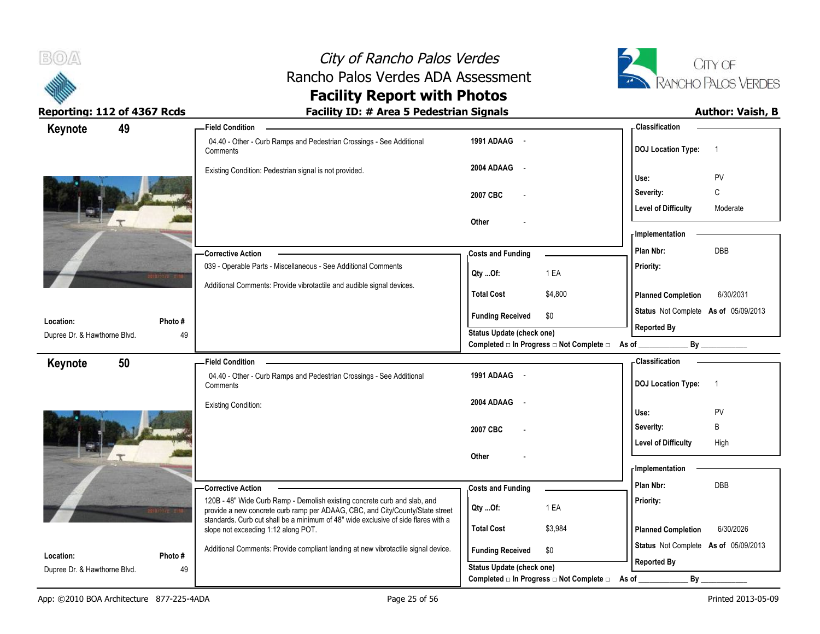



| Keynote                      | 49     | -Field Condition                                                                                                                                           |                                                |         | -Classification                                            |                |
|------------------------------|--------|------------------------------------------------------------------------------------------------------------------------------------------------------------|------------------------------------------------|---------|------------------------------------------------------------|----------------|
|                              |        | 04.40 - Other - Curb Ramps and Pedestrian Crossings - See Additional<br>Comments                                                                           | 1991 ADAAG -                                   |         | <b>DOJ Location Type:</b>                                  | $\overline{1}$ |
|                              |        | Existing Condition: Pedestrian signal is not provided.                                                                                                     | 2004 ADAAG -                                   |         | Use:                                                       | PV             |
|                              |        |                                                                                                                                                            | 2007 CBC                                       |         | Severity:                                                  | $\mathsf C$    |
|                              |        |                                                                                                                                                            |                                                |         | <b>Level of Difficulty</b>                                 | Moderate       |
|                              |        |                                                                                                                                                            | Other                                          |         |                                                            |                |
|                              |        |                                                                                                                                                            |                                                |         | - Implementation                                           |                |
|                              |        | -Corrective Action                                                                                                                                         | <b>Costs and Funding</b>                       |         | Plan Nbr:                                                  | <b>DBB</b>     |
|                              |        | 039 - Operable Parts - Miscellaneous - See Additional Comments                                                                                             | Qty Of:                                        | 1 EA    | Priority:                                                  |                |
|                              |        | Additional Comments: Provide vibrotactile and audible signal devices.                                                                                      | <b>Total Cost</b>                              | \$4,800 | <b>Planned Completion</b>                                  | 6/30/2031      |
| Location:                    | Photo# |                                                                                                                                                            | \$0<br><b>Funding Received</b>                 |         | Status Not Complete As of 05/09/2013                       |                |
| Dupree Dr. & Hawthorne Blvd. | 49     |                                                                                                                                                            | Status Update (check one)                      |         | <b>Reported By</b>                                         |                |
|                              |        |                                                                                                                                                            | Completed □ In Progress □ Not Complete □ As of |         |                                                            | By             |
| Keynote                      | 50     | <b>Field Condition</b>                                                                                                                                     |                                                |         | <b>Classification</b>                                      |                |
|                              |        | 04.40 - Other - Curb Ramps and Pedestrian Crossings - See Additional<br>Comments                                                                           | 1991 ADAAG -                                   |         | <b>DOJ Location Type:</b>                                  | $\overline{1}$ |
|                              |        | <b>Existing Condition:</b>                                                                                                                                 | 2004 ADAAG<br>$\sim$                           |         |                                                            |                |
|                              |        |                                                                                                                                                            |                                                |         | Use:<br>Severity:                                          | PV<br>B        |
|                              |        |                                                                                                                                                            | 2007 CBC                                       |         | <b>Level of Difficulty</b>                                 | High           |
|                              |        |                                                                                                                                                            | Other                                          |         |                                                            |                |
|                              |        |                                                                                                                                                            |                                                |         | - Implementation                                           |                |
|                              |        | -Corrective Action                                                                                                                                         | <b>Costs and Funding</b>                       |         | Plan Nbr:                                                  | DBB            |
|                              |        | 120B - 48" Wide Curb Ramp - Demolish existing concrete curb and slab, and<br>provide a new concrete curb ramp per ADAAG, CBC, and City/County/State street | Qty Of:                                        | 1 EA    | Priority:                                                  |                |
|                              |        | standards. Curb cut shall be a minimum of 48" wide exclusive of side flares with a<br>slope not exceeding 1:12 along POT.                                  | <b>Total Cost</b>                              | \$3,984 | <b>Planned Completion</b>                                  | 6/30/2026      |
| Location:                    | Photo# | Additional Comments: Provide compliant landing at new vibrotactile signal device.                                                                          | <b>Funding Received</b><br>\$0                 |         | Status Not Complete As of 05/09/2013<br><b>Reported By</b> |                |
| Dupree Dr. & Hawthorne Blvd. | 49     |                                                                                                                                                            | Status Update (check one)                      |         |                                                            |                |
|                              |        |                                                                                                                                                            | Completed □ In Progress □ Not Complete □       |         | By<br>As of                                                |                |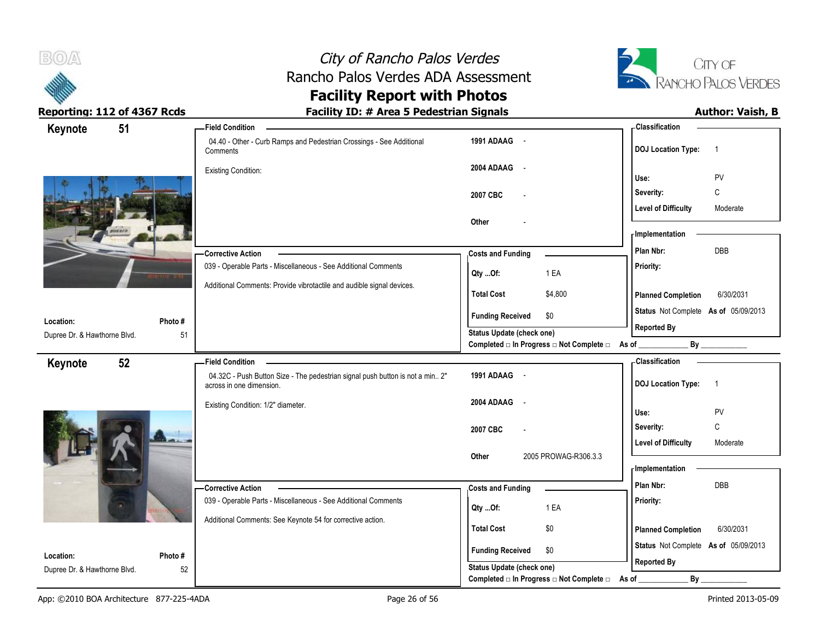



| Keynote                      | 51      | <b>Field Condition</b>                                                                                    |                                                                 | - Classification                            |
|------------------------------|---------|-----------------------------------------------------------------------------------------------------------|-----------------------------------------------------------------|---------------------------------------------|
|                              |         | 04.40 - Other - Curb Ramps and Pedestrian Crossings - See Additional<br>Comments                          | 1991 ADAAG -                                                    | <b>DOJ Location Type:</b><br>$\overline{1}$ |
|                              |         | <b>Existing Condition:</b>                                                                                | 2004 ADAAG -                                                    |                                             |
|                              |         |                                                                                                           |                                                                 | PV<br>Use:                                  |
|                              |         |                                                                                                           | 2007 CBC                                                        | C<br>Severity:                              |
|                              |         |                                                                                                           |                                                                 | <b>Level of Difficulty</b><br>Moderate      |
|                              |         |                                                                                                           | Other                                                           | - Implementation                            |
|                              |         |                                                                                                           |                                                                 | DBB<br>Plan Nbr:                            |
|                              |         | -Corrective Action                                                                                        | <b>Costs and Funding</b>                                        |                                             |
|                              |         | 039 - Operable Parts - Miscellaneous - See Additional Comments                                            | 1 EA<br>Qty Of:                                                 | Priority:                                   |
|                              |         | Additional Comments: Provide vibrotactile and audible signal devices.                                     | <b>Total Cost</b><br>\$4,800                                    | <b>Planned Completion</b><br>6/30/2031      |
| Location:                    | Photo#  |                                                                                                           | <b>Funding Received</b><br>\$0                                  | Status Not Complete As of 05/09/2013        |
| Dupree Dr. & Hawthorne Blvd. | 51      |                                                                                                           | Status Update (check one)                                       | <b>Reported By</b>                          |
|                              |         |                                                                                                           | Completed $\Box$ In Progress $\Box$ Not Complete $\Box$ As of _ | By                                          |
| Keynote                      | 52      | <b>Field Condition</b>                                                                                    |                                                                 | - Classification                            |
|                              |         | 04.32C - Push Button Size - The pedestrian signal push button is not a min 2"<br>across in one dimension. | 1991 ADAAG -                                                    | <b>DOJ Location Type:</b><br>$\overline{1}$ |
|                              |         | Existing Condition: 1/2" diameter.                                                                        | 2004 ADAAG<br>$\sim$                                            |                                             |
|                              |         |                                                                                                           |                                                                 | PV<br>Use:                                  |
|                              |         |                                                                                                           | 2007 CBC                                                        | C<br>Severity:                              |
|                              |         |                                                                                                           |                                                                 | <b>Level of Difficulty</b><br>Moderate      |
|                              |         |                                                                                                           | 2005 PROWAG-R306.3.3<br>Other                                   | - Implementation                            |
|                              |         |                                                                                                           |                                                                 |                                             |
|                              |         | -Corrective Action                                                                                        | <b>Costs and Funding</b>                                        | DBB<br>Plan Nbr:                            |
|                              |         | 039 - Operable Parts - Miscellaneous - See Additional Comments                                            | 1 EA<br>Qty Of:                                                 | Priority:                                   |
|                              |         | Additional Comments: See Keynote 54 for corrective action.                                                | <b>Total Cost</b>                                               |                                             |
|                              |         |                                                                                                           | \$0                                                             | <b>Planned Completion</b><br>6/30/2031      |
| Location:                    | Photo # |                                                                                                           | <b>Funding Received</b><br>\$0                                  | Status Not Complete As of 05/09/2013        |
| Dupree Dr. & Hawthorne Blvd. | 52      |                                                                                                           | <b>Status Update (check one)</b>                                | <b>Reported By</b>                          |
|                              |         |                                                                                                           | Completed □ In Progress □ Not Complete □                        | By<br>As of                                 |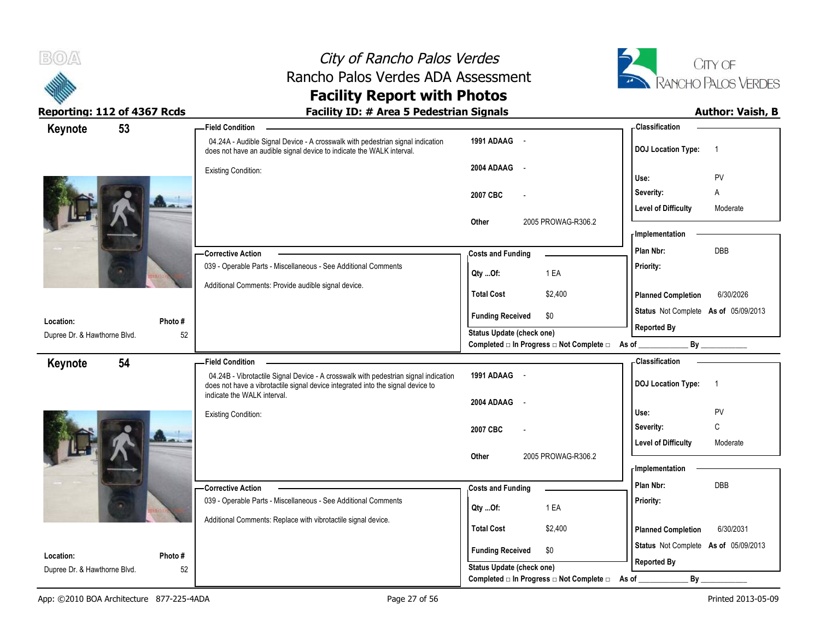



| Keynote                      | 53      | - Field Condition                                                                                                                                       |                                                                               | -Classification                                            |
|------------------------------|---------|---------------------------------------------------------------------------------------------------------------------------------------------------------|-------------------------------------------------------------------------------|------------------------------------------------------------|
|                              |         | 04.24A - Audible Signal Device - A crosswalk with pedestrian signal indication<br>does not have an audible signal device to indicate the WALK interval. | 1991 ADAAG -                                                                  | <b>DOJ</b> Location Type:<br>$\overline{1}$                |
|                              |         | Existing Condition:                                                                                                                                     | 2004 ADAAG<br>$\sim$                                                          | PV<br>Use:                                                 |
|                              |         |                                                                                                                                                         | 2007 CBC<br>$\overline{a}$                                                    | Severity:<br>Α                                             |
|                              |         |                                                                                                                                                         |                                                                               | <b>Level of Difficulty</b><br>Moderate                     |
|                              |         |                                                                                                                                                         | 2005 PROWAG-R306.2<br>Other                                                   | - Implementation                                           |
|                              |         | <b>Corrective Action</b>                                                                                                                                | <b>Costs and Funding</b>                                                      | DBB<br>Plan Nbr:                                           |
|                              |         | 039 - Operable Parts - Miscellaneous - See Additional Comments                                                                                          | 1 EA<br>Qty Of:                                                               | Priority:                                                  |
|                              |         | Additional Comments: Provide audible signal device.                                                                                                     | <b>Total Cost</b><br>\$2,400                                                  | <b>Planned Completion</b><br>6/30/2026                     |
|                              |         |                                                                                                                                                         |                                                                               | Status Not Complete As of 05/09/2013                       |
| Location:                    | Photo#  |                                                                                                                                                         | \$0<br><b>Funding Received</b>                                                | <b>Reported By</b>                                         |
| Dupree Dr. & Hawthorne Blvd. | 52      |                                                                                                                                                         | Status Update (check one)<br>Completed □ In Progress □ Not Complete □ As of _ |                                                            |
| 54<br>Keynote                |         | <b>Field Condition</b>                                                                                                                                  |                                                                               | - Classification                                           |
|                              |         | 04.24B - Vibrotactile Signal Device - A crosswalk with pedestrian signal indication                                                                     | 1991 ADAAG -                                                                  | <b>DOJ Location Type:</b><br>$\overline{1}$                |
|                              |         |                                                                                                                                                         |                                                                               |                                                            |
|                              |         | does not have a vibrotactile signal device integrated into the signal device to<br>indicate the WALK interval.                                          |                                                                               |                                                            |
|                              |         | Existing Condition:                                                                                                                                     | 2004 ADAAG -                                                                  | PV<br>Use:                                                 |
|                              |         |                                                                                                                                                         | 2007 CBC                                                                      | C<br>Severity:                                             |
|                              |         |                                                                                                                                                         |                                                                               | <b>Level of Difficulty</b><br>Moderate                     |
|                              |         |                                                                                                                                                         | 2005 PROWAG-R306.2<br>Other                                                   | - Implementation                                           |
|                              |         | - Corrective Action                                                                                                                                     |                                                                               | Plan Nbr:<br><b>DBB</b>                                    |
|                              |         | 039 - Operable Parts - Miscellaneous - See Additional Comments                                                                                          | <b>Costs and Funding</b><br>1 EA                                              | Priority:                                                  |
|                              |         | Additional Comments: Replace with vibrotactile signal device.                                                                                           | Qty Of:                                                                       |                                                            |
|                              |         |                                                                                                                                                         | <b>Total Cost</b><br>\$2,400                                                  | <b>Planned Completion</b><br>6/30/2031                     |
| Location:                    | Photo # |                                                                                                                                                         | <b>Funding Received</b><br>\$0<br>Status Update (check one)                   | Status Not Complete As of 05/09/2013<br><b>Reported By</b> |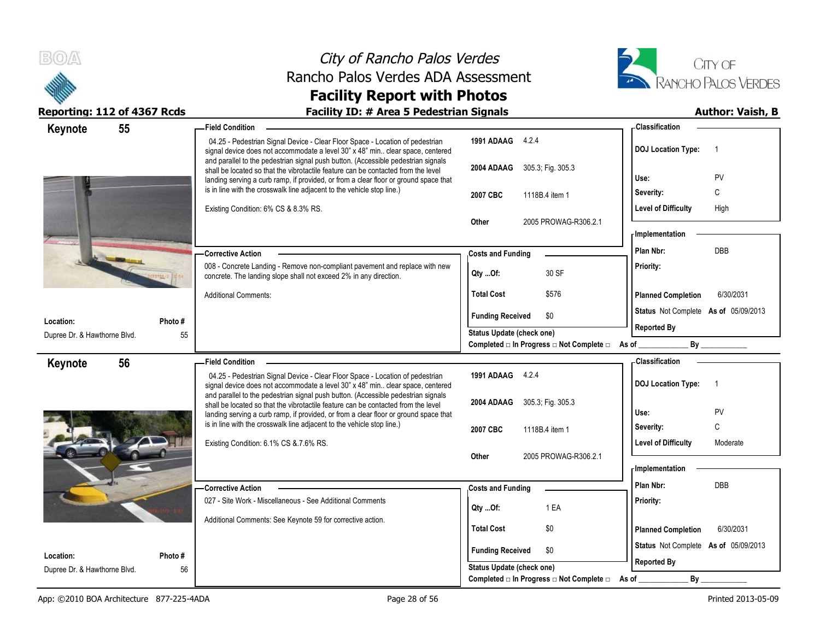



| Keynote                      | 55 | -Field Condition                                                                                                                                                                                                                                               |                                                                       | - Classification                            |
|------------------------------|----|----------------------------------------------------------------------------------------------------------------------------------------------------------------------------------------------------------------------------------------------------------------|-----------------------------------------------------------------------|---------------------------------------------|
|                              |    | 04.25 - Pedestrian Signal Device - Clear Floor Space - Location of pedestrian<br>signal device does not accommodate a level 30" x 48" min clear space, centered                                                                                                | 1991 ADAAG 4.2.4                                                      | <b>DOJ Location Type:</b><br>$\overline{1}$ |
|                              |    | and parallel to the pedestrian signal push button. (Accessible pedestrian signals<br>shall be located so that the vibrotactile feature can be contacted from the level<br>landing serving a curb ramp, if provided, or from a clear floor or ground space that | 2004 ADAAG 305.3; Fig. 305.3                                          | PV<br>Use:                                  |
|                              |    | is in line with the crosswalk line adjacent to the vehicle stop line.)                                                                                                                                                                                         | 2007 CBC<br>1118B.4 item 1                                            | С<br>Severity:                              |
|                              |    | Existing Condition: 6% CS & 8.3% RS.                                                                                                                                                                                                                           |                                                                       | <b>Level of Difficulty</b><br>High          |
|                              |    |                                                                                                                                                                                                                                                                | 2005 PROWAG-R306.2.1<br>Other                                         |                                             |
|                              |    |                                                                                                                                                                                                                                                                |                                                                       | - Implementation                            |
|                              |    | <b>Corrective Action</b>                                                                                                                                                                                                                                       | <b>Costs and Funding</b>                                              | DBB<br>Plan Nbr:                            |
|                              |    | 008 - Concrete Landing - Remove non-compliant pavement and replace with new<br>concrete. The landing slope shall not exceed 2% in any direction.                                                                                                               | 30 SF<br>Qty Of:                                                      | Priority:                                   |
|                              |    | <b>Additional Comments:</b>                                                                                                                                                                                                                                    | <b>Total Cost</b><br>\$576                                            | <b>Planned Completion</b><br>6/30/2031      |
| Location:                    |    | Photo #                                                                                                                                                                                                                                                        | <b>Funding Received</b><br>\$0                                        | Status Not Complete As of 05/09/2013        |
| Dupree Dr. & Hawthorne Blvd. |    | 55                                                                                                                                                                                                                                                             | Status Update (check one)                                             | <b>Reported By</b>                          |
|                              |    |                                                                                                                                                                                                                                                                | Completed $\Box$ In Progress $\Box$ Not Complete $\Box$ As of _       | By                                          |
| Keynote                      | 56 | <b>Field Condition</b>                                                                                                                                                                                                                                         |                                                                       | <b>Classification</b>                       |
|                              |    | 04.25 - Pedestrian Signal Device - Clear Floor Space - Location of pedestrian<br>signal device does not accommodate a level 30" x 48" min clear space, centered                                                                                                | 1991 ADAAG 4.2.4                                                      | <b>DOJ Location Type:</b><br>$\overline{1}$ |
|                              |    | and parallel to the pedestrian signal push button. (Accessible pedestrian signals<br>shall be located so that the vibrotactile feature can be contacted from the level                                                                                         | 2004 ADAAG 305.3; Fig. 305.3                                          |                                             |
|                              |    | landing serving a curb ramp, if provided, or from a clear floor or ground space that                                                                                                                                                                           |                                                                       | Use:<br>PV                                  |
|                              |    | is in line with the crosswalk line adjacent to the vehicle stop line.)                                                                                                                                                                                         | 2007 CBC<br>1118B.4 item 1                                            | C<br>Severity:                              |
|                              |    | Existing Condition: 6.1% CS & 7.6% RS.                                                                                                                                                                                                                         |                                                                       | <b>Level of Difficulty</b><br>Moderate      |
|                              |    |                                                                                                                                                                                                                                                                | 2005 PROWAG-R306.2.1<br>Other                                         | - Implementation                            |
|                              |    |                                                                                                                                                                                                                                                                |                                                                       |                                             |
|                              |    | <b>Corrective Action</b>                                                                                                                                                                                                                                       | <b>Costs and Funding</b>                                              | Plan Nbr:<br><b>DBB</b>                     |
|                              |    | 027 - Site Work - Miscellaneous - See Additional Comments                                                                                                                                                                                                      | 1 EA<br>Qty Of:                                                       | Priority:                                   |
|                              |    | Additional Comments: See Keynote 59 for corrective action.                                                                                                                                                                                                     | <b>Total Cost</b><br>\$0                                              | 6/30/2031<br><b>Planned Completion</b>      |
|                              |    |                                                                                                                                                                                                                                                                |                                                                       | Status Not Complete As of 05/09/2013        |
| Location:                    |    | Photo#                                                                                                                                                                                                                                                         | <b>Funding Received</b><br>\$0                                        | <b>Reported By</b>                          |
|                              |    |                                                                                                                                                                                                                                                                |                                                                       |                                             |
| Dupree Dr. & Hawthorne Blvd. |    | 56                                                                                                                                                                                                                                                             | Status Update (check one)<br>Completed □ In Progress □ Not Complete □ | $By_$<br>As of                              |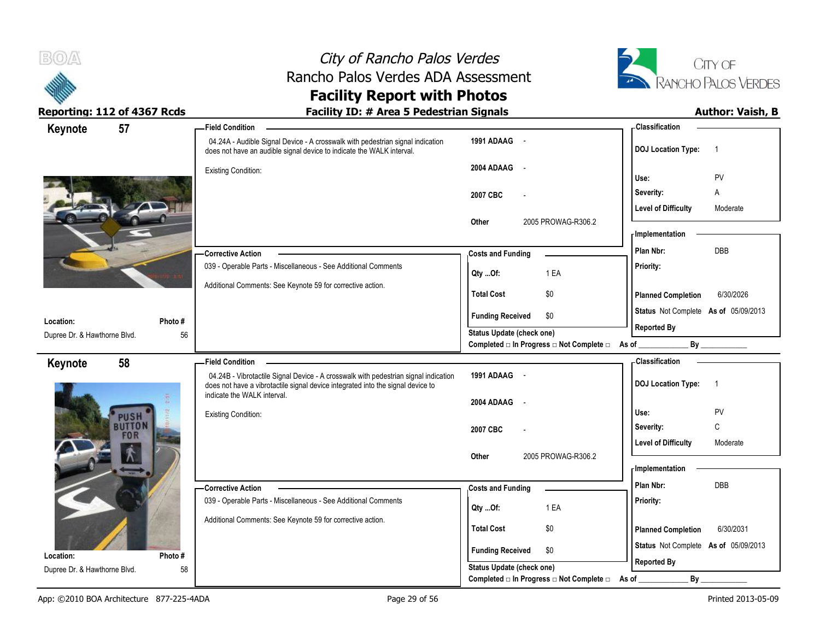



| Keynote                                   | 57                          | <b>Field Condition</b>                                                                                                                                                 |                                                             | <b>Classification</b>                       |
|-------------------------------------------|-----------------------------|------------------------------------------------------------------------------------------------------------------------------------------------------------------------|-------------------------------------------------------------|---------------------------------------------|
|                                           |                             | 04.24A - Audible Signal Device - A crosswalk with pedestrian signal indication<br>does not have an audible signal device to indicate the WALK interval.                | 1991 ADAAG -                                                | <b>DOJ Location Type:</b><br>$\overline{1}$ |
|                                           |                             | <b>Existing Condition:</b>                                                                                                                                             | 2004 ADAAG<br>$\sim$                                        | PV<br>Use:                                  |
|                                           |                             |                                                                                                                                                                        | 2007 CBC                                                    | Severity:<br>Α                              |
|                                           |                             |                                                                                                                                                                        |                                                             | <b>Level of Difficulty</b><br>Moderate      |
|                                           |                             |                                                                                                                                                                        | 2005 PROWAG-R306.2<br>Other                                 | - Implementation                            |
|                                           |                             |                                                                                                                                                                        |                                                             |                                             |
|                                           |                             | <b>Corrective Action</b>                                                                                                                                               | <b>Costs and Funding</b>                                    | <b>DBB</b><br>Plan Nbr:                     |
|                                           |                             | 039 - Operable Parts - Miscellaneous - See Additional Comments                                                                                                         | 1 EA<br>Qty Of:                                             | Priority:                                   |
|                                           |                             | Additional Comments: See Keynote 59 for corrective action.                                                                                                             | <b>Total Cost</b><br>\$0                                    | <b>Planned Completion</b><br>6/30/2026      |
|                                           |                             |                                                                                                                                                                        | <b>Funding Received</b><br>\$0                              | Status Not Complete As of 05/09/2013        |
| Location:<br>Dupree Dr. & Hawthorne Blvd. | Photo#<br>56                |                                                                                                                                                                        | Status Update (check one)                                   | <b>Reported By</b>                          |
|                                           |                             |                                                                                                                                                                        | Completed □ In Progress □ Not Complete □ As of _            |                                             |
| Keynote                                   | 58                          | <b>Field Condition</b>                                                                                                                                                 |                                                             | <b>Classification</b>                       |
|                                           |                             | 04.24B - Vibrotactile Signal Device - A crosswalk with pedestrian signal indication<br>does not have a vibrotactile signal device integrated into the signal device to | 1991 ADAAG -                                                | <b>DOJ Location Type:</b><br>$\overline{1}$ |
|                                           |                             | indicate the WALK interval.                                                                                                                                            | 2004 ADAAG<br>$\sim$                                        |                                             |
|                                           |                             |                                                                                                                                                                        |                                                             |                                             |
|                                           | USH                         | <b>Existing Condition:</b>                                                                                                                                             |                                                             | PV<br>Use:                                  |
|                                           | <b>BUTTON</b><br><b>FOR</b> |                                                                                                                                                                        | 2007 CBC                                                    | $\mathsf C$<br>Severity:                    |
|                                           |                             |                                                                                                                                                                        |                                                             | <b>Level of Difficulty</b><br>Moderate      |
|                                           |                             |                                                                                                                                                                        | 2005 PROWAG-R306.2<br>Other                                 | - Implementation                            |
|                                           |                             |                                                                                                                                                                        |                                                             | Plan Nbr:<br><b>DBB</b>                     |
|                                           |                             | - Corrective Action                                                                                                                                                    | <b>Costs and Funding</b>                                    |                                             |
|                                           |                             | 039 - Operable Parts - Miscellaneous - See Additional Comments                                                                                                         | 1 EA<br>Qty Of:                                             | Priority:                                   |
|                                           |                             | Additional Comments: See Keynote 59 for corrective action.                                                                                                             | <b>Total Cost</b><br>\$0                                    | 6/30/2031<br><b>Planned Completion</b>      |
|                                           |                             |                                                                                                                                                                        |                                                             | Status Not Complete As of 05/09/2013        |
| Location:<br>Dupree Dr. & Hawthorne Blvd. | Photo#<br>58                |                                                                                                                                                                        | <b>Funding Received</b><br>\$0<br>Status Update (check one) | <b>Reported By</b>                          |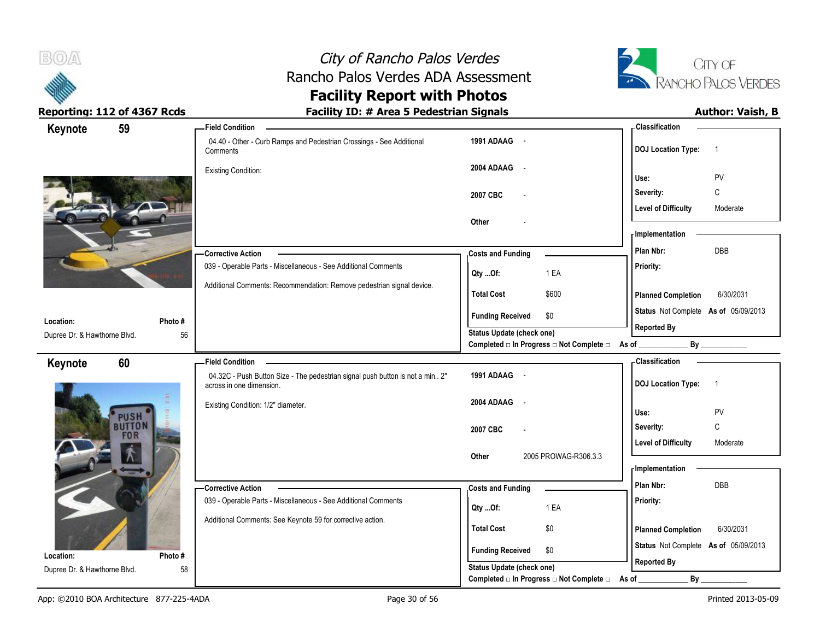



| Keynote                      | 59                          | <b>Field Condition</b>                                                                                    |                                                                               | - Classification                            |
|------------------------------|-----------------------------|-----------------------------------------------------------------------------------------------------------|-------------------------------------------------------------------------------|---------------------------------------------|
|                              |                             | 04.40 - Other - Curb Ramps and Pedestrian Crossings - See Additional<br>Comments                          | 1991 ADAAG -                                                                  | <b>DOJ Location Type:</b><br>$\overline{1}$ |
|                              |                             | <b>Existing Condition:</b>                                                                                | 2004 ADAAG<br>$\sim$ $-$                                                      | PV<br>Use:                                  |
|                              |                             |                                                                                                           | 2007 CBC                                                                      | C<br>Severity:                              |
|                              |                             |                                                                                                           |                                                                               | <b>Level of Difficulty</b><br>Moderate      |
|                              |                             |                                                                                                           | Other                                                                         |                                             |
|                              |                             |                                                                                                           |                                                                               | - Implementation                            |
|                              |                             | - Corrective Action                                                                                       | <b>Costs and Funding</b>                                                      | DBB<br>Plan Nbr:                            |
|                              |                             | 039 - Operable Parts - Miscellaneous - See Additional Comments                                            | 1 EA<br>Qty Of:                                                               | Priority:                                   |
|                              |                             | Additional Comments: Recommendation: Remove pedestrian signal device.                                     | <b>Total Cost</b><br>\$600                                                    | <b>Planned Completion</b><br>6/30/2031      |
| Location:                    | Photo#                      |                                                                                                           | <b>Funding Received</b><br>\$0                                                | Status Not Complete As of 05/09/2013        |
| Dupree Dr. & Hawthorne Blvd. | 56                          |                                                                                                           | Status Update (check one)<br>Completed □ In Progress □ Not Complete □ As of _ | <b>Reported By</b><br>By                    |
| Keynote                      | 60                          | <b>Field Condition</b>                                                                                    |                                                                               | <b>Classification</b>                       |
|                              |                             | 04.32C - Push Button Size - The pedestrian signal push button is not a min 2"<br>across in one dimension. | 1991 ADAAG -                                                                  | <b>DOJ Location Type:</b><br>$\overline{1}$ |
|                              | USH                         | Existing Condition: 1/2" diameter.                                                                        | 2004 ADAAG<br>$\sim$                                                          | Use:<br>PV                                  |
|                              | <b>BUTTON</b><br><b>FOR</b> |                                                                                                           | 2007 CBC                                                                      | $\mathsf{C}$<br>Severity:                   |
|                              |                             |                                                                                                           |                                                                               |                                             |
|                              |                             |                                                                                                           |                                                                               | <b>Level of Difficulty</b><br>Moderate      |
|                              |                             |                                                                                                           | 2005 PROWAG-R306.3.3<br>Other                                                 |                                             |
|                              |                             |                                                                                                           |                                                                               | <b>Implementation</b>                       |
|                              |                             | - Corrective Action                                                                                       | <b>Costs and Funding</b>                                                      | Plan Nbr:<br>DBB                            |
|                              |                             | 039 - Operable Parts - Miscellaneous - See Additional Comments                                            | 1 EA<br>Qty Of:                                                               | Priority:                                   |
|                              |                             | Additional Comments: See Keynote 59 for corrective action.                                                | <b>Total Cost</b><br>\$0                                                      | <b>Planned Completion</b><br>6/30/2031      |
| Location:                    | Photo#                      |                                                                                                           | <b>Funding Received</b><br>\$0                                                | Status Not Complete As of 05/09/2013        |
| Dupree Dr. & Hawthorne Blvd. | 58                          |                                                                                                           | <b>Status Update (check one)</b><br>Completed □ In Progress □ Not Complete □  | <b>Reported By</b><br>$By_$                 |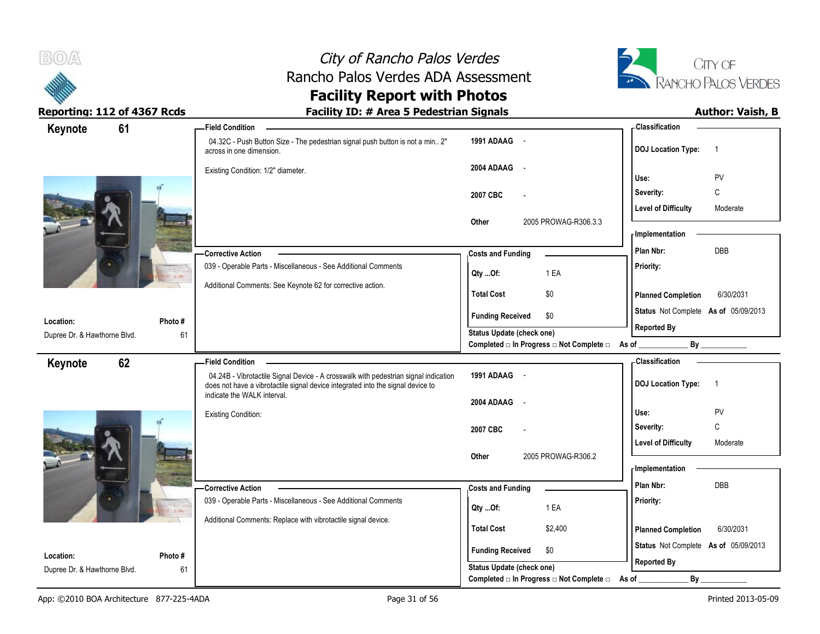



| 61<br>Keynote                             |              | <b>Field Condition</b>                                                                                                                                                 |                                                                    | - Classification                                                    |
|-------------------------------------------|--------------|------------------------------------------------------------------------------------------------------------------------------------------------------------------------|--------------------------------------------------------------------|---------------------------------------------------------------------|
|                                           |              | 04.32C - Push Button Size - The pedestrian signal push button is not a min 2"<br>across in one dimension.                                                              | 1991 ADAAG -                                                       | <b>DOJ Location Type:</b><br>$\overline{1}$                         |
|                                           |              | Existing Condition: 1/2" diameter.                                                                                                                                     | 2004 ADAAG<br>$\sim$                                               | PV<br>Use:                                                          |
|                                           |              |                                                                                                                                                                        | 2007 CBC                                                           | C<br>Severity:                                                      |
|                                           |              |                                                                                                                                                                        |                                                                    | <b>Level of Difficulty</b><br>Moderate                              |
|                                           |              |                                                                                                                                                                        | 2005 PROWAG-R306.3.3<br>Other                                      | <b>Implementation</b>                                               |
|                                           |              | -Corrective Action                                                                                                                                                     | <b>Costs and Funding</b>                                           | Plan Nbr:<br>DBB                                                    |
|                                           | $7 - 44$     | 039 - Operable Parts - Miscellaneous - See Additional Comments                                                                                                         | 1 EA<br>Qty Of:                                                    | Priority:                                                           |
|                                           |              | Additional Comments: See Keynote 62 for corrective action.                                                                                                             | <b>Total Cost</b><br>\$0                                           | <b>Planned Completion</b><br>6/30/2031                              |
| Location:                                 | Photo#       |                                                                                                                                                                        | <b>Funding Received</b><br>\$0                                     | Status Not Complete As of 05/09/2013                                |
| Dupree Dr. & Hawthorne Blvd.              | 61           |                                                                                                                                                                        | <b>Status Update (check one)</b>                                   | <b>Reported By</b>                                                  |
|                                           |              |                                                                                                                                                                        | Completed □ In Progress □ Not Complete □ As of _                   | By                                                                  |
| 62<br>Keynote                             |              | <b>Field Condition</b>                                                                                                                                                 |                                                                    | <b>Classification</b>                                               |
|                                           |              | 04.24B - Vibrotactile Signal Device - A crosswalk with pedestrian signal indication<br>does not have a vibrotactile signal device integrated into the signal device to | 1991 ADAAG -                                                       | <b>DOJ</b> Location Type:<br>$\overline{1}$                         |
|                                           |              | indicate the WALK interval.                                                                                                                                            | 2004 ADAAG<br>$\sim$                                               |                                                                     |
|                                           |              | <b>Existing Condition:</b>                                                                                                                                             |                                                                    | Use:<br>PV                                                          |
|                                           |              |                                                                                                                                                                        | 2007 CBC                                                           | $\mathsf{C}$<br>Severity:<br><b>Level of Difficulty</b><br>Moderate |
|                                           |              |                                                                                                                                                                        | 2005 PROWAG-R306.2<br>Other                                        |                                                                     |
|                                           |              |                                                                                                                                                                        |                                                                    | <b>Implementation</b>                                               |
|                                           |              |                                                                                                                                                                        |                                                                    |                                                                     |
|                                           |              | - Corrective Action                                                                                                                                                    | <b>Costs and Funding</b>                                           | Plan Nbr:<br><b>DBB</b>                                             |
|                                           |              | 039 - Operable Parts - Miscellaneous - See Additional Comments                                                                                                         | 1 EA<br>Qty Of:                                                    | Priority:                                                           |
|                                           |              | Additional Comments: Replace with vibrotactile signal device.                                                                                                          | <b>Total Cost</b><br>\$2,400                                       | 6/30/2031                                                           |
|                                           |              |                                                                                                                                                                        |                                                                    | <b>Planned Completion</b><br>Status Not Complete As of 05/09/2013   |
| Location:<br>Dupree Dr. & Hawthorne Blvd. | Photo#<br>61 |                                                                                                                                                                        | <b>Funding Received</b><br>\$0<br><b>Status Update (check one)</b> | <b>Reported By</b>                                                  |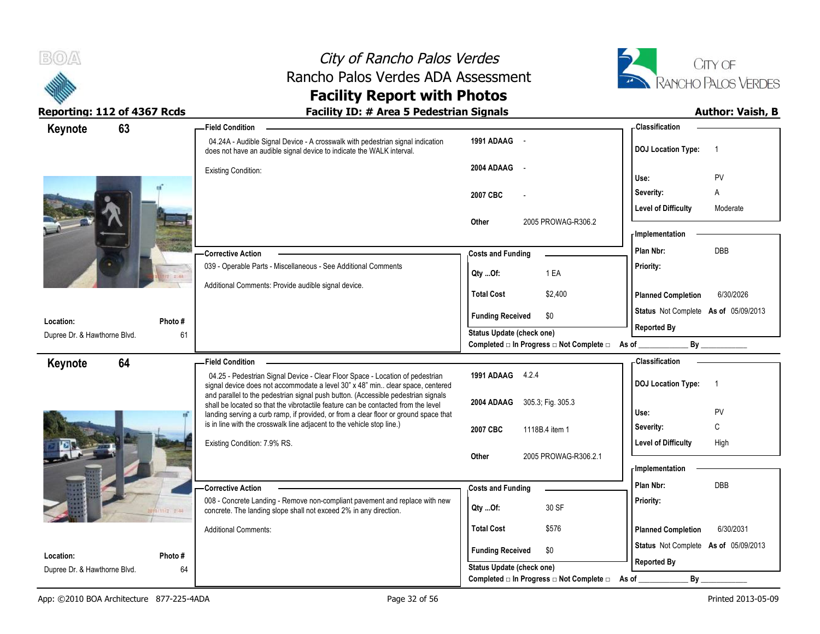

# City of Rancho Palos Verdes Rancho Palos Verdes ADA Assessment



### **Facility Report with Photos** Reporting: 112 of 4367 Rcds **Facility ID: # Area 5 Pedestrian Signals Author: Vaish, B**

| 63<br>Keynote                             |               | -Field Condition                                                                                                                                                    |                                                                                            | - Classification                            |
|-------------------------------------------|---------------|---------------------------------------------------------------------------------------------------------------------------------------------------------------------|--------------------------------------------------------------------------------------------|---------------------------------------------|
|                                           |               | 04.24A - Audible Signal Device - A crosswalk with pedestrian signal indication<br>does not have an audible signal device to indicate the WALK interval.             | 1991 ADAAG -                                                                               | <b>DOJ Location Type:</b><br>$\overline{1}$ |
|                                           |               | <b>Existing Condition:</b>                                                                                                                                          | 2004 ADAAG<br>$\sim$                                                                       |                                             |
|                                           |               |                                                                                                                                                                     |                                                                                            | PV<br>Use:<br>Severity:<br>A                |
|                                           |               |                                                                                                                                                                     | 2007 CBC                                                                                   | <b>Level of Difficulty</b><br>Moderate      |
|                                           |               |                                                                                                                                                                     | 2005 PROWAG-R306.2<br>Other                                                                | - Implementation                            |
|                                           |               |                                                                                                                                                                     |                                                                                            | <b>DBB</b><br>Plan Nbr:                     |
|                                           |               | <b>Corrective Action</b><br>039 - Operable Parts - Miscellaneous - See Additional Comments                                                                          | <b>Costs and Funding</b>                                                                   |                                             |
|                                           | $- \alpha$    |                                                                                                                                                                     | 1 EA<br>Qty Of:                                                                            | Priority:                                   |
|                                           |               | Additional Comments: Provide audible signal device.                                                                                                                 | <b>Total Cost</b><br>\$2,400                                                               | 6/30/2026<br><b>Planned Completion</b>      |
|                                           |               |                                                                                                                                                                     | <b>Funding Received</b><br>\$0                                                             | Status Not Complete As of 05/09/2013        |
| Location:<br>Dupree Dr. & Hawthorne Blvd. | Photo #<br>61 |                                                                                                                                                                     | Status Update (check one)                                                                  | <b>Reported By</b>                          |
|                                           |               |                                                                                                                                                                     | Completed □ In Progress □ Not Complete □ As of _                                           | By                                          |
| 64<br>Keynote                             |               | <b>Field Condition</b>                                                                                                                                              |                                                                                            | - Classification                            |
|                                           |               |                                                                                                                                                                     |                                                                                            |                                             |
|                                           |               | 04.25 - Pedestrian Signal Device - Clear Floor Space - Location of pedestrian                                                                                       | 1991 ADAAG 4.2.4                                                                           | $\overline{1}$                              |
|                                           |               | signal device does not accommodate a level 30" x 48" min clear space, centered<br>and parallel to the pedestrian signal push button. (Accessible pedestrian signals |                                                                                            | <b>DOJ Location Type:</b>                   |
|                                           |               | shall be located so that the vibrotactile feature can be contacted from the level                                                                                   | 2004 ADAAG<br>305.3; Fig. 305.3                                                            | Use:<br>PV                                  |
|                                           |               | landing serving a curb ramp, if provided, or from a clear floor or ground space that<br>is in line with the crosswalk line adjacent to the vehicle stop line.)      | 2007 CBC<br>1118B.4 item 1                                                                 | C<br>Severity:                              |
|                                           |               | Existing Condition: 7.9% RS.                                                                                                                                        |                                                                                            | <b>Level of Difficulty</b><br>High          |
|                                           |               |                                                                                                                                                                     | 2005 PROWAG-R306.2.1<br>Other                                                              |                                             |
|                                           |               |                                                                                                                                                                     |                                                                                            | - Implementation                            |
|                                           |               | <b>Corrective Action</b>                                                                                                                                            | <b>Costs and Funding</b>                                                                   | Plan Nbr:<br>DBB                            |
|                                           | 12.744        | 008 - Concrete Landing - Remove non-compliant pavement and replace with new<br>concrete. The landing slope shall not exceed 2% in any direction.                    | 30 SF<br>Qty Of:                                                                           | Priority:                                   |
|                                           |               | <b>Additional Comments:</b>                                                                                                                                         | <b>Total Cost</b><br>\$576                                                                 | <b>Planned Completion</b><br>6/30/2031      |
| Location:                                 | Photo #       |                                                                                                                                                                     | <b>Funding Received</b><br>\$0                                                             | Status Not Complete As of 05/09/2013        |
| Dupree Dr. & Hawthorne Blvd.              | 64            |                                                                                                                                                                     | Status Update (check one)<br>Completed $\Box$ In Progress $\Box$ Not Complete $\Box$ As of | <b>Reported By</b><br>By                    |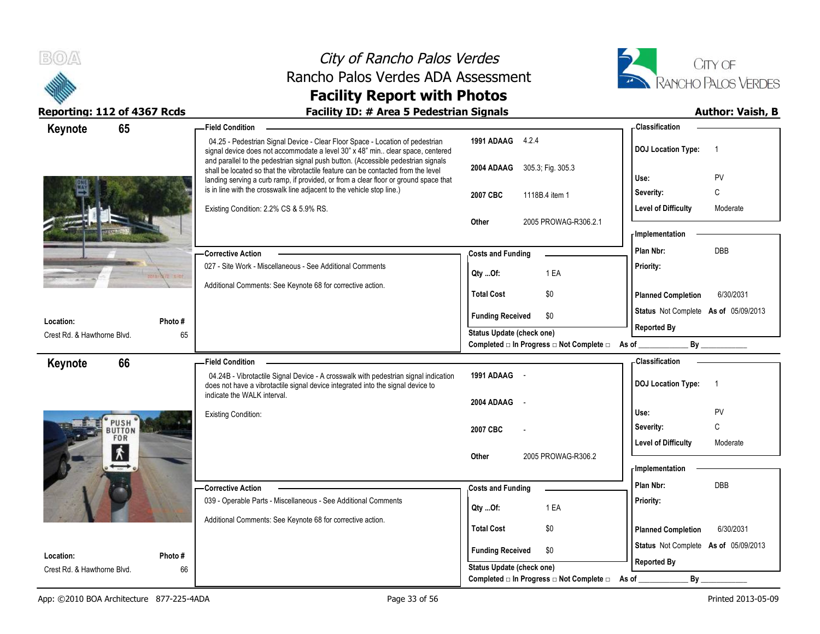



| 65<br>Keynote                            |               | <b>Field Condition</b>                                                                                                                                                                                                                                         |                                                         | - Classification                            |
|------------------------------------------|---------------|----------------------------------------------------------------------------------------------------------------------------------------------------------------------------------------------------------------------------------------------------------------|---------------------------------------------------------|---------------------------------------------|
|                                          |               | 04.25 - Pedestrian Signal Device - Clear Floor Space - Location of pedestrian<br>signal device does not accommodate a level 30" x 48" min clear space, centered                                                                                                | 1991 ADAAG 4.2.4                                        | <b>DOJ Location Type:</b><br>$\overline{1}$ |
|                                          |               | and parallel to the pedestrian signal push button. (Accessible pedestrian signals<br>shall be located so that the vibrotactile feature can be contacted from the level<br>landing serving a curb ramp, if provided, or from a clear floor or ground space that | 2004 ADAAG 305.3; Fig. 305.3                            | PV<br>Use:                                  |
|                                          |               | is in line with the crosswalk line adjacent to the vehicle stop line.)                                                                                                                                                                                         | 2007 CBC<br>1118B.4 item 1                              | C<br>Severity:                              |
|                                          |               | Existing Condition: 2.2% CS & 5.9% RS.                                                                                                                                                                                                                         |                                                         | <b>Level of Difficulty</b><br>Moderate      |
|                                          |               |                                                                                                                                                                                                                                                                | 2005 PROWAG-R306.2.1<br>Other                           |                                             |
|                                          |               |                                                                                                                                                                                                                                                                |                                                         | <b>Implementation</b>                       |
|                                          |               | - Corrective Action                                                                                                                                                                                                                                            | <b>Costs and Funding</b>                                | Plan Nbr:<br>DBB                            |
|                                          | <b>TABE</b>   | 027 - Site Work - Miscellaneous - See Additional Comments                                                                                                                                                                                                      | 1 EA<br>Qty Of:                                         | Priority:                                   |
|                                          |               | Additional Comments: See Keynote 68 for corrective action.                                                                                                                                                                                                     | <b>Total Cost</b><br>\$0                                |                                             |
|                                          |               |                                                                                                                                                                                                                                                                |                                                         | 6/30/2031<br><b>Planned Completion</b>      |
| Location:                                | Photo#        |                                                                                                                                                                                                                                                                | <b>Funding Received</b><br>\$0                          | Status Not Complete As of 05/09/2013        |
| Crest Rd. & Hawthorne Blvd.              | 65            |                                                                                                                                                                                                                                                                | Status Update (check one)                               | <b>Reported By</b>                          |
|                                          |               |                                                                                                                                                                                                                                                                | Completed □ In Progress □ Not Complete □ As of ________ | By                                          |
| 66<br>Keynote                            |               | <b>Field Condition</b>                                                                                                                                                                                                                                         |                                                         | <b>Classification</b>                       |
|                                          |               |                                                                                                                                                                                                                                                                |                                                         |                                             |
|                                          |               | 04.24B - Vibrotactile Signal Device - A crosswalk with pedestrian signal indication<br>does not have a vibrotactile signal device integrated into the signal device to                                                                                         | 1991 ADAAG -                                            | <b>DOJ Location Type:</b><br>$\overline{1}$ |
|                                          |               | indicate the WALK interval.                                                                                                                                                                                                                                    | 2004 ADAAG<br>$\sim$                                    |                                             |
|                                          |               | <b>Existing Condition:</b>                                                                                                                                                                                                                                     |                                                         | PV<br>Use:                                  |
| PUSH<br>BUTTON                           |               |                                                                                                                                                                                                                                                                | 2007 CBC                                                | $\mathsf{C}$<br>Severity:                   |
| <b>FOR</b>                               |               |                                                                                                                                                                                                                                                                |                                                         | Level of Difficulty<br>Moderate             |
| $\mathbf{\dot{r}}$                       |               |                                                                                                                                                                                                                                                                | 2005 PROWAG-R306.2<br>Other                             | <b>Implementation</b>                       |
|                                          |               |                                                                                                                                                                                                                                                                |                                                         | Plan Nbr:<br><b>DBB</b>                     |
|                                          |               | -Corrective Action<br>039 - Operable Parts - Miscellaneous - See Additional Comments                                                                                                                                                                           | <b>Costs and Funding</b>                                | Priority:                                   |
|                                          |               |                                                                                                                                                                                                                                                                | 1 EA<br>Qty Of:                                         |                                             |
|                                          |               | Additional Comments: See Keynote 68 for corrective action.                                                                                                                                                                                                     | <b>Total Cost</b><br>\$0                                | <b>Planned Completion</b><br>6/30/2031      |
|                                          |               |                                                                                                                                                                                                                                                                | \$0                                                     | Status Not Complete As of 05/09/2013        |
| Location:<br>Crest Rd. & Hawthorne Blvd. | Photo #<br>66 |                                                                                                                                                                                                                                                                | <b>Funding Received</b><br>Status Update (check one)    | <b>Reported By</b>                          |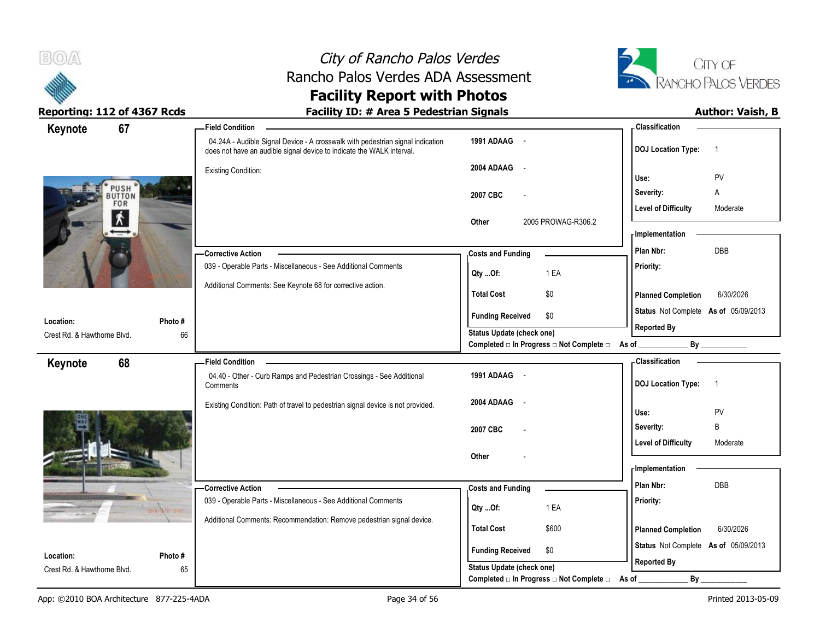



| 67<br>Keynote               |         | <b>Field Condition</b>                                                                                                                                  |                                                                                      | -Classification                                            |
|-----------------------------|---------|---------------------------------------------------------------------------------------------------------------------------------------------------------|--------------------------------------------------------------------------------------|------------------------------------------------------------|
|                             |         | 04.24A - Audible Signal Device - A crosswalk with pedestrian signal indication<br>does not have an audible signal device to indicate the WALK interval. | 1991 ADAAG -                                                                         | <b>DOJ</b> Location Type:<br>$\overline{1}$                |
|                             |         | <b>Existing Condition:</b>                                                                                                                              | 2004 ADAAG<br>$\sim$ $\sim$                                                          | PV<br>Use:                                                 |
| PUSH<br>BUTTON              |         |                                                                                                                                                         |                                                                                      | Severity:<br>Α                                             |
| <b>FOR</b>                  |         |                                                                                                                                                         | 2007 CBC<br>$\overline{\phantom{a}}$                                                 | <b>Level of Difficulty</b><br>Moderate                     |
| $\pmb{\hat{\Lambda}}$       |         |                                                                                                                                                         | 2005 PROWAG-R306.2<br>Other                                                          |                                                            |
|                             |         |                                                                                                                                                         |                                                                                      | - Implementation                                           |
|                             |         | <b>Corrective Action</b>                                                                                                                                | <b>Costs and Funding</b>                                                             | DBB<br>Plan Nbr:                                           |
|                             |         | 039 - Operable Parts - Miscellaneous - See Additional Comments                                                                                          | 1 EA<br>Qty Of:                                                                      | Priority:                                                  |
|                             |         | Additional Comments: See Keynote 68 for corrective action.                                                                                              | \$0<br><b>Total Cost</b>                                                             | 6/30/2026                                                  |
|                             |         |                                                                                                                                                         |                                                                                      | <b>Planned Completion</b>                                  |
| Location:                   | Photo # |                                                                                                                                                         | <b>Funding Received</b><br>\$0                                                       | Status Not Complete As of 05/09/2013<br><b>Reported By</b> |
| Crest Rd. & Hawthorne Blvd. | 66      |                                                                                                                                                         | <b>Status Update (check one)</b><br>Completed □ In Progress □ Not Complete □ As of _ | By                                                         |
| 68                          |         | <b>Field Condition</b>                                                                                                                                  |                                                                                      | - Classification                                           |
| Keynote                     |         | 04.40 - Other - Curb Ramps and Pedestrian Crossings - See Additional                                                                                    | 1991 ADAAG -                                                                         |                                                            |
|                             |         | Comments                                                                                                                                                |                                                                                      | <b>DOJ</b> Location Type:<br>$\overline{1}$                |
|                             |         |                                                                                                                                                         |                                                                                      |                                                            |
|                             |         | Existing Condition: Path of travel to pedestrian signal device is not provided.                                                                         | 2004 ADAAG<br>$\sim$                                                                 |                                                            |
|                             |         |                                                                                                                                                         |                                                                                      | Use:<br>PV                                                 |
|                             |         |                                                                                                                                                         | 2007 CBC                                                                             | B<br>Severity:<br><b>Level of Difficulty</b><br>Moderate   |
|                             |         |                                                                                                                                                         | Other                                                                                |                                                            |
|                             |         |                                                                                                                                                         |                                                                                      | - Implementation                                           |
|                             |         | - Corrective Action                                                                                                                                     | <b>Costs and Funding</b>                                                             | Plan Nbr:<br>DBB                                           |
|                             |         | 039 - Operable Parts - Miscellaneous - See Additional Comments                                                                                          | 1 EA<br>Qty Of:                                                                      | Priority:                                                  |
|                             |         | Additional Comments: Recommendation: Remove pedestrian signal device.                                                                                   |                                                                                      |                                                            |
|                             |         |                                                                                                                                                         | <b>Total Cost</b><br>\$600                                                           | <b>Planned Completion</b><br>6/30/2026                     |
| Location:                   | Photo # |                                                                                                                                                         | <b>Funding Received</b><br>\$0<br>Status Update (check one)                          | Status Not Complete As of 05/09/2013<br><b>Reported By</b> |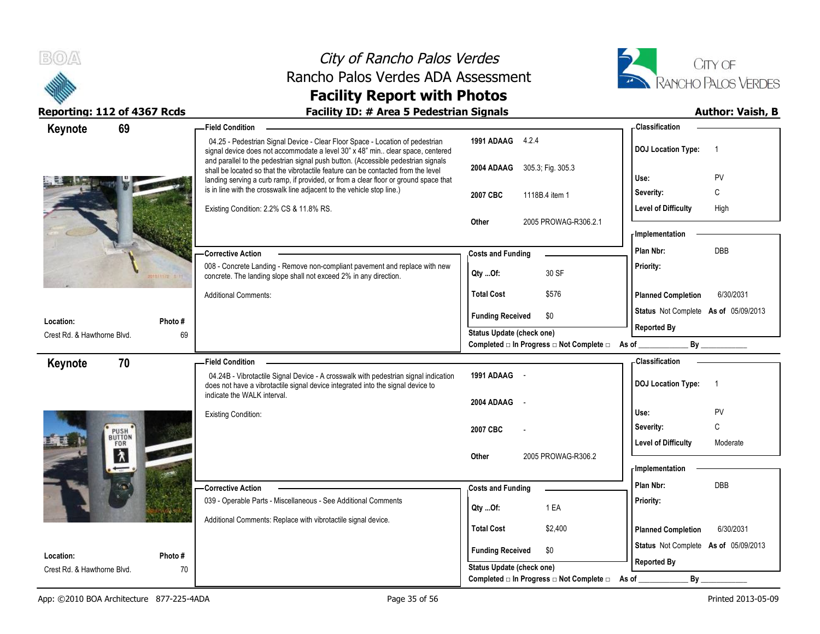



| 69<br>Keynote               |         | - Field Condition                                                                                                                                                                                                                                              |                                                                              | - Classification                            |
|-----------------------------|---------|----------------------------------------------------------------------------------------------------------------------------------------------------------------------------------------------------------------------------------------------------------------|------------------------------------------------------------------------------|---------------------------------------------|
|                             |         | 04.25 - Pedestrian Signal Device - Clear Floor Space - Location of pedestrian<br>signal device does not accommodate a level 30" x 48" min clear space, centered                                                                                                | 1991 ADAAG 4.2.4                                                             | <b>DOJ Location Type:</b><br>$\overline{1}$ |
|                             |         | and parallel to the pedestrian signal push button. (Accessible pedestrian signals<br>shall be located so that the vibrotactile feature can be contacted from the level<br>landing serving a curb ramp, if provided, or from a clear floor or ground space that | 2004 ADAAG 305.3, Fig. 305.3                                                 | PV<br>Use:                                  |
|                             |         | is in line with the crosswalk line adjacent to the vehicle stop line.)                                                                                                                                                                                         | 2007 CBC<br>1118B.4 item 1                                                   | Severity:<br>C                              |
|                             |         | Existing Condition: 2.2% CS & 11.8% RS.                                                                                                                                                                                                                        |                                                                              | <b>Level of Difficulty</b><br>High          |
|                             |         |                                                                                                                                                                                                                                                                | 2005 PROWAG-R306.2.1<br><b>Other</b>                                         |                                             |
|                             |         |                                                                                                                                                                                                                                                                |                                                                              | <b>Implementation</b>                       |
|                             |         | <b>Corrective Action</b>                                                                                                                                                                                                                                       | <b>Costs and Funding</b>                                                     | Plan Nbr:<br>DBB                            |
|                             |         | 008 - Concrete Landing - Remove non-compliant pavement and replace with new<br>concrete. The landing slope shall not exceed 2% in any direction.                                                                                                               | 30 SF<br>Qty Of:                                                             | Priority:                                   |
|                             |         | <b>Additional Comments:</b>                                                                                                                                                                                                                                    | <b>Total Cost</b><br>\$576                                                   | <b>Planned Completion</b><br>6/30/2031      |
| Location:                   | Photo # |                                                                                                                                                                                                                                                                | <b>Funding Received</b><br>\$0                                               | Status Not Complete As of 05/09/2013        |
| Crest Rd. & Hawthorne Blvd. | 69      |                                                                                                                                                                                                                                                                | <b>Status Update (check one)</b>                                             | <b>Reported By</b>                          |
|                             |         |                                                                                                                                                                                                                                                                | Completed □ In Progress □ Not Complete □ As of _________                     | By                                          |
| 70<br>Keynote               |         | <b>Field Condition</b>                                                                                                                                                                                                                                         |                                                                              | <b>Classification</b>                       |
|                             |         | 04.24B - Vibrotactile Signal Device - A crosswalk with pedestrian signal indication<br>does not have a vibrotactile signal device integrated into the signal device to                                                                                         | 1991 ADAAG -                                                                 | <b>DOJ Location Type:</b><br>$\overline{1}$ |
|                             |         | indicate the WALK interval.                                                                                                                                                                                                                                    | 2004 ADAAG                                                                   |                                             |
|                             |         | <b>Existing Condition:</b>                                                                                                                                                                                                                                     |                                                                              | PV<br>Use:                                  |
| PUSH <sup>T</sup>           |         |                                                                                                                                                                                                                                                                | 2007 CBC                                                                     | C<br>Severity:                              |
| FOR                         |         |                                                                                                                                                                                                                                                                |                                                                              | <b>Level of Difficulty</b><br>Moderate      |
| $\lambda$                   |         |                                                                                                                                                                                                                                                                | 2005 PROWAG-R306.2<br>Other                                                  |                                             |
|                             |         |                                                                                                                                                                                                                                                                |                                                                              | - Implementation                            |
|                             |         | <b>Corrective Action</b>                                                                                                                                                                                                                                       | <b>Costs and Funding</b>                                                     | Plan Nbr:<br>DBB                            |
|                             |         | 039 - Operable Parts - Miscellaneous - See Additional Comments                                                                                                                                                                                                 | 1 EA<br>Qty Of:                                                              | Priority:                                   |
|                             |         | Additional Comments: Replace with vibrotactile signal device.                                                                                                                                                                                                  | <b>Total Cost</b><br>\$2,400                                                 | <b>Planned Completion</b><br>6/30/2031      |
|                             |         |                                                                                                                                                                                                                                                                |                                                                              |                                             |
| Location:                   | Photo # |                                                                                                                                                                                                                                                                | <b>Funding Received</b><br>\$0                                               | Status Not Complete As of 05/09/2013        |
|                             |         |                                                                                                                                                                                                                                                                |                                                                              |                                             |
| Crest Rd. & Hawthorne Blvd. | 70      |                                                                                                                                                                                                                                                                | <b>Status Update (check one)</b><br>Completed □ In Progress □ Not Complete □ | <b>Reported By</b><br>By<br>As of           |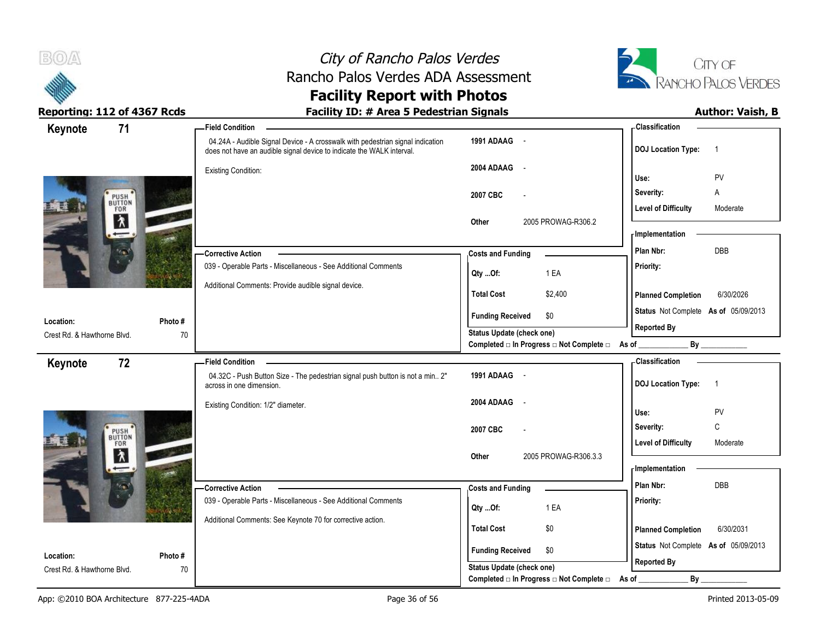



| Keynote<br>71                            |               | -Field Condition                                                                                                                                        |                                                             | - Classification                            |
|------------------------------------------|---------------|---------------------------------------------------------------------------------------------------------------------------------------------------------|-------------------------------------------------------------|---------------------------------------------|
|                                          |               | 04.24A - Audible Signal Device - A crosswalk with pedestrian signal indication<br>does not have an audible signal device to indicate the WALK interval. | 1991 ADAAG -                                                | <b>DOJ Location Type:</b><br>$\overline{1}$ |
|                                          |               | <b>Existing Condition:</b>                                                                                                                              | 2004 ADAAG<br>$\sim$                                        | PV<br>Use:                                  |
|                                          |               |                                                                                                                                                         |                                                             | Severity:<br>Α                              |
| PUSH <sup>'</sup><br>BUTTON<br>FOR       |               |                                                                                                                                                         | 2007 CBC<br>$\overline{a}$                                  | <b>Level of Difficulty</b><br>Moderate      |
| 入                                        |               |                                                                                                                                                         | 2005 PROWAG-R306.2<br>Other                                 |                                             |
|                                          |               |                                                                                                                                                         |                                                             | - Implementation                            |
|                                          |               | -Corrective Action                                                                                                                                      | <b>Costs and Funding</b>                                    | DBB<br>Plan Nbr:                            |
|                                          |               | 039 - Operable Parts - Miscellaneous - See Additional Comments                                                                                          | 1 EA<br>Qty Of:                                             | Priority:                                   |
|                                          |               | Additional Comments: Provide audible signal device.                                                                                                     |                                                             |                                             |
|                                          |               |                                                                                                                                                         | <b>Total Cost</b><br>\$2,400                                | 6/30/2026<br><b>Planned Completion</b>      |
| Location:                                | Photo #       |                                                                                                                                                         | <b>Funding Received</b><br>\$0                              | Status Not Complete As of 05/09/2013        |
| Crest Rd. & Hawthorne Blvd.              | 70            |                                                                                                                                                         | Status Update (check one)                                   | <b>Reported By</b>                          |
|                                          |               |                                                                                                                                                         | Completed □ In Progress □ Not Complete □ As of _            | $By$ <sub>___</sub>                         |
| 72<br>Keynote                            |               | <b>Field Condition</b>                                                                                                                                  |                                                             | - Classification                            |
|                                          |               | 04.32C - Push Button Size - The pedestrian signal push button is not a min 2"<br>across in one dimension.                                               | 1991 ADAAG -                                                | <b>DOJ Location Type:</b><br>$\overline{1}$ |
|                                          |               | Existing Condition: 1/2" diameter.                                                                                                                      | 2004 ADAAG<br>$\sim$                                        |                                             |
|                                          |               |                                                                                                                                                         |                                                             |                                             |
|                                          |               |                                                                                                                                                         |                                                             | PV<br>Use:                                  |
|                                          |               |                                                                                                                                                         | 2007 CBC                                                    | Severity:<br>C                              |
| PUSH <sup>'</sup><br>BUTTON<br>FOR       |               |                                                                                                                                                         |                                                             | <b>Level of Difficulty</b><br>Moderate      |
| $\pmb{\lambda}$                          |               |                                                                                                                                                         | 2005 PROWAG-R306.3.3<br>Other                               |                                             |
|                                          |               |                                                                                                                                                         |                                                             | - Implementation                            |
|                                          |               | -Corrective Action                                                                                                                                      | <b>Costs and Funding</b>                                    | Plan Nbr:<br>DBB                            |
|                                          |               | 039 - Operable Parts - Miscellaneous - See Additional Comments                                                                                          | 1 EA<br>Qty Of:                                             | Priority:                                   |
|                                          |               | Additional Comments: See Keynote 70 for corrective action.                                                                                              | <b>Total Cost</b><br>\$0                                    | <b>Planned Completion</b><br>6/30/2031      |
|                                          |               |                                                                                                                                                         |                                                             | Status Not Complete As of 05/09/2013        |
| Location:<br>Crest Rd. & Hawthorne Blvd. | Photo #<br>70 |                                                                                                                                                         | <b>Funding Received</b><br>\$0<br>Status Update (check one) | <b>Reported By</b>                          |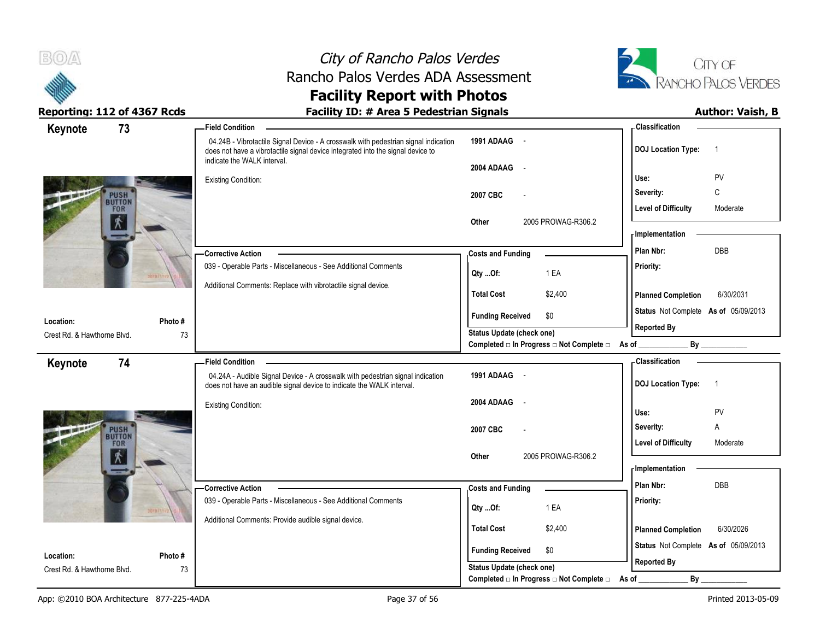

# City of Rancho Palos Verdes Rancho Palos Verdes ADA Assessment



### **Facility Report with Photos** Reporting: 112 of 4367 Rcds **Facility ID: # Area 5 Pedestrian Signals Facility ID: # Area 5 Pedestrian Signals**

| 73<br>Keynote               |         | <b>Field Condition</b>                                                                                                                                                                                |                                                  | - Classification                            |
|-----------------------------|---------|-------------------------------------------------------------------------------------------------------------------------------------------------------------------------------------------------------|--------------------------------------------------|---------------------------------------------|
|                             |         | 04.24B - Vibrotactile Signal Device - A crosswalk with pedestrian signal indication<br>does not have a vibrotactile signal device integrated into the signal device to<br>indicate the WALK interval. | 1991 ADAAG -                                     | <b>DOJ Location Type:</b><br>$\overline{1}$ |
|                             |         |                                                                                                                                                                                                       | 2004 ADAAG<br>$\sim$ $-$                         |                                             |
|                             |         | <b>Existing Condition:</b>                                                                                                                                                                            |                                                  | PV<br>Use:                                  |
| <b>PUSH</b><br>BUTTON       |         |                                                                                                                                                                                                       | 2007 CBC                                         | C<br>Severity:                              |
| FOR                         |         |                                                                                                                                                                                                       |                                                  | <b>Level of Difficulty</b><br>Moderate      |
| $\dot{x}$                   |         |                                                                                                                                                                                                       | 2005 PROWAG-R306.2<br>Other                      |                                             |
|                             |         |                                                                                                                                                                                                       |                                                  | <b>Implementation</b>                       |
|                             |         | <b>Corrective Action</b>                                                                                                                                                                              | <b>Costs and Funding</b>                         | <b>DBB</b><br>Plan Nbr:                     |
|                             |         | 039 - Operable Parts - Miscellaneous - See Additional Comments                                                                                                                                        | 1 EA<br>Qty Of:                                  | Priority:                                   |
|                             |         | Additional Comments: Replace with vibrotactile signal device.                                                                                                                                         | <b>Total Cost</b><br>\$2,400                     |                                             |
|                             |         |                                                                                                                                                                                                       |                                                  | <b>Planned Completion</b><br>6/30/2031      |
| Location:                   | Photo # |                                                                                                                                                                                                       | <b>Funding Received</b><br>\$0                   | Status Not Complete As of 05/09/2013        |
| Crest Rd. & Hawthorne Blvd. | 73      |                                                                                                                                                                                                       | <b>Status Update (check one)</b>                 | <b>Reported By</b>                          |
|                             |         |                                                                                                                                                                                                       | Completed □ In Progress □ Not Complete □ As of _ | By                                          |
| 74<br>Keynote               |         | <b>Field Condition</b>                                                                                                                                                                                |                                                  | - Classification                            |
|                             |         | 04.24A - Audible Signal Device - A crosswalk with pedestrian signal indication<br>does not have an audible signal device to indicate the WALK interval.                                               | 1991 ADAAG -                                     | <b>DOJ Location Type:</b><br>$\overline{1}$ |
|                             |         | <b>Existing Condition:</b>                                                                                                                                                                            | 2004 ADAAG<br>$\sim$                             |                                             |
|                             |         |                                                                                                                                                                                                       |                                                  | PV<br>Use:                                  |
| <b>PUSH</b><br>BUTTON       |         |                                                                                                                                                                                                       | 2007 CBC                                         | Severity:<br>Α                              |
| FOR                         |         |                                                                                                                                                                                                       |                                                  | <b>Level of Difficulty</b><br>Moderate      |
| 术                           |         |                                                                                                                                                                                                       | 2005 PROWAG-R306.2<br>Other                      | - Implementation                            |
|                             |         |                                                                                                                                                                                                       |                                                  |                                             |
|                             |         | <b>Corrective Action</b>                                                                                                                                                                              | <b>Costs and Funding</b>                         | Plan Nbr:<br>DBB                            |
|                             |         | 039 - Operable Parts - Miscellaneous - See Additional Comments                                                                                                                                        | 1 EA<br>Qty Of:                                  | Priority:                                   |
|                             |         | Additional Comments: Provide audible signal device.                                                                                                                                                   | <b>Total Cost</b><br>\$2,400                     | <b>Planned Completion</b><br>6/30/2026      |
|                             |         |                                                                                                                                                                                                       |                                                  |                                             |
| Location:                   | Photo#  |                                                                                                                                                                                                       | <b>Funding Received</b><br>\$0                   | Status Not Complete As of 05/09/2013        |
| Crest Rd. & Hawthorne Blvd. | 73      |                                                                                                                                                                                                       | Status Update (check one)                        | <b>Reported By</b>                          |
|                             |         |                                                                                                                                                                                                       | Completed □ In Progress □ Not Complete □         | By<br>As of                                 |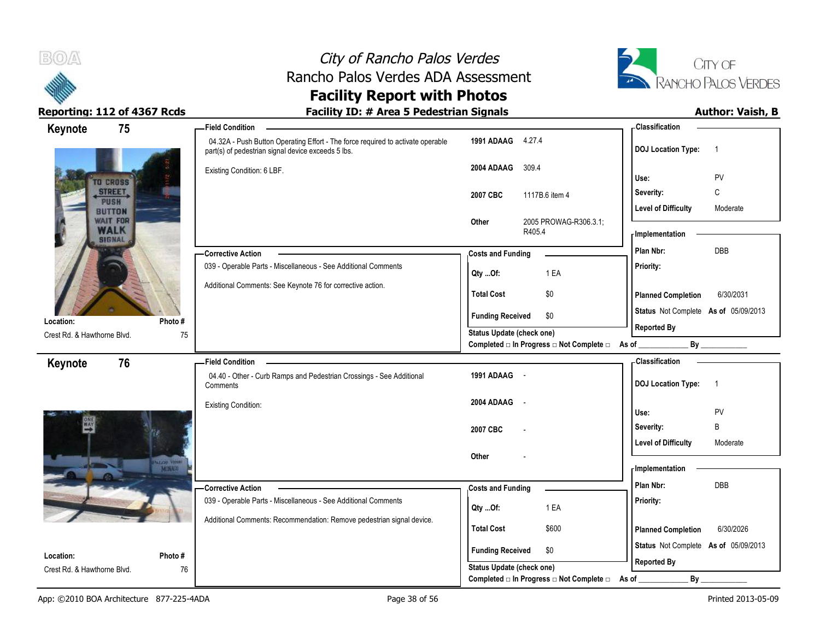



**Classification Keynote 75 Field Condition 1991 ADAAG** 4.27.4 04.32A - Push Button Operating Effort - The force required to activate operable **DOJ Location Type:** 1 part(s) of pedestrian signal device exceeds 5 lbs. **2004 ADAAG** 309.4 Existing Condition: 6 LBF. **Use:** PV **TO CROSS STREET Severity:** C **2007 CBC** 1117B.6 item 4 PUSH Level of Difficulty **Moderate BUTTON WAIT FOR Other** 2005 PROWAG-R306.3.1; **WALK** R405.4 **Implementation SIGNAL Costs and Funding <b>Plan Nbr:** DBB **Corrective Action**  039 - Operable Parts - Miscellaneous - See Additional Comments **Priority: Qty ...Of:** 1 EA Additional Comments: See Keynote 76 for corrective action. **Total Cost** \$0 **Planned Completion** 6/30/2031 **Status** Not Complete **As of** 05/09/2013 **Funding Received \$0 Location: Photo # Reported By Status Update (check one)** Crest Rd. & Hawthorne Blvd. 75 Completed □ In Progress □ Not Complete □ As of \_\_\_\_\_\_\_\_\_\_\_\_\_\_\_\_\_\_\_\_\_\_\_\_\_\_\_\_\_\_\_\_\_ **Classification Keynote 76 Field Condition** 04.40 - Other - Curb Ramps and Pedestrian Crossings - See Additional **1991 ADAAG** - **DOJ Location Type:** 1 **Comments 2004 ADAAG** - Existing Condition: **Use:** PV **Severity:** B **2007 CBC** - Level of Difficulty **Moderate Other** - MONA **Implementation Costs and Funding <b>Plan Nbr:** DBB **Corrective Action**  039 - Operable Parts - Miscellaneous - See Additional Comments **Priority: Qty ...Of:** 1 EA Additional Comments: Recommendation: Remove pedestrian signal device. **Total Cost** \$600 **Planned Completion** 6/30/2026 **Status** Not Complete **As of** 05/09/2013 **Funding Received \$0 Location: Photo # Reported By Status Update (check one)** Crest Rd. & Hawthorne Blvd. 76 Completed □ In Progress □ Not Complete □ As of \_\_\_\_\_\_\_\_\_\_\_\_\_\_\_\_\_ By \_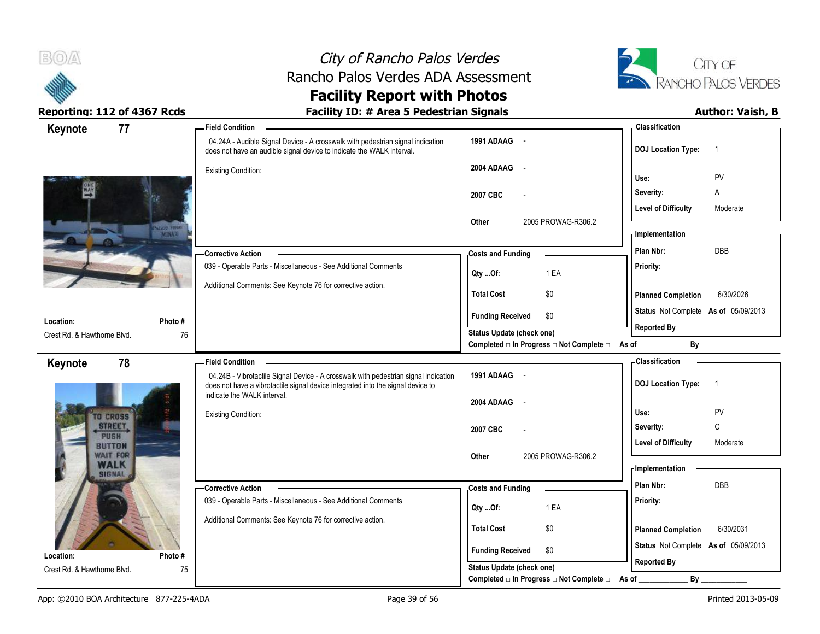



| 77<br>Keynote                     | <b>Field Condition</b>                                                                                                                                                                                |                                                                       | -Classification                             |
|-----------------------------------|-------------------------------------------------------------------------------------------------------------------------------------------------------------------------------------------------------|-----------------------------------------------------------------------|---------------------------------------------|
|                                   | 04.24A - Audible Signal Device - A crosswalk with pedestrian signal indication<br>does not have an audible signal device to indicate the WALK interval.                                               | 1991 ADAAG -                                                          | <b>DOJ Location Type:</b><br>$\overline{1}$ |
|                                   | <b>Existing Condition:</b>                                                                                                                                                                            | 2004 ADAAG<br>$\sim$                                                  | PV<br>Use:                                  |
| 婴                                 |                                                                                                                                                                                                       | 2007 CBC                                                              | Severity:<br>Α                              |
|                                   |                                                                                                                                                                                                       | 2005 PROWAG-R306.2<br>Other                                           | <b>Level of Difficulty</b><br>Moderate      |
| PALOS VIRES                       |                                                                                                                                                                                                       |                                                                       | - Implementation                            |
|                                   | <b>Corrective Action</b>                                                                                                                                                                              | <b>Costs and Funding</b>                                              | DBB<br>Plan Nbr:                            |
|                                   | 039 - Operable Parts - Miscellaneous - See Additional Comments                                                                                                                                        | 1 EA<br>Qty Of:                                                       | Priority:                                   |
|                                   | Additional Comments: See Keynote 76 for corrective action.                                                                                                                                            | <b>Total Cost</b><br>\$0                                              | 6/30/2026<br><b>Planned Completion</b>      |
| Location:<br>Photo #              |                                                                                                                                                                                                       | <b>Funding Received</b><br>\$0                                        | Status Not Complete As of 05/09/2013        |
| 76<br>Crest Rd. & Hawthorne Blvd. |                                                                                                                                                                                                       | Status Update (check one)                                             | <b>Reported By</b>                          |
|                                   |                                                                                                                                                                                                       | Completed □ In Progress □ Not Complete □ As of _                      | By                                          |
| 78<br>Keynote                     | <b>Field Condition</b>                                                                                                                                                                                |                                                                       | <b>Classification</b>                       |
|                                   | 04.24B - Vibrotactile Signal Device - A crosswalk with pedestrian signal indication<br>does not have a vibrotactile signal device integrated into the signal device to<br>indicate the WALK interval. | 1991 ADAAG -                                                          | <b>DOJ Location Type:</b><br>$\overline{1}$ |
|                                   |                                                                                                                                                                                                       | 2004 ADAAG<br>$\sim$                                                  |                                             |
| <b>O CROSS</b><br><b>STREET</b>   | <b>Existing Condition:</b>                                                                                                                                                                            |                                                                       | Use:<br>PV                                  |
| <b>PUSH</b>                       |                                                                                                                                                                                                       | 2007 CBC                                                              | C<br>Severity:                              |
| <b>BUTTON</b><br><b>WAIT FOR</b>  |                                                                                                                                                                                                       |                                                                       | <b>Level of Difficulty</b><br>Moderate      |
| <b>WALK</b>                       |                                                                                                                                                                                                       |                                                                       |                                             |
|                                   |                                                                                                                                                                                                       | 2005 PROWAG-R306.2<br>Other                                           | - Implementation                            |
| <b>SIGNAL</b>                     | - Corrective Action                                                                                                                                                                                   |                                                                       | DBB<br>Plan Nbr:                            |
|                                   | 039 - Operable Parts - Miscellaneous - See Additional Comments                                                                                                                                        | <b>Costs and Funding</b>                                              | Priority:                                   |
|                                   | Additional Comments: See Keynote 76 for corrective action.                                                                                                                                            | 1 EA<br>Qty Of:                                                       |                                             |
|                                   |                                                                                                                                                                                                       | <b>Total Cost</b><br>\$0                                              | <b>Planned Completion</b><br>6/30/2031      |
| Photo #<br>Location:              |                                                                                                                                                                                                       | <b>Funding Received</b><br>\$0                                        | Status Not Complete As of 05/09/2013        |
| 75<br>Crest Rd. & Hawthorne Blvd. |                                                                                                                                                                                                       | Status Update (check one)<br>Completed □ In Progress □ Not Complete □ | <b>Reported By</b><br>By                    |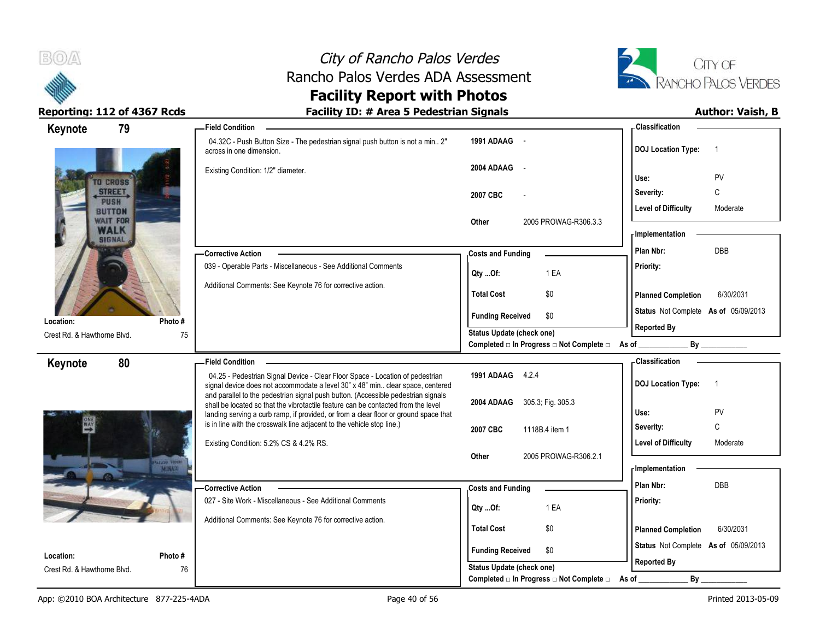

# City of Rancho Palos Verdes Rancho Palos Verdes ADA Assessment



### **Facility Report with Photos** Reporting: 112 of 4367 Rcds **Facility ID: # Area 5 Pedestrian Signals Facility ID: # Area 5 Pedestrian Signals**

| 79<br>Keynote                            |             | <b>Field Condition</b>                                                                                                                                                                                                                                         |                                                  | - Classification                            |
|------------------------------------------|-------------|----------------------------------------------------------------------------------------------------------------------------------------------------------------------------------------------------------------------------------------------------------------|--------------------------------------------------|---------------------------------------------|
|                                          |             | 04.32C - Push Button Size - The pedestrian signal push button is not a min 2"<br>across in one dimension.                                                                                                                                                      | 1991 ADAAG<br>$\sim$                             | <b>DOJ Location Type:</b><br>$\overline{1}$ |
| TO CROSS                                 |             | Existing Condition: 1/2" diameter.                                                                                                                                                                                                                             | 2004 ADAAG -                                     | PV<br>Use:                                  |
| STREET.                                  |             |                                                                                                                                                                                                                                                                | 2007 CBC                                         | $\mathsf{C}$<br>Severity:                   |
| <b>PUSH</b><br><b>BUTTON</b>             |             |                                                                                                                                                                                                                                                                |                                                  | <b>Level of Difficulty</b><br>Moderate      |
| <b>WAIT FOR</b><br>WALK<br><b>SIGNAL</b> |             |                                                                                                                                                                                                                                                                | Other<br>2005 PROWAG-R306.3.3                    | - Implementation                            |
|                                          |             | <b>Corrective Action</b>                                                                                                                                                                                                                                       | <b>Costs and Funding</b>                         | DBB<br>Plan Nbr:                            |
|                                          |             | 039 - Operable Parts - Miscellaneous - See Additional Comments                                                                                                                                                                                                 | Qty Of:<br>1 EA                                  | Priority:                                   |
|                                          |             | Additional Comments: See Keynote 76 for corrective action.                                                                                                                                                                                                     | \$0<br><b>Total Cost</b>                         | <b>Planned Completion</b><br>6/30/2031      |
| Location:                                | Photo#      |                                                                                                                                                                                                                                                                | \$0<br><b>Funding Received</b>                   | Status Not Complete As of 05/09/2013        |
| Crest Rd. & Hawthorne Blvd.              | 75          |                                                                                                                                                                                                                                                                | Status Update (check one)                        | <b>Reported By</b>                          |
|                                          |             |                                                                                                                                                                                                                                                                | Completed □ In Progress □ Not Complete □ As of _ | By                                          |
| 80<br>Keynote                            |             | <b>Field Condition</b>                                                                                                                                                                                                                                         |                                                  | - Classification                            |
|                                          |             | 04.25 - Pedestrian Signal Device - Clear Floor Space - Location of pedestrian<br>signal device does not accommodate a level 30" x 48" min clear space, centered                                                                                                | 1991 ADAAG 4.2.4                                 | <b>DOJ Location Type:</b><br>$\overline{1}$ |
|                                          |             | and parallel to the pedestrian signal push button. (Accessible pedestrian signals<br>shall be located so that the vibrotactile feature can be contacted from the level<br>landing serving a curb ramp, if provided, or from a clear floor or ground space that | 305.3; Fig. 305.3<br>2004 ADAAG                  | PV<br>Use:                                  |
| $\overset{\text{on}}{\rightarrow}$       |             | is in line with the crosswalk line adjacent to the vehicle stop line.)                                                                                                                                                                                         | 2007 CBC<br>1118B.4 item 1                       | C<br>Severity:                              |
|                                          |             | Existing Condition: 5.2% CS & 4.2% RS.                                                                                                                                                                                                                         |                                                  | Level of Difficulty<br>Moderate             |
|                                          | PALOS VIRES |                                                                                                                                                                                                                                                                | 2005 PROWAG-R306.2.1<br>Other                    | - Implementation                            |
|                                          |             | <b>Corrective Action</b>                                                                                                                                                                                                                                       | <b>Costs and Funding</b>                         | DBB<br>Plan Nbr:                            |
|                                          |             | 027 - Site Work - Miscellaneous - See Additional Comments                                                                                                                                                                                                      |                                                  | Priority:                                   |
|                                          |             |                                                                                                                                                                                                                                                                | 1 EA<br>Qty Of:                                  |                                             |
|                                          |             | Additional Comments: See Keynote 76 for corrective action.                                                                                                                                                                                                     | <b>Total Cost</b><br>\$0                         | <b>Planned Completion</b><br>6/30/2031      |
| Location:                                | Photo#      |                                                                                                                                                                                                                                                                | \$0<br><b>Funding Received</b>                   | Status Not Complete As of 05/09/2013        |
| Crest Rd. & Hawthorne Blvd.              | 76          |                                                                                                                                                                                                                                                                | Status Update (check one)                        | <b>Reported By</b>                          |
|                                          |             |                                                                                                                                                                                                                                                                | Completed □ In Progress □ Not Complete □ As of   | $By =$                                      |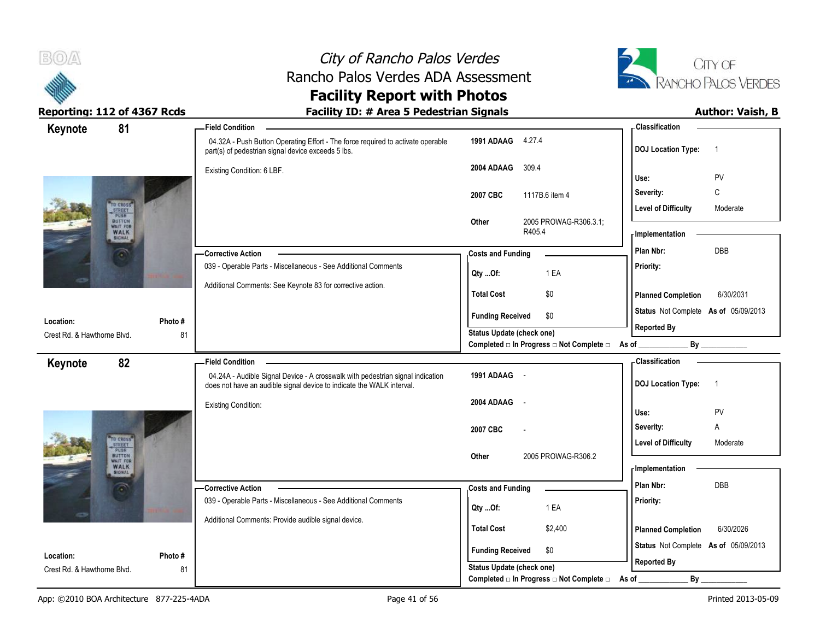



| 81<br>Keynote                                   |         | <b>Field Condition</b>                                                                                                                |                                  |                       |                                                  | - Classification           |                                      |
|-------------------------------------------------|---------|---------------------------------------------------------------------------------------------------------------------------------------|----------------------------------|-----------------------|--------------------------------------------------|----------------------------|--------------------------------------|
|                                                 |         | 04.32A - Push Button Operating Effort - The force required to activate operable<br>part(s) of pedestrian signal device exceeds 5 lbs. | 1991 ADAAG 4.27.4                |                       |                                                  | <b>DOJ Location Type:</b>  | $\overline{1}$                       |
|                                                 |         | Existing Condition: 6 LBF.                                                                                                            | 2004 ADAAG                       | 309.4                 |                                                  | Use:                       | PV                                   |
|                                                 |         |                                                                                                                                       | 2007 CBC                         |                       | 1117B.6 item 4                                   | Severity:                  | C                                    |
| TO CROSS <sup>.</sup><br>STREET<br>PUBH         |         |                                                                                                                                       |                                  |                       |                                                  | <b>Level of Difficulty</b> | Moderate                             |
| <b>BUTTON</b><br><b>WAIT FOR</b><br>WALK        |         | Other                                                                                                                                 | R405.4                           | 2005 PROWAG-R306.3.1; | <b>Implementation</b>                            |                            |                                      |
|                                                 |         | - Corrective Action                                                                                                                   | <b>Costs and Funding</b>         |                       |                                                  | Plan Nbr:                  | DBB                                  |
|                                                 |         | 039 - Operable Parts - Miscellaneous - See Additional Comments                                                                        | Qty Of:                          |                       | 1 EA                                             | Priority:                  |                                      |
|                                                 |         | Additional Comments: See Keynote 83 for corrective action.                                                                            |                                  |                       |                                                  |                            |                                      |
|                                                 |         |                                                                                                                                       | <b>Total Cost</b>                |                       | \$0                                              | <b>Planned Completion</b>  | 6/30/2031                            |
| Location:                                       | Photo#  |                                                                                                                                       | <b>Funding Received</b>          |                       | \$0                                              |                            | Status Not Complete As of 05/09/2013 |
| Crest Rd. & Hawthorne Blvd.                     | 81      |                                                                                                                                       | <b>Status Update (check one)</b> |                       |                                                  | <b>Reported By</b>         |                                      |
|                                                 |         |                                                                                                                                       |                                  |                       | Completed □ In Progress □ Not Complete □ As of _ |                            |                                      |
| 82<br>Keynote                                   |         | <b>Field Condition</b><br>04.24A - Audible Signal Device - A crosswalk with pedestrian signal indication                              | 1991 ADAAG -                     |                       |                                                  | -Classification            |                                      |
|                                                 |         | does not have an audible signal device to indicate the WALK interval.                                                                 |                                  |                       |                                                  | <b>DOJ Location Type:</b>  | $\overline{1}$                       |
|                                                 |         | <b>Existing Condition:</b>                                                                                                            | 2004 ADAAG                       | $\sim$ $\sim$         |                                                  |                            |                                      |
|                                                 |         |                                                                                                                                       |                                  |                       |                                                  | Use:                       | PV                                   |
|                                                 |         |                                                                                                                                       | 2007 CBC                         |                       |                                                  | Severity:                  | Α                                    |
| TO CHOSS<br>STREET<br>PUSH<br><b>BUTTON</b>     |         |                                                                                                                                       | Other                            |                       | 2005 PROWAG-R306.2                               | Level of Difficulty        | Moderate                             |
| <b>WAIT FOR</b><br><b>WALK</b><br><b>SIGNAL</b> |         |                                                                                                                                       |                                  |                       |                                                  | <b>Implementation</b>      |                                      |
|                                                 |         | -Corrective Action                                                                                                                    | <b>Costs and Funding</b>         |                       |                                                  | Plan Nbr:                  | <b>DBB</b>                           |
|                                                 |         | 039 - Operable Parts - Miscellaneous - See Additional Comments                                                                        | $Qty$ Of:                        |                       | 1 EA                                             | Priority:                  |                                      |
|                                                 |         | Additional Comments: Provide audible signal device.                                                                                   |                                  |                       |                                                  |                            |                                      |
|                                                 |         |                                                                                                                                       | <b>Total Cost</b>                |                       | \$2,400                                          | <b>Planned Completion</b>  | 6/30/2026                            |
| Location:                                       | Photo # |                                                                                                                                       | <b>Funding Received</b>          |                       | \$0                                              |                            | Status Not Complete As of 05/09/2013 |
| Crest Rd. & Hawthorne Blvd.                     | 81      |                                                                                                                                       | Status Update (check one)        |                       |                                                  | <b>Reported By</b>         |                                      |
|                                                 |         |                                                                                                                                       |                                  |                       | Completed □ In Progress □ Not Complete □         | As of                      | By                                   |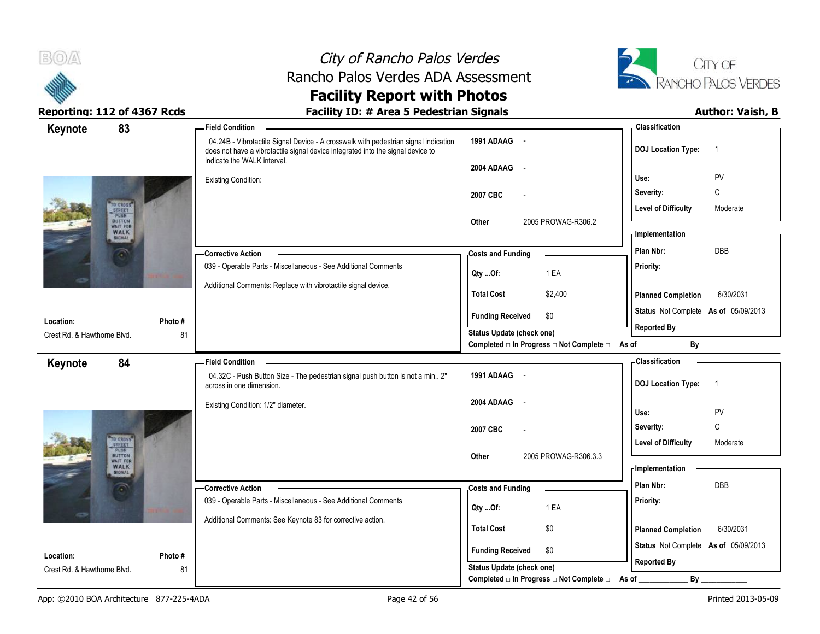



| 83<br>Keynote                                            |         | - Field Condition                                                                                                                                                                                     |                                                  | - Classification                            |
|----------------------------------------------------------|---------|-------------------------------------------------------------------------------------------------------------------------------------------------------------------------------------------------------|--------------------------------------------------|---------------------------------------------|
|                                                          |         | 04.24B - Vibrotactile Signal Device - A crosswalk with pedestrian signal indication<br>does not have a vibrotactile signal device integrated into the signal device to<br>indicate the WALK interval. | 1991 ADAAG -                                     | <b>DOJ</b> Location Type:<br>$\overline{1}$ |
|                                                          |         |                                                                                                                                                                                                       | 2004 ADAAG -                                     |                                             |
|                                                          |         | <b>Existing Condition:</b>                                                                                                                                                                            |                                                  | Use:<br>PV                                  |
|                                                          |         |                                                                                                                                                                                                       | 2007 CBC                                         | $\mathsf{C}$<br>Severity:                   |
| TO CROSS<br>STREET<br>PUSH                               |         |                                                                                                                                                                                                       |                                                  | <b>Level of Difficulty</b><br>Moderate      |
| <b>BUTTON</b><br>WAIT FOR<br><b>WALK</b>                 |         |                                                                                                                                                                                                       | 2005 PROWAG-R306.2<br>Other                      |                                             |
| <b>SIGNAL</b>                                            |         |                                                                                                                                                                                                       |                                                  | <b>Implementation</b>                       |
|                                                          |         | - Corrective Action                                                                                                                                                                                   | <b>Costs and Funding</b>                         | DBB<br>Plan Nbr:                            |
|                                                          |         | 039 - Operable Parts - Miscellaneous - See Additional Comments                                                                                                                                        | 1 EA<br>Qty Of:                                  | Priority:                                   |
|                                                          |         | Additional Comments: Replace with vibrotactile signal device.                                                                                                                                         | <b>Total Cost</b><br>\$2,400                     | 6/30/2031                                   |
|                                                          |         |                                                                                                                                                                                                       |                                                  | <b>Planned Completion</b>                   |
| Location:                                                | Photo # |                                                                                                                                                                                                       | <b>Funding Received</b><br>\$0                   | Status Not Complete As of 05/09/2013        |
| Crest Rd. & Hawthorne Blvd.                              | 81      |                                                                                                                                                                                                       | Status Update (check one)                        | <b>Reported By</b>                          |
|                                                          |         |                                                                                                                                                                                                       | Completed □ In Progress □ Not Complete □ As of _ | By                                          |
| 84<br>Keynote                                            |         | <b>Field Condition</b>                                                                                                                                                                                |                                                  | - Classification                            |
|                                                          |         | 04.32C - Push Button Size - The pedestrian signal push button is not a min 2"<br>across in one dimension.                                                                                             | 1991 ADAAG -                                     | <b>DOJ</b> Location Type:<br>$\overline{1}$ |
|                                                          |         | Existing Condition: 1/2" diameter.                                                                                                                                                                    | 2004 ADAAG<br>$\sim$                             |                                             |
|                                                          |         |                                                                                                                                                                                                       |                                                  | PV<br>Use:                                  |
|                                                          |         |                                                                                                                                                                                                       | 2007 CBC                                         | C<br>Severity:                              |
| TO CROSS <sup>®</sup><br>STREET<br>PUSH<br><b>BUTTON</b> |         |                                                                                                                                                                                                       |                                                  | <b>Level of Difficulty</b><br>Moderate      |
| WAIT FOR<br><b>WALK</b>                                  |         |                                                                                                                                                                                                       | 2005 PROWAG-R306.3.3<br>Other                    | - Implementation                            |
| <b>SIGNAL</b>                                            |         |                                                                                                                                                                                                       |                                                  | DBB<br>Plan Nbr:                            |
|                                                          |         | -Corrective Action<br>039 - Operable Parts - Miscellaneous - See Additional Comments                                                                                                                  | <b>Costs and Funding</b>                         |                                             |
|                                                          |         |                                                                                                                                                                                                       | 1 EA<br>Qty Of:                                  | Priority:                                   |
|                                                          |         | Additional Comments: See Keynote 83 for corrective action.                                                                                                                                            | <b>Total Cost</b><br>\$0                         | <b>Planned Completion</b><br>6/30/2031      |
|                                                          |         |                                                                                                                                                                                                       |                                                  |                                             |
| Location:                                                | Photo # |                                                                                                                                                                                                       | <b>Funding Received</b><br>\$0                   | Status Not Complete As of 05/09/2013        |
| Crest Rd. & Hawthorne Blvd.                              | 81      |                                                                                                                                                                                                       | <b>Status Update (check one)</b>                 | <b>Reported By</b>                          |
|                                                          |         |                                                                                                                                                                                                       | Completed □ In Progress □ Not Complete □         | By<br>As of                                 |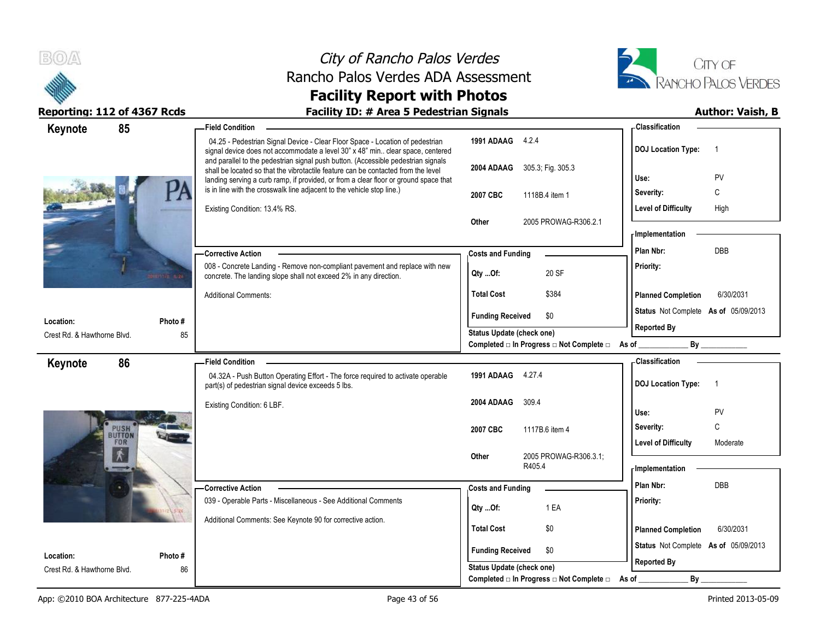



| 85<br>Keynote                       |                   | <b>Field Condition</b>                                                                                                                                                                                                                                         |                                                  | - Classification                                    |
|-------------------------------------|-------------------|----------------------------------------------------------------------------------------------------------------------------------------------------------------------------------------------------------------------------------------------------------------|--------------------------------------------------|-----------------------------------------------------|
|                                     |                   | 04.25 - Pedestrian Signal Device - Clear Floor Space - Location of pedestrian<br>signal device does not accommodate a level 30" x 48" min clear space, centered                                                                                                | 1991 ADAAG 4.2.4                                 | <b>DOJ Location Type:</b><br>$\overline{1}$         |
|                                     |                   | and parallel to the pedestrian signal push button. (Accessible pedestrian signals<br>shall be located so that the vibrotactile feature can be contacted from the level<br>landing serving a curb ramp, if provided, or from a clear floor or ground space that | 305.3; Fig. 305.3<br>2004 ADAAG                  | PV<br>Use:                                          |
|                                     |                   | is in line with the crosswalk line adjacent to the vehicle stop line.)                                                                                                                                                                                         | 2007 CBC<br>1118B.4 item 1                       | Severity:<br>C                                      |
|                                     |                   | Existing Condition: 13.4% RS.                                                                                                                                                                                                                                  |                                                  | Level of Difficulty<br>High                         |
|                                     |                   |                                                                                                                                                                                                                                                                | Other<br>2005 PROWAG-R306.2.1                    |                                                     |
|                                     |                   |                                                                                                                                                                                                                                                                |                                                  | <b>Implementation</b>                               |
|                                     |                   | - Corrective Action                                                                                                                                                                                                                                            | <b>Costs and Funding</b>                         | Plan Nbr:<br>DBB                                    |
|                                     | <b>BETTER BAR</b> | 008 - Concrete Landing - Remove non-compliant pavement and replace with new<br>concrete. The landing slope shall not exceed 2% in any direction.                                                                                                               | 20 SF<br>Qty Of:                                 | Priority:                                           |
|                                     |                   | <b>Additional Comments:</b>                                                                                                                                                                                                                                    | <b>Total Cost</b><br>\$384                       | <b>Planned Completion</b><br>6/30/2031              |
| Location:                           | Photo #           |                                                                                                                                                                                                                                                                | <b>Funding Received</b><br>\$0                   | Status Not Complete As of 05/09/2013                |
| Crest Rd. & Hawthorne Blvd.         | 85                |                                                                                                                                                                                                                                                                | Status Update (check one)                        | <b>Reported By</b>                                  |
|                                     |                   |                                                                                                                                                                                                                                                                | Completed □ In Progress □ Not Complete □ As of _ |                                                     |
| 86<br>Keynote                       |                   | <b>Field Condition</b>                                                                                                                                                                                                                                         |                                                  | <b>Classification</b>                               |
|                                     |                   | 04.32A - Push Button Operating Effort - The force required to activate operable<br>part(s) of pedestrian signal device exceeds 5 lbs.                                                                                                                          | 1991 ADAAG 4.27.4                                | <b>DOJ Location Type:</b><br>$\overline{1}$         |
|                                     |                   | Existing Condition: 6 LBF.                                                                                                                                                                                                                                     | 2004 ADAAG<br>309.4                              |                                                     |
|                                     |                   |                                                                                                                                                                                                                                                                |                                                  | Use:<br>PV<br>C                                     |
| <b>PUSH</b><br>BUTTON<br><b>FOR</b> |                   |                                                                                                                                                                                                                                                                | 2007 CBC<br>1117B.6 item 4                       | Severity:<br><b>Level of Difficulty</b><br>Moderate |
|                                     |                   |                                                                                                                                                                                                                                                                | 2005 PROWAG-R306.3.1;<br>Other                   |                                                     |
|                                     |                   |                                                                                                                                                                                                                                                                | R405.4                                           | <b>Implementation</b>                               |
|                                     |                   | <b>Corrective Action</b>                                                                                                                                                                                                                                       | <b>Costs and Funding</b>                         | Plan Nbr:<br><b>DBB</b>                             |
|                                     |                   | 039 - Operable Parts - Miscellaneous - See Additional Comments                                                                                                                                                                                                 |                                                  | Priority:                                           |
|                                     |                   | Additional Comments: See Keynote 90 for corrective action.                                                                                                                                                                                                     | 1 EA<br>Qty Of:                                  |                                                     |
|                                     |                   |                                                                                                                                                                                                                                                                | <b>Total Cost</b><br>\$0                         | <b>Planned Completion</b><br>6/30/2031              |
| Location:                           | Photo #           |                                                                                                                                                                                                                                                                | <b>Funding Received</b><br>\$0                   | Status Not Complete As of 05/09/2013                |
| Crest Rd. & Hawthorne Blvd.         | 86                |                                                                                                                                                                                                                                                                | <b>Status Update (check one)</b>                 | <b>Reported By</b>                                  |
|                                     |                   |                                                                                                                                                                                                                                                                | Completed □ In Progress □ Not Complete □         | $By_$<br>As of                                      |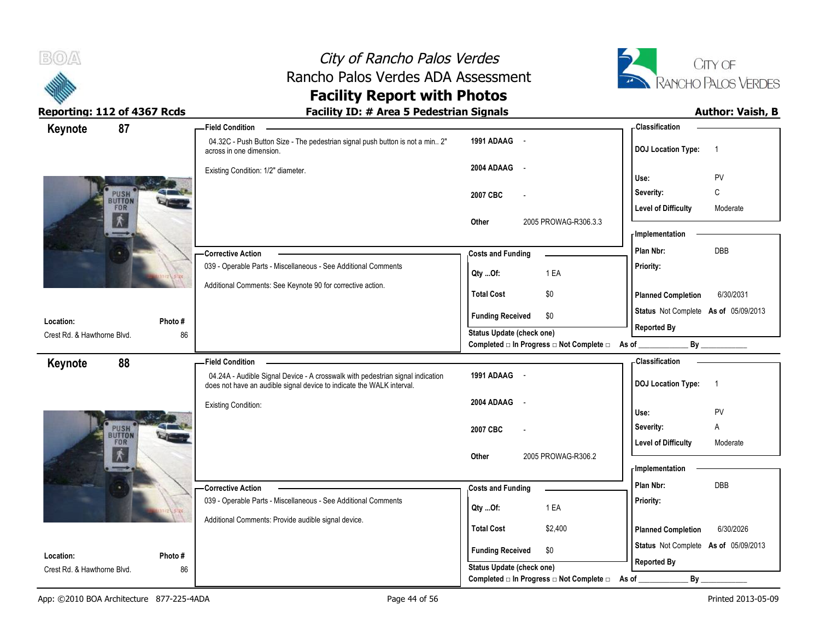



| 87<br>Keynote               |         | - Field Condition                                                                                                                                       |                                                  | - Classification                            |
|-----------------------------|---------|---------------------------------------------------------------------------------------------------------------------------------------------------------|--------------------------------------------------|---------------------------------------------|
|                             |         | 04.32C - Push Button Size - The pedestrian signal push button is not a min 2"<br>across in one dimension.                                               | 1991 ADAAG -                                     | <b>DOJ Location Type:</b><br>$\overline{1}$ |
|                             |         | Existing Condition: 1/2" diameter.                                                                                                                      | 2004 ADAAG<br>$\sim$ $-$                         | PV<br>Use:                                  |
| PUSH                        |         |                                                                                                                                                         | 2007 CBC                                         | C<br>Severity:                              |
| <b>BUTTON</b>               |         |                                                                                                                                                         |                                                  | <b>Level of Difficulty</b><br>Moderate      |
|                             |         |                                                                                                                                                         | Other<br>2005 PROWAG-R306.3.3                    |                                             |
|                             |         |                                                                                                                                                         |                                                  | <b>Implementation</b><br>Plan Nbr:<br>DBB   |
|                             |         | <b>Corrective Action</b><br>039 - Operable Parts - Miscellaneous - See Additional Comments                                                              | <b>Costs and Funding</b>                         | Priority:                                   |
|                             |         |                                                                                                                                                         | 1 EA<br>Qty Of:                                  |                                             |
|                             |         | Additional Comments: See Keynote 90 for corrective action.                                                                                              | <b>Total Cost</b><br>\$0                         | <b>Planned Completion</b><br>6/30/2031      |
| Location:                   | Photo#  |                                                                                                                                                         | <b>Funding Received</b><br>\$0                   | Status Not Complete As of 05/09/2013        |
| Crest Rd. & Hawthorne Blvd. | 86      |                                                                                                                                                         | Status Update (check one)                        | <b>Reported By</b>                          |
|                             |         |                                                                                                                                                         | Completed □ In Progress □ Not Complete □ As of _ | By                                          |
| 88<br>Keynote               |         | <b>Field Condition</b>                                                                                                                                  |                                                  | <b>Classification</b>                       |
|                             |         | 04.24A - Audible Signal Device - A crosswalk with pedestrian signal indication<br>does not have an audible signal device to indicate the WALK interval. | 1991 ADAAG -                                     | <b>DOJ Location Type:</b><br>$\overline{1}$ |
|                             |         | <b>Existing Condition:</b>                                                                                                                              | 2004 ADAAG<br>$\sim$ $\sim$                      |                                             |
|                             |         |                                                                                                                                                         |                                                  | Use:<br>PV                                  |
| PUSH<br>BUTTON<br>FOR       |         |                                                                                                                                                         | 2007 CBC                                         | Severity:<br>Α                              |
|                             |         |                                                                                                                                                         | 2005 PROWAG-R306.2<br>Other                      | <b>Level of Difficulty</b><br>Moderate      |
|                             |         |                                                                                                                                                         |                                                  | <b>Implementation</b>                       |
|                             |         | <b>Corrective Action</b>                                                                                                                                | <b>Costs and Funding</b>                         | Plan Nbr:<br>DBB                            |
|                             |         | 039 - Operable Parts - Miscellaneous - See Additional Comments                                                                                          |                                                  | Priority:                                   |
|                             |         | Additional Comments: Provide audible signal device.                                                                                                     | 1 EA<br>Qty Of:                                  |                                             |
|                             |         |                                                                                                                                                         | <b>Total Cost</b><br>\$2,400                     | <b>Planned Completion</b><br>6/30/2026      |
| Location:                   | Photo # |                                                                                                                                                         | <b>Funding Received</b><br>\$0                   | Status Not Complete As of 05/09/2013        |
| Crest Rd. & Hawthorne Blvd. | 86      |                                                                                                                                                         | Status Update (check one)                        | <b>Reported By</b>                          |
|                             |         |                                                                                                                                                         | Completed □ In Progress □ Not Complete □         | By<br>As of                                 |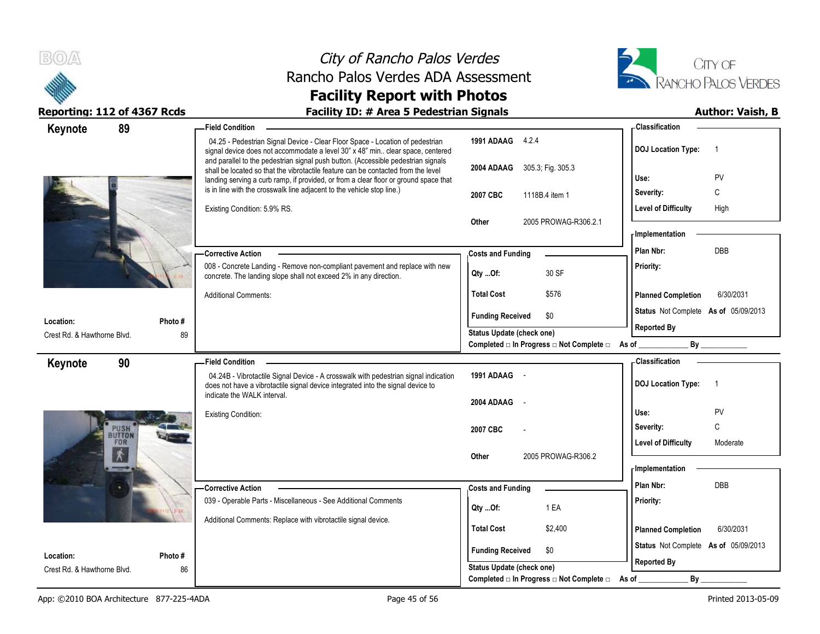



| 89<br>Keynote                     | -Field Condition                                                                                                                                                                                                                                               |                                                  | <b>Classification</b>                                      |
|-----------------------------------|----------------------------------------------------------------------------------------------------------------------------------------------------------------------------------------------------------------------------------------------------------------|--------------------------------------------------|------------------------------------------------------------|
|                                   | 04.25 - Pedestrian Signal Device - Clear Floor Space - Location of pedestrian<br>signal device does not accommodate a level 30" x 48" min clear space, centered                                                                                                | 1991 ADAAG 4.2.4                                 | <b>DOJ Location Type:</b><br>$\overline{1}$                |
|                                   | and parallel to the pedestrian signal push button. (Accessible pedestrian signals<br>shall be located so that the vibrotactile feature can be contacted from the level<br>landing serving a curb ramp, if provided, or from a clear floor or ground space that | 2004 ADAAG 305.3, Fig. 305.3                     | Use:<br>PV                                                 |
|                                   | is in line with the crosswalk line adjacent to the vehicle stop line.)                                                                                                                                                                                         | 2007 CBC<br>1118B.4 item 1                       | C<br>Severity:                                             |
|                                   | Existing Condition: 5.9% RS.                                                                                                                                                                                                                                   |                                                  | <b>Level of Difficulty</b><br>High                         |
|                                   |                                                                                                                                                                                                                                                                | Other<br>2005 PROWAG-R306.2.1                    | - Implementation                                           |
|                                   | <b>Corrective Action</b>                                                                                                                                                                                                                                       | <b>Costs and Funding</b>                         | DBB<br>Plan Nbr:                                           |
|                                   | 008 - Concrete Landing - Remove non-compliant pavement and replace with new<br>concrete. The landing slope shall not exceed 2% in any direction.                                                                                                               | 30 SF<br>Qty Of:                                 | Priority:                                                  |
|                                   | <b>Additional Comments:</b>                                                                                                                                                                                                                                    | <b>Total Cost</b><br>\$576                       | <b>Planned Completion</b><br>6/30/2031                     |
| Photo#<br>Location:               |                                                                                                                                                                                                                                                                | <b>Funding Received</b><br>\$0                   | Status Not Complete As of 05/09/2013                       |
| 89<br>Crest Rd. & Hawthorne Blvd. |                                                                                                                                                                                                                                                                | <b>Status Update (check one)</b>                 | <b>Reported By</b>                                         |
|                                   |                                                                                                                                                                                                                                                                | Completed □ In Progress □ Not Complete □ As of _ | By                                                         |
| 90<br>Keynote                     | <b>Field Condition</b>                                                                                                                                                                                                                                         |                                                  | - Classification                                           |
|                                   | 04.24B - Vibrotactile Signal Device - A crosswalk with pedestrian signal indication<br>does not have a vibrotactile signal device integrated into the signal device to                                                                                         | 1991 ADAAG -                                     | <b>DOJ</b> Location Type:<br>$\overline{1}$                |
|                                   | indicate the WALK interval.                                                                                                                                                                                                                                    | 2004 ADAAG                                       |                                                            |
|                                   | <b>Existing Condition:</b>                                                                                                                                                                                                                                     |                                                  |                                                            |
|                                   |                                                                                                                                                                                                                                                                |                                                  | PV<br>Use:                                                 |
| <b>PUSH</b>                       |                                                                                                                                                                                                                                                                | 2007 CBC                                         | C<br>Severity:                                             |
| FOR                               |                                                                                                                                                                                                                                                                |                                                  | <b>Level of Difficulty</b><br>Moderate                     |
|                                   |                                                                                                                                                                                                                                                                | 2005 PROWAG-R306.2<br>Other                      | - Implementation                                           |
|                                   | <b>Corrective Action</b>                                                                                                                                                                                                                                       |                                                  | Plan Nbr:<br>DBB                                           |
|                                   | 039 - Operable Parts - Miscellaneous - See Additional Comments                                                                                                                                                                                                 | <b>Costs and Funding</b>                         | Priority:                                                  |
|                                   | Additional Comments: Replace with vibrotactile signal device.                                                                                                                                                                                                  | 1 EA<br>Qty Of:                                  |                                                            |
|                                   |                                                                                                                                                                                                                                                                | <b>Total Cost</b><br>\$2,400                     | <b>Planned Completion</b><br>6/30/2031                     |
| Location:<br>Photo #              |                                                                                                                                                                                                                                                                | <b>Funding Received</b><br>\$0                   | Status Not Complete As of 05/09/2013<br><b>Reported By</b> |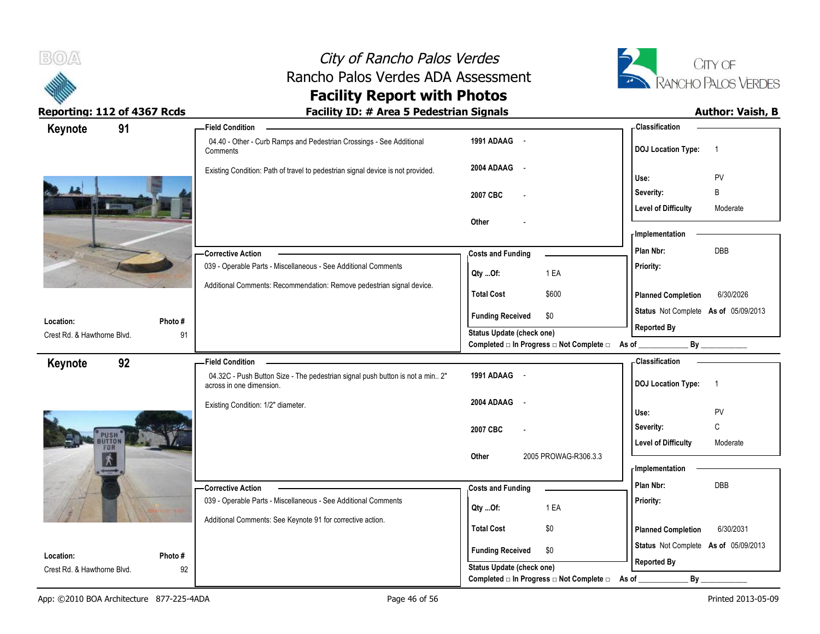



| Keynote                                  | 91           | <b>Field Condition</b>                                                                                    |                                                                 | <b>Classification</b>                       |
|------------------------------------------|--------------|-----------------------------------------------------------------------------------------------------------|-----------------------------------------------------------------|---------------------------------------------|
|                                          |              | 04.40 - Other - Curb Ramps and Pedestrian Crossings - See Additional<br>Comments                          | 1991 ADAAG -                                                    | <b>DOJ</b> Location Type:<br>-1             |
|                                          |              | Existing Condition: Path of travel to pedestrian signal device is not provided.                           | 2004 ADAAG<br>$\sim$                                            | Use:<br>PV                                  |
|                                          |              |                                                                                                           | 2007 CBC                                                        | B<br>Severity:                              |
|                                          |              |                                                                                                           |                                                                 | <b>Level of Difficulty</b><br>Moderate      |
|                                          |              |                                                                                                           | Other                                                           | - Implementation                            |
|                                          |              | <b>Corrective Action</b>                                                                                  | <b>Costs and Funding</b>                                        | DBB<br>Plan Nbr:                            |
|                                          |              | 039 - Operable Parts - Miscellaneous - See Additional Comments                                            | 1 EA<br>Qty Of:                                                 | Priority:                                   |
|                                          |              | Additional Comments: Recommendation: Remove pedestrian signal device.                                     | <b>Total Cost</b><br>\$600                                      | 6/30/2026<br><b>Planned Completion</b>      |
|                                          |              |                                                                                                           | <b>Funding Received</b><br>\$0                                  | Status Not Complete As of 05/09/2013        |
| Location:<br>Crest Rd. & Hawthorne Blvd. | Photo#<br>91 |                                                                                                           | Status Update (check one)                                       | <b>Reported By</b>                          |
|                                          |              |                                                                                                           | Completed $\Box$ In Progress $\Box$ Not Complete $\Box$ As of _ |                                             |
| Keynote                                  | 92           | <b>Field Condition</b>                                                                                    |                                                                 | - Classification                            |
|                                          |              | 04.32C - Push Button Size - The pedestrian signal push button is not a min 2"<br>across in one dimension. | 1991 ADAAG -                                                    | <b>DOJ</b> Location Type:<br>$\overline{1}$ |
|                                          |              | Existing Condition: 1/2" diameter.                                                                        | 2004 ADAAG<br>$\sim$                                            | PV<br>Use:                                  |
|                                          |              |                                                                                                           | 2007 CBC                                                        | C<br>Severity:                              |
|                                          | PUSH<br>FOR  |                                                                                                           |                                                                 | <b>Level of Difficulty</b><br>Moderate      |
| 大                                        |              |                                                                                                           | 2005 PROWAG-R306.3.3<br>Other                                   | - Implementation                            |
|                                          |              | -Corrective Action                                                                                        | <b>Costs and Funding</b>                                        | Plan Nbr:<br><b>DBB</b>                     |
|                                          |              | 039 - Operable Parts - Miscellaneous - See Additional Comments                                            |                                                                 | Priority:                                   |
|                                          |              | Additional Comments: See Keynote 91 for corrective action.                                                | 1 EA<br>Qty Of:                                                 |                                             |
|                                          |              |                                                                                                           | <b>Total Cost</b><br>\$0                                        | 6/30/2031<br><b>Planned Completion</b>      |
| Location:                                | Photo#       |                                                                                                           | <b>Funding Received</b><br>\$0                                  | Status Not Complete As of 05/09/2013        |
| Crest Rd. & Hawthorne Blvd.              | 92           |                                                                                                           | Status Update (check one)                                       | <b>Reported By</b>                          |
|                                          |              |                                                                                                           | Completed □ In Progress □ Not Complete □                        | By<br>As of                                 |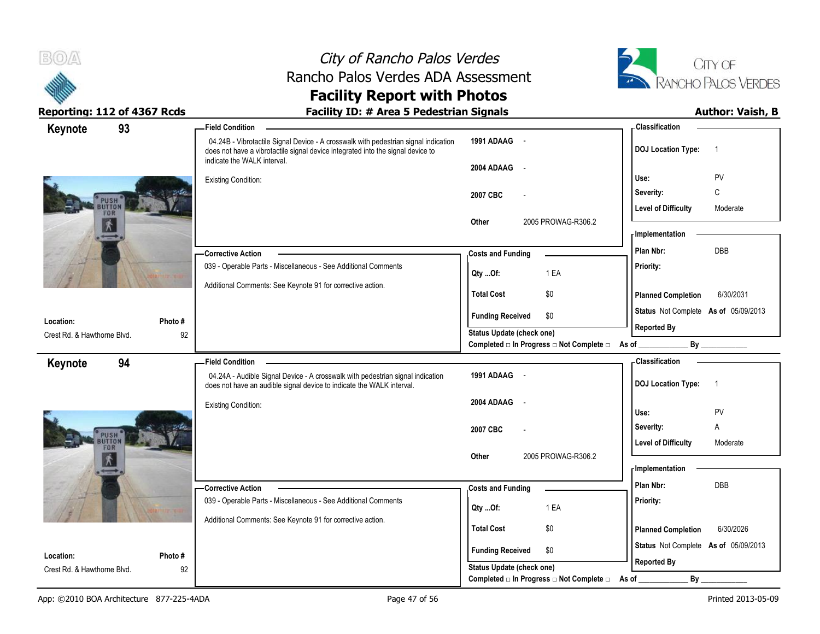



| Keynote                     | 93     | <b>Field Condition</b>                                                                                                                                                                                |                                                                                                              | - Classification                            |
|-----------------------------|--------|-------------------------------------------------------------------------------------------------------------------------------------------------------------------------------------------------------|--------------------------------------------------------------------------------------------------------------|---------------------------------------------|
|                             |        | 04.24B - Vibrotactile Signal Device - A crosswalk with pedestrian signal indication<br>does not have a vibrotactile signal device integrated into the signal device to<br>indicate the WALK interval. | 1991 ADAAG -                                                                                                 | <b>DOJ Location Type:</b><br>$\overline{1}$ |
|                             |        |                                                                                                                                                                                                       | 2004 ADAAG<br>$\sim$ $-$                                                                                     |                                             |
|                             |        | <b>Existing Condition:</b>                                                                                                                                                                            |                                                                                                              | PV<br>Use:                                  |
|                             | PUSH   |                                                                                                                                                                                                       | 2007 CBC                                                                                                     | C<br>Severity:                              |
| FOR                         |        |                                                                                                                                                                                                       |                                                                                                              | <b>Level of Difficulty</b><br>Moderate      |
| $\vec{\bm{\lambda}}$        |        |                                                                                                                                                                                                       | 2005 PROWAG-R306.2<br>Other                                                                                  | <b>Implementation</b>                       |
|                             |        |                                                                                                                                                                                                       |                                                                                                              | DBB<br>Plan Nbr:                            |
|                             |        | -Corrective Action                                                                                                                                                                                    | <b>Costs and Funding</b>                                                                                     |                                             |
|                             |        | 039 - Operable Parts - Miscellaneous - See Additional Comments                                                                                                                                        | 1 EA<br>Qty Of:                                                                                              | Priority:                                   |
|                             |        | Additional Comments: See Keynote 91 for corrective action.                                                                                                                                            | <b>Total Cost</b><br>\$0                                                                                     | <b>Planned Completion</b><br>6/30/2031      |
|                             |        |                                                                                                                                                                                                       |                                                                                                              | Status Not Complete As of 05/09/2013        |
| Location:                   | Photo# |                                                                                                                                                                                                       | <b>Funding Received</b><br>\$0                                                                               | <b>Reported By</b>                          |
| Crest Rd. & Hawthorne Blvd. | 92     |                                                                                                                                                                                                       | <b>Status Update (check one)</b><br>Completed $\square$ In Progress $\square$ Not Complete $\square$ As of _ |                                             |
|                             |        |                                                                                                                                                                                                       |                                                                                                              |                                             |
| Keynote                     | 94     | <b>Field Condition</b>                                                                                                                                                                                | 1991 ADAAG -                                                                                                 | - Classification                            |
|                             |        | 04.24A - Audible Signal Device - A crosswalk with pedestrian signal indication<br>does not have an audible signal device to indicate the WALK interval.                                               |                                                                                                              | <b>DOJ Location Type:</b><br>$\overline{1}$ |
|                             |        | <b>Existing Condition:</b>                                                                                                                                                                            | 2004 ADAAG<br>$\sim$                                                                                         |                                             |
|                             |        |                                                                                                                                                                                                       |                                                                                                              | Use:<br>PV                                  |
|                             | PUSH   |                                                                                                                                                                                                       | 2007 CBC                                                                                                     | Severity:<br>Α                              |
| FOR                         |        |                                                                                                                                                                                                       |                                                                                                              | <b>Level of Difficulty</b><br>Moderate      |
| $\vec{\bm{\Lambda}}$        |        |                                                                                                                                                                                                       | Other<br>2005 PROWAG-R306.2                                                                                  |                                             |
|                             |        |                                                                                                                                                                                                       |                                                                                                              | <b>Implementation</b>                       |
|                             |        | - Corrective Action                                                                                                                                                                                   | <b>Costs and Funding</b>                                                                                     | <b>DBB</b><br>Plan Nbr:                     |
|                             |        | 039 - Operable Parts - Miscellaneous - See Additional Comments                                                                                                                                        | 1 EA<br>Qty Of:                                                                                              | Priority:                                   |
|                             |        | Additional Comments: See Keynote 91 for corrective action.                                                                                                                                            |                                                                                                              |                                             |
|                             |        |                                                                                                                                                                                                       | <b>Total Cost</b><br>\$0                                                                                     | <b>Planned Completion</b><br>6/30/2026      |
| Location:                   | Photo# |                                                                                                                                                                                                       | <b>Funding Received</b><br>\$0                                                                               | Status Not Complete As of 05/09/2013        |
| Crest Rd. & Hawthorne Blvd. | 92     |                                                                                                                                                                                                       | <b>Status Update (check one)</b>                                                                             | <b>Reported By</b>                          |
|                             |        |                                                                                                                                                                                                       | Completed □ In Progress □ Not Complete □                                                                     | By<br>As of                                 |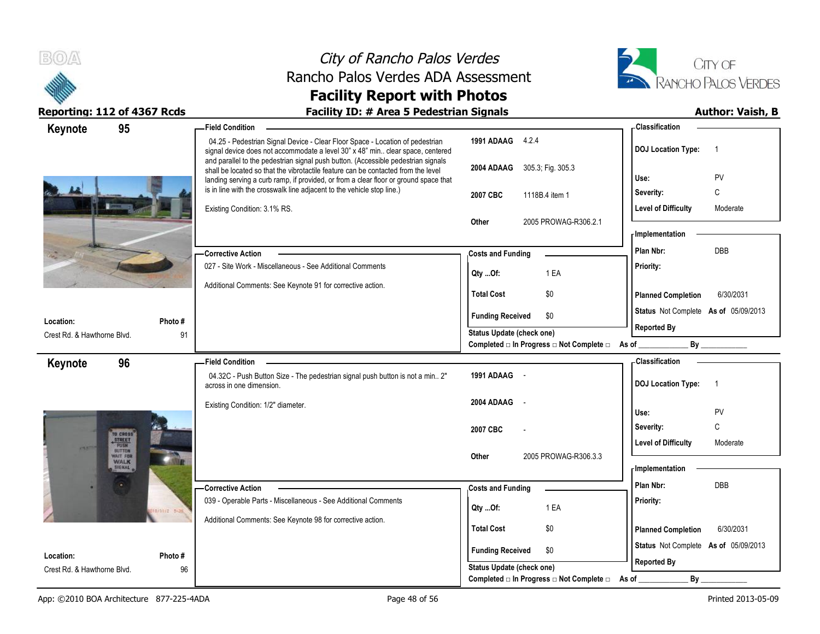



| 95<br>Keynote                            |              | <b>Field Condition</b>                                                                                                                                                                                                                                                                                                                                                                                                             |                                                  | - Classification                            |
|------------------------------------------|--------------|------------------------------------------------------------------------------------------------------------------------------------------------------------------------------------------------------------------------------------------------------------------------------------------------------------------------------------------------------------------------------------------------------------------------------------|--------------------------------------------------|---------------------------------------------|
|                                          |              | 04.25 - Pedestrian Signal Device - Clear Floor Space - Location of pedestrian<br>signal device does not accommodate a level 30" x 48" min. clear space, centered<br>and parallel to the pedestrian signal push button. (Accessible pedestrian signals<br>shall be located so that the vibrotactile feature can be contacted from the level<br>landing serving a curb ramp, if provided, or from a clear floor or ground space that | 1991 ADAAG 4.2.4                                 | <b>DOJ</b> Location Type:<br>- 1            |
|                                          |              |                                                                                                                                                                                                                                                                                                                                                                                                                                    | 2004 ADAAG 305.3; Fig. 305.3                     | Use:<br>PV                                  |
|                                          |              | is in line with the crosswalk line adjacent to the vehicle stop line.)                                                                                                                                                                                                                                                                                                                                                             | 2007 CBC<br>1118B.4 item 1                       | C<br>Severity:                              |
|                                          |              | Existing Condition: 3.1% RS.                                                                                                                                                                                                                                                                                                                                                                                                       |                                                  | <b>Level of Difficulty</b><br>Moderate      |
|                                          |              |                                                                                                                                                                                                                                                                                                                                                                                                                                    | 2005 PROWAG-R306.2.1<br>Other                    |                                             |
|                                          |              |                                                                                                                                                                                                                                                                                                                                                                                                                                    |                                                  | - Implementation                            |
|                                          |              | <b>Corrective Action</b>                                                                                                                                                                                                                                                                                                                                                                                                           | <b>Costs and Funding</b>                         | DBB<br>Plan Nbr:                            |
|                                          |              | 027 - Site Work - Miscellaneous - See Additional Comments                                                                                                                                                                                                                                                                                                                                                                          | 1 EA                                             | Priority:                                   |
|                                          |              | Additional Comments: See Keynote 91 for corrective action.                                                                                                                                                                                                                                                                                                                                                                         | Qty Of:                                          |                                             |
|                                          |              |                                                                                                                                                                                                                                                                                                                                                                                                                                    | <b>Total Cost</b><br>\$0                         | 6/30/2031<br><b>Planned Completion</b>      |
| Location:                                | Photo#       |                                                                                                                                                                                                                                                                                                                                                                                                                                    | <b>Funding Received</b><br>\$0                   | Status Not Complete As of 05/09/2013        |
| Crest Rd. & Hawthorne Blvd.              | 91           |                                                                                                                                                                                                                                                                                                                                                                                                                                    | Status Update (check one)                        | <b>Reported By</b>                          |
|                                          |              |                                                                                                                                                                                                                                                                                                                                                                                                                                    | Completed □ In Progress □ Not Complete □ As of _ | By                                          |
| 96<br>Keynote                            |              | <b>Field Condition</b>                                                                                                                                                                                                                                                                                                                                                                                                             |                                                  | - Classification                            |
|                                          |              | 04.32C - Push Button Size - The pedestrian signal push button is not a min 2"<br>across in one dimension.                                                                                                                                                                                                                                                                                                                          | 1991 ADAAG -                                     | <b>DOJ</b> Location Type:<br>$\overline{1}$ |
|                                          |              | Existing Condition: 1/2" diameter.                                                                                                                                                                                                                                                                                                                                                                                                 | 2004 ADAAG<br>$\sim$                             | PV<br>Use:                                  |
|                                          |              |                                                                                                                                                                                                                                                                                                                                                                                                                                    |                                                  | C<br>Severity:                              |
| TO CROSS<br><b>STREET</b>                |              |                                                                                                                                                                                                                                                                                                                                                                                                                                    | 2007 CBC                                         | <b>Level of Difficulty</b><br>Moderate      |
| <b>PUSH</b><br>WAIT FOR                  |              |                                                                                                                                                                                                                                                                                                                                                                                                                                    | 2005 PROWAG-R306.3.3<br>Other                    |                                             |
| <b>WALK</b><br><b>SIGNAL</b>             |              |                                                                                                                                                                                                                                                                                                                                                                                                                                    |                                                  | - Implementation                            |
|                                          |              | -Corrective Action                                                                                                                                                                                                                                                                                                                                                                                                                 | <b>Costs and Funding</b>                         | Plan Nbr:<br>DBB                            |
|                                          |              | 039 - Operable Parts - Miscellaneous - See Additional Comments                                                                                                                                                                                                                                                                                                                                                                     | 1 EA                                             | Priority:                                   |
|                                          | 1/11/2 5-36  | Additional Comments: See Keynote 98 for corrective action.                                                                                                                                                                                                                                                                                                                                                                         | QtyOf:                                           |                                             |
|                                          |              |                                                                                                                                                                                                                                                                                                                                                                                                                                    | <b>Total Cost</b><br>\$0                         | <b>Planned Completion</b><br>6/30/2031      |
|                                          |              |                                                                                                                                                                                                                                                                                                                                                                                                                                    | <b>Funding Received</b><br>\$0                   | Status Not Complete As of 05/09/2013        |
| Location:<br>Crest Rd. & Hawthorne Blvd. | Photo#<br>96 |                                                                                                                                                                                                                                                                                                                                                                                                                                    | Status Update (check one)                        | <b>Reported By</b>                          |
|                                          |              |                                                                                                                                                                                                                                                                                                                                                                                                                                    | Completed □ In Progress □ Not Complete □         | $By_$<br>As of _                            |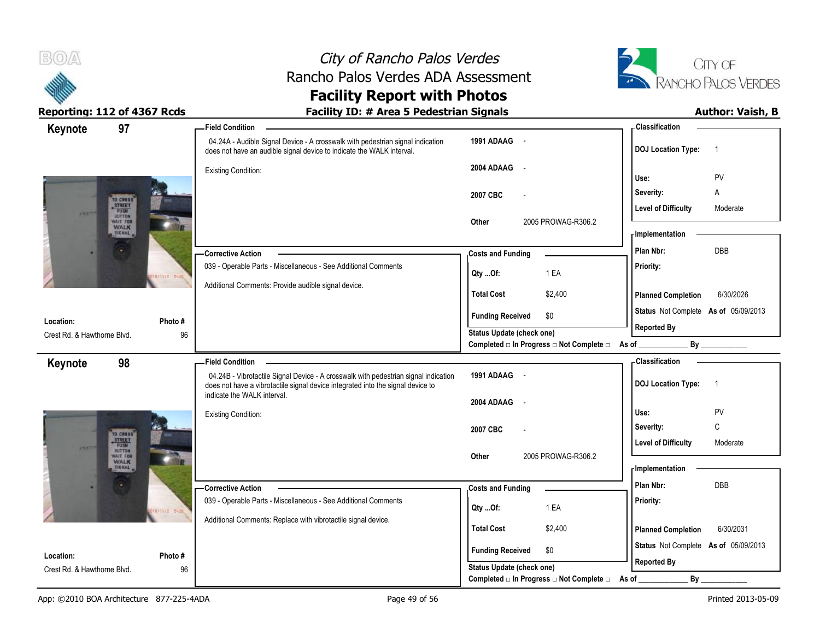



| 97<br>Keynote                              |              | <b>Field Condition</b>                                                                                                                                                 |                                                | - Classification                            |
|--------------------------------------------|--------------|------------------------------------------------------------------------------------------------------------------------------------------------------------------------|------------------------------------------------|---------------------------------------------|
|                                            |              | 04.24A - Audible Signal Device - A crosswalk with pedestrian signal indication<br>does not have an audible signal device to indicate the WALK interval.                | 1991 ADAAG -                                   | <b>DOJ</b> Location Type:<br>$\overline{1}$ |
|                                            |              | <b>Existing Condition:</b>                                                                                                                                             | 2004 ADAAG<br>$\sim$                           |                                             |
|                                            |              |                                                                                                                                                                        |                                                | Use:<br>PV                                  |
| TO CROSS                                   |              |                                                                                                                                                                        | 2007 CBC<br>$\overline{a}$                     | Severity:<br>Α                              |
| <b>STREET</b><br><b>PUSH</b><br>$C\Lambda$ |              |                                                                                                                                                                        |                                                | <b>Level of Difficulty</b><br>Moderate      |
| WAIT FOR<br><b>WALK</b><br><b>SIGNAL</b>   |              |                                                                                                                                                                        | 2005 PROWAG-R306.2<br>Other                    | - Implementation                            |
|                                            |              |                                                                                                                                                                        |                                                |                                             |
|                                            |              | -Corrective Action                                                                                                                                                     | <b>Costs and Funding</b>                       | <b>DBB</b><br>Plan Nbr:                     |
|                                            | 10/11/2 5-36 | 039 - Operable Parts - Miscellaneous - See Additional Comments                                                                                                         | 1 EA<br>Qty Of:                                | Priority:                                   |
|                                            |              | Additional Comments: Provide audible signal device.                                                                                                                    | <b>Total Cost</b><br>\$2,400                   | 6/30/2026<br><b>Planned Completion</b>      |
|                                            |              |                                                                                                                                                                        | <b>Funding Received</b><br>\$0                 | Status Not Complete As of 05/09/2013        |
| Location:                                  | Photo #      |                                                                                                                                                                        | <b>Status Update (check one)</b>               | <b>Reported By</b>                          |
| Crest Rd. & Hawthorne Blvd.                | 96           |                                                                                                                                                                        | Completed □ In Progress □ Not Complete □ As of |                                             |
| 98<br>Keynote                              |              | <b>Field Condition</b>                                                                                                                                                 |                                                | <b>Classification</b>                       |
|                                            |              | 04.24B - Vibrotactile Signal Device - A crosswalk with pedestrian signal indication<br>does not have a vibrotactile signal device integrated into the signal device to | 1991 ADAAG -                                   | <b>DOJ</b> Location Type:<br>$\overline{1}$ |
|                                            |              | indicate the WALK interval.                                                                                                                                            | 2004 ADAAG<br>$\sim$                           |                                             |
|                                            |              | Existing Condition:                                                                                                                                                    |                                                | PV<br>Use:                                  |
|                                            |              |                                                                                                                                                                        | 2007 CBC                                       | C<br>Severity:                              |
| TO CROSS<br><b>STREET</b><br>BUTTON        |              |                                                                                                                                                                        |                                                | <b>Level of Difficulty</b><br>Moderate      |
| WAIT FOR                                   |              |                                                                                                                                                                        | 2005 PROWAG-R306.2<br>Other                    |                                             |
| <b>WALK</b>                                |              |                                                                                                                                                                        |                                                | <b>Implementation</b>                       |
|                                            |              | - Corrective Action                                                                                                                                                    | <b>Costs and Funding</b>                       | Plan Nbr:<br><b>DBB</b>                     |
|                                            |              | 039 - Operable Parts - Miscellaneous - See Additional Comments                                                                                                         | 1 EA                                           | Priority:                                   |
|                                            | 10/11/2 5-36 | Additional Comments: Replace with vibrotactile signal device.                                                                                                          | Qty Of:                                        |                                             |
|                                            |              |                                                                                                                                                                        | <b>Total Cost</b><br>\$2,400                   | <b>Planned Completion</b><br>6/30/2031      |
|                                            |              |                                                                                                                                                                        | <b>Funding Received</b><br>\$0                 | Status Not Complete As of 05/09/2013        |
| Location:                                  | Photo#       |                                                                                                                                                                        | <b>Status Update (check one)</b>               | <b>Reported By</b>                          |
| Crest Rd. & Hawthorne Blvd.                | 96           |                                                                                                                                                                        | Completed □ In Progress □ Not Complete □       | By<br>As of                                 |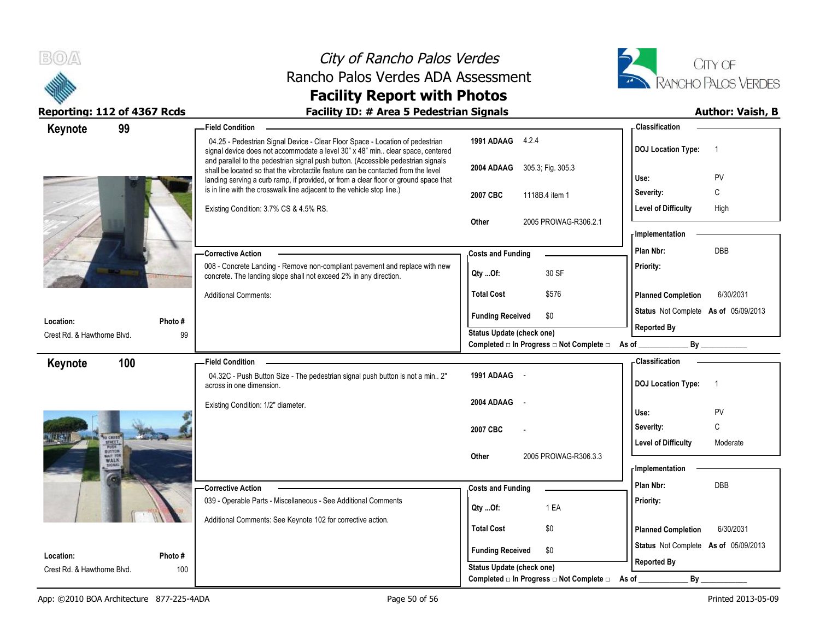



| 99<br>Keynote                                       | <b>Field Condition</b>                                                                                                                                                                                                                                         |                                                        | - Classification                            |
|-----------------------------------------------------|----------------------------------------------------------------------------------------------------------------------------------------------------------------------------------------------------------------------------------------------------------------|--------------------------------------------------------|---------------------------------------------|
|                                                     | 04.25 - Pedestrian Signal Device - Clear Floor Space - Location of pedestrian<br>signal device does not accommodate a level 30" x 48" min clear space, centered                                                                                                | 1991 ADAAG 4.2.4                                       | <b>DOJ Location Type:</b><br>$\overline{1}$ |
|                                                     | and parallel to the pedestrian signal push button. (Accessible pedestrian signals<br>shall be located so that the vibrotactile feature can be contacted from the level<br>landing serving a curb ramp, if provided, or from a clear floor or ground space that | 2004 ADAAG<br>305.3; Fig. 305.3                        | PV<br>Use:                                  |
|                                                     | is in line with the crosswalk line adjacent to the vehicle stop line.)                                                                                                                                                                                         | 2007 CBC<br>1118B.4 item 1                             | C<br>Severity:                              |
|                                                     | Existing Condition: 3.7% CS & 4.5% RS.                                                                                                                                                                                                                         |                                                        | <b>Level of Difficulty</b><br>High          |
|                                                     |                                                                                                                                                                                                                                                                | Other<br>2005 PROWAG-R306.2.1                          |                                             |
|                                                     |                                                                                                                                                                                                                                                                |                                                        | - Implementation                            |
|                                                     | -Corrective Action                                                                                                                                                                                                                                             | <b>Costs and Funding</b>                               | DBB<br>Plan Nbr:                            |
|                                                     | 008 - Concrete Landing - Remove non-compliant pavement and replace with new<br>concrete. The landing slope shall not exceed 2% in any direction.                                                                                                               | 30 SF<br>Qty Of:                                       | <b>Priority:</b>                            |
|                                                     | <b>Additional Comments:</b>                                                                                                                                                                                                                                    | \$576<br><b>Total Cost</b>                             | <b>Planned Completion</b><br>6/30/2031      |
|                                                     |                                                                                                                                                                                                                                                                | \$0<br><b>Funding Received</b>                         | Status Not Complete As of 05/09/2013        |
| Location:<br>Photo #<br>Crest Rd. & Hawthorne Blvd. | 99                                                                                                                                                                                                                                                             | Status Update (check one)                              | <b>Reported By</b>                          |
|                                                     |                                                                                                                                                                                                                                                                | Completed □ In Progress □ Not Complete □ As of _______ | By                                          |
| 100<br>Keynote                                      | <b>Field Condition</b>                                                                                                                                                                                                                                         |                                                        | <b>Classification</b>                       |
|                                                     | 04.32C - Push Button Size - The pedestrian signal push button is not a min 2"<br>across in one dimension.                                                                                                                                                      | 1991 ADAAG -                                           | <b>DOJ Location Type:</b><br>$\overline{1}$ |
|                                                     | Existing Condition: 1/2" diameter.                                                                                                                                                                                                                             | 2004 ADAAG<br>$\sim$                                   |                                             |
|                                                     |                                                                                                                                                                                                                                                                |                                                        | PV<br>Use:<br>C                             |
| THEFT                                               |                                                                                                                                                                                                                                                                | 2007 CBC                                               | Severity:                                   |
| nuttor                                              |                                                                                                                                                                                                                                                                | 2005 PROWAG-R306.3.3<br>Other                          | <b>Level of Difficulty</b><br>Moderate      |
|                                                     |                                                                                                                                                                                                                                                                |                                                        | - Implementation                            |
|                                                     | - Corrective Action                                                                                                                                                                                                                                            | <b>Costs and Funding</b>                               | Plan Nbr:<br>DBB                            |
|                                                     | 039 - Operable Parts - Miscellaneous - See Additional Comments                                                                                                                                                                                                 |                                                        | Priority:                                   |
|                                                     | Additional Comments: See Keynote 102 for corrective action.                                                                                                                                                                                                    | 1 EA<br>Qty Of:                                        |                                             |
|                                                     |                                                                                                                                                                                                                                                                | <b>Total Cost</b><br>\$0                               | 6/30/2031<br><b>Planned Completion</b>      |
|                                                     |                                                                                                                                                                                                                                                                | <b>Funding Received</b><br>\$0                         | Status Not Complete As of 05/09/2013        |
| Photo#<br>Location:<br>Crest Rd. & Hawthorne Blvd.  | 100                                                                                                                                                                                                                                                            | <b>Status Update (check one)</b>                       | <b>Reported By</b>                          |
|                                                     |                                                                                                                                                                                                                                                                | Completed □ In Progress □ Not Complete □               | By<br>As of                                 |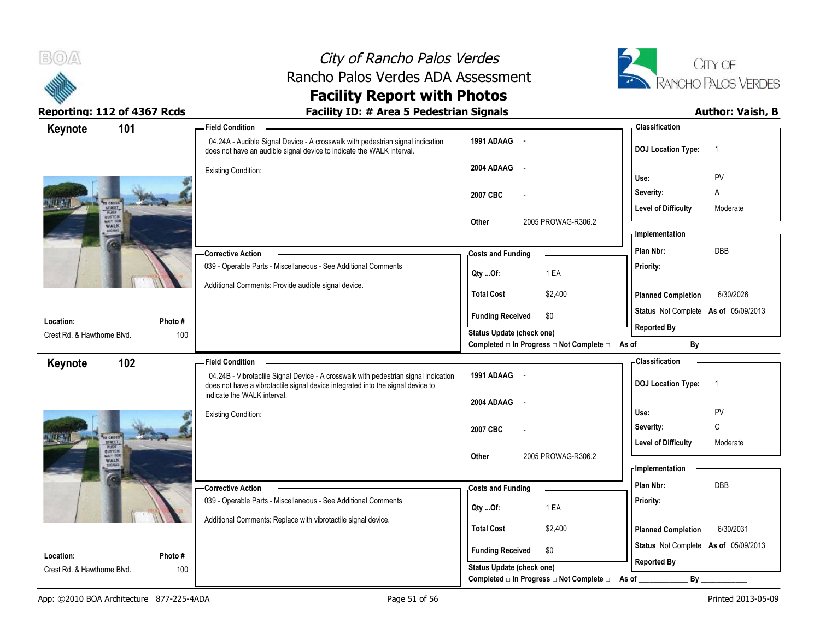

# City of Rancho Palos Verdes Rancho Palos Verdes ADA Assessment



### **Facility Report with Photos Reporting: 112 of 4367 Rcds Facility ID: # Area 5 Pedestrian Signals Author: Vaish, B**

| Keynote                     | 101                              | <b>Field Condition</b>                                                                                                                                                 |                                                                                      | -Classification                                            |
|-----------------------------|----------------------------------|------------------------------------------------------------------------------------------------------------------------------------------------------------------------|--------------------------------------------------------------------------------------|------------------------------------------------------------|
|                             |                                  | 04.24A - Audible Signal Device - A crosswalk with pedestrian signal indication<br>does not have an audible signal device to indicate the WALK interval.                | 1991 ADAAG -                                                                         | <b>DOJ Location Type:</b><br>$\overline{1}$                |
|                             |                                  | <b>Existing Condition:</b>                                                                                                                                             | 2004 ADAAG -                                                                         | PV<br>Use:                                                 |
|                             | <b>TREET</b>                     |                                                                                                                                                                        | 2007 CBC                                                                             | Severity:<br>Α<br><b>Level of Difficulty</b><br>Moderate   |
| RUSTON<br>WALK              |                                  |                                                                                                                                                                        | 2005 PROWAG-R306.2<br>Other                                                          | - Implementation                                           |
|                             |                                  | <b>Corrective Action</b>                                                                                                                                               | <b>Costs and Funding</b>                                                             | DBB<br>Plan Nbr:                                           |
|                             |                                  | 039 - Operable Parts - Miscellaneous - See Additional Comments                                                                                                         | 1 EA<br>Qty Of:                                                                      | Priority:                                                  |
|                             |                                  | Additional Comments: Provide audible signal device.                                                                                                                    | <b>Total Cost</b><br>\$2,400                                                         | 6/30/2026<br><b>Planned Completion</b>                     |
| Location:                   | Photo#                           |                                                                                                                                                                        | <b>Funding Received</b><br>\$0                                                       | Status Not Complete As of 05/09/2013                       |
| Crest Rd. & Hawthorne Blvd. | 100                              |                                                                                                                                                                        | <b>Status Update (check one)</b><br>Completed □ In Progress □ Not Complete □ As of _ | <b>Reported By</b>                                         |
| Keynote                     | 102                              | <b>Field Condition</b>                                                                                                                                                 |                                                                                      | - Classification                                           |
|                             |                                  | 04.24B - Vibrotactile Signal Device - A crosswalk with pedestrian signal indication<br>does not have a vibrotactile signal device integrated into the signal device to | 1991 ADAAG -                                                                         | <b>DOJ Location Type:</b><br>$\overline{1}$                |
|                             |                                  | indicate the WALK interval.                                                                                                                                            | 2004 ADAAG<br>$\sim$                                                                 |                                                            |
|                             |                                  | <b>Existing Condition:</b>                                                                                                                                             |                                                                                      | PV<br>Use:<br>C                                            |
|                             | CRESS<br>STREET.<br><b>PEIRS</b> |                                                                                                                                                                        | 2007 CBC                                                                             | Severity:<br><b>Level of Difficulty</b><br>Moderate        |
|                             | BUTTON<br>WALK                   |                                                                                                                                                                        | 2005 PROWAG-R306.2<br>Other                                                          | - Implementation                                           |
|                             |                                  | Corrective Action                                                                                                                                                      | <b>Costs and Funding</b>                                                             | Plan Nbr:<br><b>DBB</b>                                    |
|                             |                                  | 039 - Operable Parts - Miscellaneous - See Additional Comments                                                                                                         | 1 EA<br>Qty Of:                                                                      | Priority:                                                  |
|                             |                                  | Additional Comments: Replace with vibrotactile signal device.                                                                                                          | <b>Total Cost</b><br>\$2,400                                                         | 6/30/2031<br><b>Planned Completion</b>                     |
| Location:                   | Photo#                           |                                                                                                                                                                        | \$0<br><b>Funding Received</b>                                                       | Status Not Complete As of 05/09/2013<br><b>Reported By</b> |
| Crest Rd. & Hawthorne Blvd. | 100                              |                                                                                                                                                                        | <b>Status Update (check one)</b>                                                     |                                                            |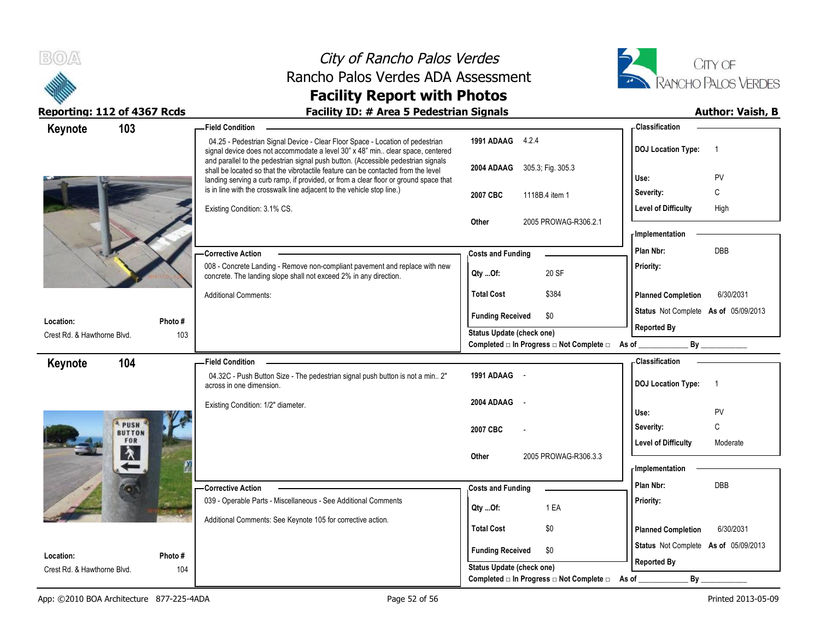



| Keynote                                  | 103                         | - Field Condition                                                                                                                                                                                                                                              |                                                  | - Classification                            |
|------------------------------------------|-----------------------------|----------------------------------------------------------------------------------------------------------------------------------------------------------------------------------------------------------------------------------------------------------------|--------------------------------------------------|---------------------------------------------|
|                                          |                             | 04.25 - Pedestrian Signal Device - Clear Floor Space - Location of pedestrian<br>signal device does not accommodate a level 30" x 48" min clear space, centered                                                                                                | 1991 ADAAG 4.2.4                                 | <b>DOJ Location Type:</b><br>$\overline{1}$ |
|                                          |                             | and parallel to the pedestrian signal push button. (Accessible pedestrian signals<br>shall be located so that the vibrotactile feature can be contacted from the level<br>landing serving a curb ramp, if provided, or from a clear floor or ground space that | 2004 ADAAG 305.3; Fig. 305.3                     | PV<br>Use:                                  |
|                                          |                             | is in line with the crosswalk line adjacent to the vehicle stop line.)                                                                                                                                                                                         | 2007 CBC<br>1118B.4 item 1                       | C<br>Severity:                              |
|                                          |                             | Existing Condition: 3.1% CS.                                                                                                                                                                                                                                   |                                                  | <b>Level of Difficulty</b><br>High          |
|                                          |                             |                                                                                                                                                                                                                                                                | Other<br>2005 PROWAG-R306.2.1                    | - Implementation                            |
|                                          |                             |                                                                                                                                                                                                                                                                |                                                  | <b>DBB</b>                                  |
|                                          |                             | <b>Corrective Action</b>                                                                                                                                                                                                                                       | <b>Costs and Funding</b>                         | Plan Nbr:                                   |
|                                          |                             | 008 - Concrete Landing - Remove non-compliant pavement and replace with new<br>concrete. The landing slope shall not exceed 2% in any direction.                                                                                                               | 20 SF<br>Qty Of:                                 | Priority:                                   |
|                                          |                             | <b>Additional Comments:</b>                                                                                                                                                                                                                                    | \$384<br><b>Total Cost</b>                       | <b>Planned Completion</b><br>6/30/2031      |
| Location:                                | Photo#                      |                                                                                                                                                                                                                                                                | <b>Funding Received</b><br>\$0                   | Status Not Complete As of 05/09/2013        |
| Crest Rd. & Hawthorne Blvd.              | 103                         |                                                                                                                                                                                                                                                                | Status Update (check one)                        | <b>Reported By</b>                          |
|                                          |                             |                                                                                                                                                                                                                                                                | Completed □ In Progress □ Not Complete □ As of _ |                                             |
| Keynote                                  | 104                         | <b>Field Condition</b>                                                                                                                                                                                                                                         |                                                  | - Classification                            |
|                                          |                             | 04.32C - Push Button Size - The pedestrian signal push button is not a min 2"<br>across in one dimension.                                                                                                                                                      | 1991 ADAAG -                                     | <b>DOJ</b> Location Type:<br>$\overline{1}$ |
|                                          |                             | Existing Condition: 1/2" diameter.                                                                                                                                                                                                                             | 2004 ADAAG<br>$\sim$                             | PV<br>Use:                                  |
|                                          | <b>PUSH</b>                 |                                                                                                                                                                                                                                                                |                                                  | C<br>Severity:                              |
|                                          | <b>BUTTON</b><br><b>FOR</b> |                                                                                                                                                                                                                                                                | 2007 CBC                                         | <b>Level of Difficulty</b><br>Moderate      |
|                                          | እ                           |                                                                                                                                                                                                                                                                | 2005 PROWAG-R306.3.3<br>Other                    |                                             |
|                                          |                             |                                                                                                                                                                                                                                                                |                                                  | - Implementation                            |
|                                          |                             | - Corrective Action                                                                                                                                                                                                                                            | <b>Costs and Funding</b>                         | DBB<br>Plan Nbr:                            |
|                                          |                             | 039 - Operable Parts - Miscellaneous - See Additional Comments                                                                                                                                                                                                 |                                                  | Priority:                                   |
|                                          |                             |                                                                                                                                                                                                                                                                | $Qty$ Of:<br>1 EA                                |                                             |
|                                          |                             |                                                                                                                                                                                                                                                                |                                                  |                                             |
|                                          |                             | Additional Comments: See Keynote 105 for corrective action.                                                                                                                                                                                                    | <b>Total Cost</b><br>\$0                         | <b>Planned Completion</b><br>6/30/2031      |
|                                          |                             |                                                                                                                                                                                                                                                                | \$0<br><b>Funding Received</b>                   | Status Not Complete As of 05/09/2013        |
| Location:<br>Crest Rd. & Hawthorne Blvd. | Photo#<br>104               |                                                                                                                                                                                                                                                                | <b>Status Update (check one)</b>                 | <b>Reported By</b>                          |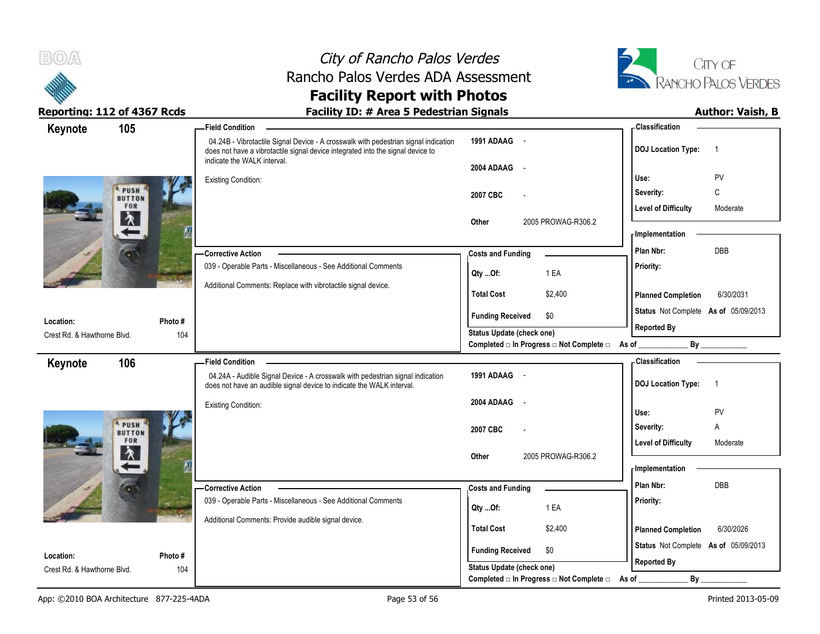

# City of Rancho Palos Verdes Rancho Palos Verdes ADA Assessment



### **Facility Report with Photos Reporting: 112 of 4367 Rcds Facility ID: # Area 5 Pedestrian Signals Author: Vaish, B**

| Keynote                     | 105                   | <b>Field Condition</b>                                                                                                                                                 |                                                                 | - Classification                            |
|-----------------------------|-----------------------|------------------------------------------------------------------------------------------------------------------------------------------------------------------------|-----------------------------------------------------------------|---------------------------------------------|
|                             |                       | 04.24B - Vibrotactile Signal Device - A crosswalk with pedestrian signal indication<br>does not have a vibrotactile signal device integrated into the signal device to | 1991 ADAAG -                                                    | <b>DOJ Location Type:</b><br>$\overline{1}$ |
|                             |                       | indicate the WALK interval.                                                                                                                                            | 2004 ADAAG<br>$\sim$ $-$                                        |                                             |
|                             |                       | <b>Existing Condition:</b>                                                                                                                                             |                                                                 | PV<br>Use:                                  |
|                             | PUSH<br><b>BUTTON</b> |                                                                                                                                                                        | 2007 CBC                                                        | C<br>Severity:                              |
|                             | FOR                   |                                                                                                                                                                        |                                                                 | <b>Level of Difficulty</b><br>Moderate      |
|                             | 久                     |                                                                                                                                                                        | 2005 PROWAG-R306.2<br>Other                                     |                                             |
|                             |                       |                                                                                                                                                                        |                                                                 | - Implementation                            |
|                             |                       | - Corrective Action                                                                                                                                                    | <b>Costs and Funding</b>                                        | <b>DBB</b><br>Plan Nbr:                     |
|                             |                       | 039 - Operable Parts - Miscellaneous - See Additional Comments                                                                                                         | 1 EA<br>Qty Of:                                                 | Priority:                                   |
|                             |                       | Additional Comments: Replace with vibrotactile signal device.                                                                                                          | <b>Total Cost</b><br>\$2,400                                    | 6/30/2031<br><b>Planned Completion</b>      |
| Location:                   | Photo#                |                                                                                                                                                                        | \$0<br><b>Funding Received</b>                                  | Status Not Complete As of 05/09/2013        |
| Crest Rd. & Hawthorne Blvd. | 104                   |                                                                                                                                                                        | Status Update (check one)                                       | <b>Reported By</b>                          |
|                             |                       |                                                                                                                                                                        | Completed $\Box$ In Progress $\Box$ Not Complete $\Box$ As of _ |                                             |
| Keynote                     | 106                   | <b>Field Condition</b>                                                                                                                                                 |                                                                 | - Classification                            |
|                             |                       | 04.24A - Audible Signal Device - A crosswalk with pedestrian signal indication<br>does not have an audible signal device to indicate the WALK interval.                | 1991 ADAAG -                                                    | <b>DOJ Location Type:</b><br>$\overline{1}$ |
|                             |                       | <b>Existing Condition:</b>                                                                                                                                             | 2004 ADAAG<br>$\sim$ $-$                                        |                                             |
|                             | PUSH                  |                                                                                                                                                                        |                                                                 | PV<br>Use:                                  |
|                             | <b>BUTTON</b>         |                                                                                                                                                                        | 2007 CBC                                                        | Severity:<br>Α                              |
|                             | FOR<br>入              |                                                                                                                                                                        |                                                                 | <b>Level of Difficulty</b><br>Moderate      |
|                             |                       |                                                                                                                                                                        | 2005 PROWAG-R306.2<br>Other                                     | <b>Implementation</b>                       |
|                             |                       |                                                                                                                                                                        |                                                                 | Plan Nbr:<br><b>DBB</b>                     |
|                             |                       | -Corrective Action<br>039 - Operable Parts - Miscellaneous - See Additional Comments                                                                                   | <b>Costs and Funding</b>                                        |                                             |
|                             |                       |                                                                                                                                                                        | 1 EA<br>Qty Of:                                                 | Priority:                                   |
|                             |                       | Additional Comments: Provide audible signal device.                                                                                                                    | <b>Total Cost</b><br>\$2,400                                    | <b>Planned Completion</b><br>6/30/2026      |
|                             |                       |                                                                                                                                                                        |                                                                 | Status Not Complete As of 05/09/2013        |
| Location:                   | Photo#                |                                                                                                                                                                        | \$0<br><b>Funding Received</b>                                  |                                             |
| Crest Rd. & Hawthorne Blvd. | 104                   |                                                                                                                                                                        | Status Update (check one)                                       | <b>Reported By</b>                          |
|                             |                       |                                                                                                                                                                        | Completed □ In Progress □ Not Complete □                        | By<br>As of                                 |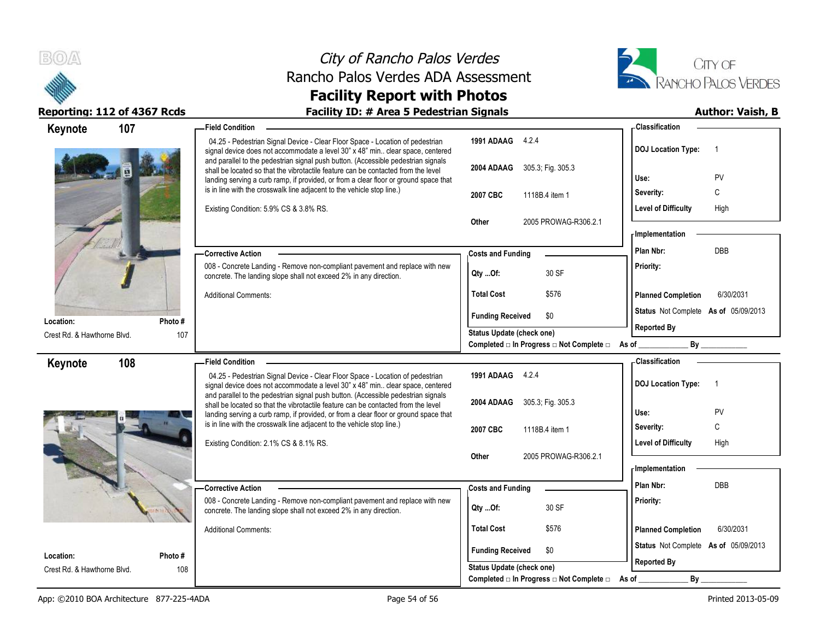



| Keynote                     | 107     | <b>Field Condition</b>                                                                                                                                                                                                                                         |                                          | - Classification                                           |
|-----------------------------|---------|----------------------------------------------------------------------------------------------------------------------------------------------------------------------------------------------------------------------------------------------------------------|------------------------------------------|------------------------------------------------------------|
|                             |         | 04.25 - Pedestrian Signal Device - Clear Floor Space - Location of pedestrian<br>signal device does not accommodate a level 30" x 48" min clear space, centered                                                                                                | 1991 ADAAG 4.2.4                         | <b>DOJ Location Type:</b><br>$\overline{1}$                |
|                             |         | and parallel to the pedestrian signal push button. (Accessible pedestrian signals<br>shall be located so that the vibrotactile feature can be contacted from the level<br>landing serving a curb ramp, if provided, or from a clear floor or ground space that | 2004 ADAAG<br>305.3; Fig. 305.3          | PV<br>Use:                                                 |
|                             |         | is in line with the crosswalk line adjacent to the vehicle stop line.)                                                                                                                                                                                         | 2007 CBC<br>1118B.4 item 1               | C<br>Severity:                                             |
|                             |         | Existing Condition: 5.9% CS & 3.8% RS.                                                                                                                                                                                                                         | Other<br>2005 PROWAG-R306.2.1            | High<br><b>Level of Difficulty</b>                         |
|                             |         |                                                                                                                                                                                                                                                                |                                          | <b>Implementation</b>                                      |
|                             |         | - Corrective Action                                                                                                                                                                                                                                            | <b>Costs and Funding</b>                 | DBB<br>Plan Nbr:                                           |
|                             |         | 008 - Concrete Landing - Remove non-compliant pavement and replace with new<br>concrete. The landing slope shall not exceed 2% in any direction.                                                                                                               | 30 SF<br>Qty Of:                         | Priority:                                                  |
|                             |         | <b>Additional Comments:</b>                                                                                                                                                                                                                                    | <b>Total Cost</b><br>\$576               | <b>Planned Completion</b><br>6/30/2031                     |
| Location:                   | Photo # |                                                                                                                                                                                                                                                                | <b>Funding Received</b><br>\$0           | Status Not Complete As of 05/09/2013                       |
| Crest Rd. & Hawthorne Blvd. | 107     |                                                                                                                                                                                                                                                                | Status Update (check one)                | <b>Reported By</b>                                         |
|                             |         |                                                                                                                                                                                                                                                                | Completed □ In Progress □ Not Complete □ | By<br>As of                                                |
| Keynote                     | 108     | - Field Condition                                                                                                                                                                                                                                              |                                          | <b>Classification</b>                                      |
|                             |         | 04.25 - Pedestrian Signal Device - Clear Floor Space - Location of pedestrian<br>signal device does not accommodate a level 30" x 48" min clear space, centered                                                                                                | 1991 ADAAG 4.2.4                         | <b>DOJ Location Type:</b><br>-1                            |
|                             |         | and parallel to the pedestrian signal push button. (Accessible pedestrian signals<br>shall be located so that the vibrotactile feature can be contacted from the level                                                                                         | 2004 ADAAG<br>305.3; Fig. 305.3          |                                                            |
|                             |         | landing serving a curb ramp, if provided, or from a clear floor or ground space that                                                                                                                                                                           |                                          | PV<br>Use:                                                 |
|                             |         | is in line with the crosswalk line adjacent to the vehicle stop line.)                                                                                                                                                                                         | 2007 CBC<br>1118B.4 item 1               | C<br>Severity:                                             |
|                             |         | Existing Condition: 2.1% CS & 8.1% RS.                                                                                                                                                                                                                         |                                          | High<br><b>Level of Difficulty</b>                         |
|                             |         |                                                                                                                                                                                                                                                                | Other<br>2005 PROWAG-R306.2.1            |                                                            |
|                             |         |                                                                                                                                                                                                                                                                |                                          | - Implementation                                           |
|                             |         | <b>Corrective Action</b>                                                                                                                                                                                                                                       | <b>Costs and Funding</b>                 | DBB<br>Plan Nbr:                                           |
|                             |         | 008 - Concrete Landing - Remove non-compliant pavement and replace with new<br>concrete. The landing slope shall not exceed 2% in any direction.                                                                                                               | 30 SF<br>Qty Of:                         | Priority:                                                  |
|                             |         | <b>Additional Comments:</b>                                                                                                                                                                                                                                    | <b>Total Cost</b><br>\$576               | <b>Planned Completion</b><br>6/30/2031                     |
| Location:                   | Photo # |                                                                                                                                                                                                                                                                | <b>Funding Received</b><br>\$0           | Status Not Complete As of 05/09/2013<br><b>Reported By</b> |
| Crest Rd. & Hawthorne Blvd. | 108     |                                                                                                                                                                                                                                                                | <b>Status Update (check one)</b>         |                                                            |
|                             |         |                                                                                                                                                                                                                                                                | Completed □ In Progress □ Not Complete □ | By<br>As of                                                |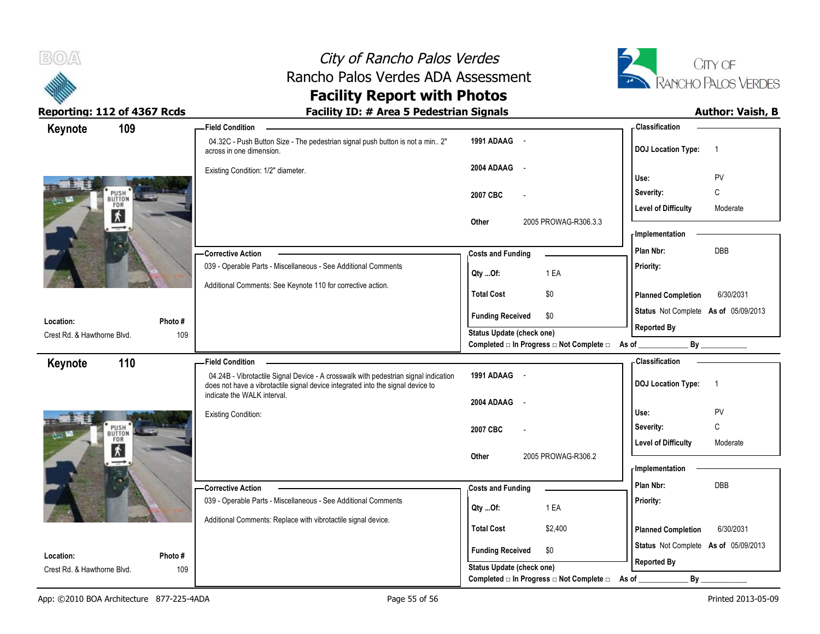



| Keynote                                  | 109                                                |                | -Field Condition                                                                                                                                                       |                                                             | - Classification                        |                          |
|------------------------------------------|----------------------------------------------------|----------------|------------------------------------------------------------------------------------------------------------------------------------------------------------------------|-------------------------------------------------------------|-----------------------------------------|--------------------------|
|                                          |                                                    |                | 04.32C - Push Button Size - The pedestrian signal push button is not a min 2"<br>across in one dimension.                                                              | 1991 ADAAG -                                                | <b>DOJ Location Type:</b>               | $\overline{1}$           |
|                                          |                                                    |                | Existing Condition: 1/2" diameter.                                                                                                                                     | 2004 ADAAG<br>$\sim$ $-$                                    | Use:                                    | PV                       |
|                                          | PUSH <sup>®</sup><br>BUTTON<br>FOR                 |                |                                                                                                                                                                        | 2007 CBC                                                    | Severity:                               | С                        |
| $\frac{1}{100}$ M                        | $\overline{\bm{x}}$                                |                |                                                                                                                                                                        |                                                             | <b>Level of Difficulty</b>              | Moderate                 |
|                                          |                                                    |                |                                                                                                                                                                        | Other<br>2005 PROWAG-R306.3.3                               | - Implementation                        |                          |
|                                          |                                                    |                | - Corrective Action                                                                                                                                                    | <b>Costs and Funding</b>                                    | Plan Nbr:                               | <b>DBB</b>               |
|                                          |                                                    |                | 039 - Operable Parts - Miscellaneous - See Additional Comments                                                                                                         | 1 EA<br>Qty Of:                                             | Priority:                               |                          |
|                                          |                                                    |                | Additional Comments: See Keynote 110 for corrective action.                                                                                                            | <b>Total Cost</b><br>\$0                                    | <b>Planned Completion</b>               | 6/30/2031                |
| Location:                                |                                                    | Photo #        |                                                                                                                                                                        | \$0<br><b>Funding Received</b>                              | Status Not Complete As of 05/09/2013    |                          |
| Crest Rd. & Hawthorne Blvd.              |                                                    | 109            |                                                                                                                                                                        | <b>Status Update (check one)</b>                            | <b>Reported By</b>                      |                          |
|                                          |                                                    |                |                                                                                                                                                                        | Completed □ In Progress □ Not Complete □ As of              |                                         | By                       |
| Keynote                                  | 110                                                |                | <b>Field Condition</b>                                                                                                                                                 |                                                             | <b>Classification</b>                   |                          |
|                                          |                                                    |                | 04.24B - Vibrotactile Signal Device - A crosswalk with pedestrian signal indication<br>does not have a vibrotactile signal device integrated into the signal device to | 1991 ADAAG -                                                | <b>DOJ Location Type:</b>               | $\overline{1}$           |
|                                          |                                                    |                | indicate the WALK interval.                                                                                                                                            | 2004 ADAAG<br>$\sim$ $\sim$                                 |                                         |                          |
|                                          |                                                    |                | <b>Existing Condition:</b>                                                                                                                                             |                                                             | Use:                                    | <b>PV</b>                |
| 高山                                       | PUSH <sup>®</sup><br>BUTTON<br>FOR<br><b>HARRY</b> |                |                                                                                                                                                                        | 2007 CBC                                                    | Severity:<br><b>Level of Difficulty</b> | $\mathsf{C}$<br>Moderate |
|                                          | $\vert \mathbf{\dot{x}} \vert$                     |                |                                                                                                                                                                        | 2005 PROWAG-R306.2<br>Other                                 |                                         |                          |
|                                          |                                                    |                |                                                                                                                                                                        |                                                             | <b>Implementation</b>                   |                          |
|                                          |                                                    |                | -Corrective Action                                                                                                                                                     | <b>Costs and Funding</b>                                    | Plan Nbr:                               | DBB                      |
|                                          |                                                    |                |                                                                                                                                                                        |                                                             |                                         |                          |
|                                          |                                                    |                | 039 - Operable Parts - Miscellaneous - See Additional Comments                                                                                                         | 1 EA<br>Qty Of:                                             | Priority:                               |                          |
|                                          |                                                    |                | Additional Comments: Replace with vibrotactile signal device.                                                                                                          | <b>Total Cost</b><br>\$2,400                                | <b>Planned Completion</b>               | 6/30/2031                |
|                                          |                                                    |                |                                                                                                                                                                        | \$0                                                         | Status Not Complete As of 05/09/2013    |                          |
| Location:<br>Crest Rd. & Hawthorne Blvd. |                                                    | Photo #<br>109 |                                                                                                                                                                        | <b>Funding Received</b><br><b>Status Update (check one)</b> | <b>Reported By</b>                      |                          |